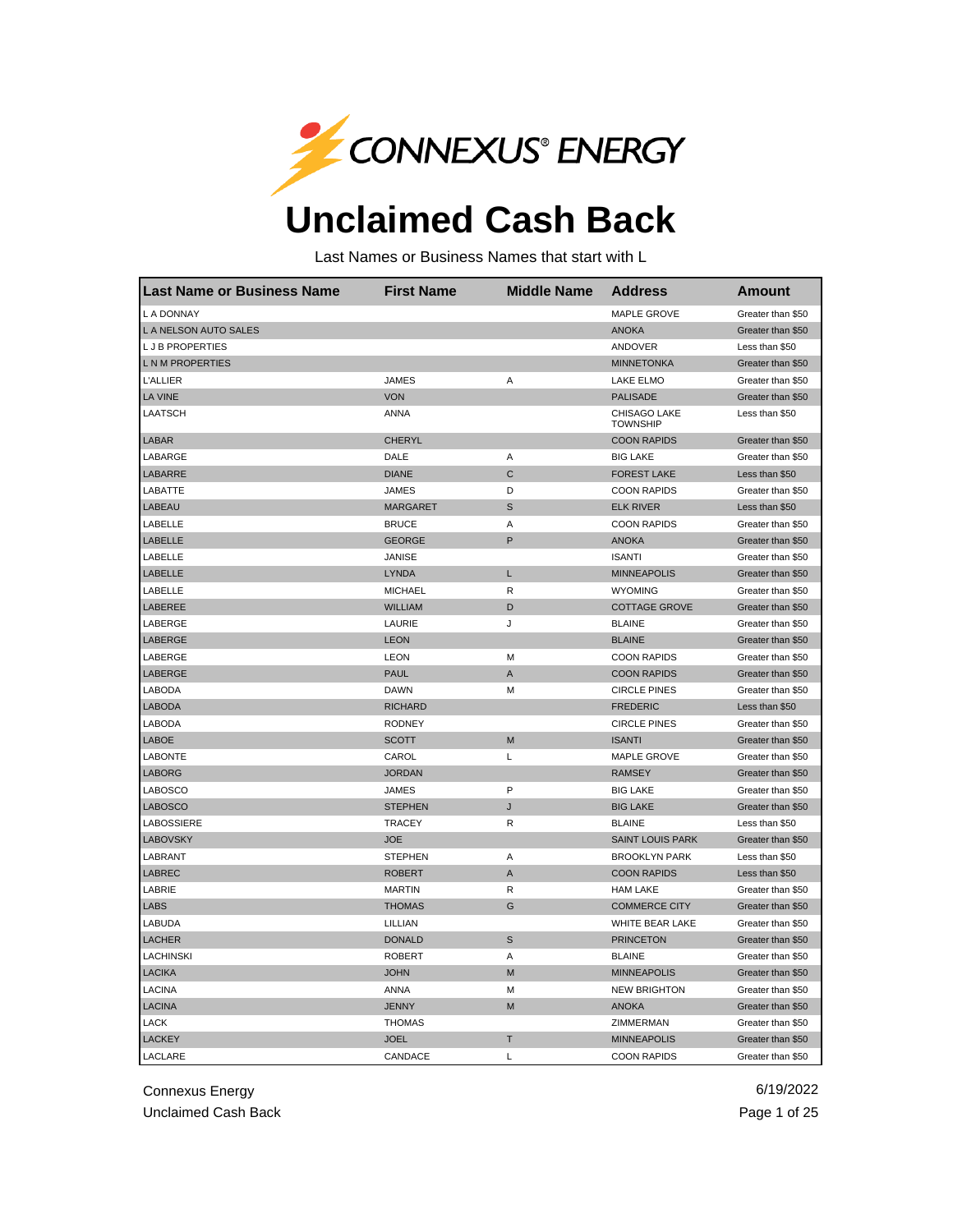

## **Unclaimed Cash Back**

Last Names or Business Names that start with L

| <b>Last Name or Business Name</b> | <b>First Name</b> | <b>Middle Name</b> | <b>Address</b>                  | <b>Amount</b>     |
|-----------------------------------|-------------------|--------------------|---------------------------------|-------------------|
| L A DONNAY                        |                   |                    | <b>MAPLE GROVE</b>              | Greater than \$50 |
| L A NELSON AUTO SALES             |                   |                    | <b>ANOKA</b>                    | Greater than \$50 |
| <b>LJB PROPERTIES</b>             |                   |                    | ANDOVER                         | Less than \$50    |
| <b>LNMPROPERTIES</b>              |                   |                    | <b>MINNETONKA</b>               | Greater than \$50 |
| <b>L'ALLIER</b>                   | <b>JAMES</b>      | Α                  | <b>LAKE ELMO</b>                | Greater than \$50 |
| <b>LA VINE</b>                    | <b>VON</b>        |                    | <b>PALISADE</b>                 | Greater than \$50 |
| <b>LAATSCH</b>                    | ANNA              |                    | CHISAGO LAKE<br><b>TOWNSHIP</b> | Less than \$50    |
| <b>LABAR</b>                      | <b>CHERYL</b>     |                    | <b>COON RAPIDS</b>              | Greater than \$50 |
| LABARGE                           | DALE              | Α                  | <b>BIG LAKE</b>                 | Greater than \$50 |
| <b>LABARRE</b>                    | <b>DIANE</b>      | $\mathsf{C}$       | <b>FOREST LAKE</b>              | Less than \$50    |
| LABATTE                           | <b>JAMES</b>      | D                  | <b>COON RAPIDS</b>              | Greater than \$50 |
| LABEAU                            | <b>MARGARET</b>   | $\mathbb S$        | <b>ELK RIVER</b>                | Less than \$50    |
| LABELLE                           | <b>BRUCE</b>      | Α                  | <b>COON RAPIDS</b>              | Greater than \$50 |
| LABELLE                           | <b>GEORGE</b>     | P                  | <b>ANOKA</b>                    | Greater than \$50 |
| LABELLE                           | <b>JANISE</b>     |                    | <b>ISANTI</b>                   | Greater than \$50 |
| <b>LABELLE</b>                    | LYNDA             | L                  | <b>MINNEAPOLIS</b>              | Greater than \$50 |
| LABELLE                           | <b>MICHAEL</b>    | R                  | <b>WYOMING</b>                  | Greater than \$50 |
| LABEREE                           | <b>WILLIAM</b>    | D                  | <b>COTTAGE GROVE</b>            | Greater than \$50 |
| LABERGE                           | LAURIE            | J                  | <b>BLAINE</b>                   | Greater than \$50 |
| LABERGE                           | <b>LEON</b>       |                    | <b>BLAINE</b>                   | Greater than \$50 |
| LABERGE                           | <b>LEON</b>       | M                  | <b>COON RAPIDS</b>              | Greater than \$50 |
| LABERGE                           | <b>PAUL</b>       | $\mathsf{A}$       | <b>COON RAPIDS</b>              | Greater than \$50 |
| LABODA                            | <b>DAWN</b>       | M                  | <b>CIRCLE PINES</b>             | Greater than \$50 |
| <b>LABODA</b>                     | <b>RICHARD</b>    |                    | <b>FREDERIC</b>                 | Less than \$50    |
| LABODA                            | <b>RODNEY</b>     |                    | <b>CIRCLE PINES</b>             | Greater than \$50 |
| <b>LABOE</b>                      | <b>SCOTT</b>      | M                  | <b>ISANTI</b>                   | Greater than \$50 |
| <b>LABONTE</b>                    | CAROL             | Г                  | <b>MAPLE GROVE</b>              | Greater than \$50 |
| <b>LABORG</b>                     | <b>JORDAN</b>     |                    | <b>RAMSEY</b>                   | Greater than \$50 |
| <b>LABOSCO</b>                    | <b>JAMES</b>      | P                  | <b>BIG LAKE</b>                 | Greater than \$50 |
| <b>LABOSCO</b>                    | <b>STEPHEN</b>    | J                  | <b>BIG LAKE</b>                 | Greater than \$50 |
| LABOSSIERE                        | <b>TRACEY</b>     | R                  | <b>BLAINE</b>                   | Less than \$50    |
| <b>LABOVSKY</b>                   | <b>JOE</b>        |                    | <b>SAINT LOUIS PARK</b>         | Greater than \$50 |
| LABRANT                           | <b>STEPHEN</b>    | Α                  | <b>BROOKLYN PARK</b>            | Less than \$50    |
| LABREC                            | <b>ROBERT</b>     | A                  | <b>COON RAPIDS</b>              | Less than \$50    |
| LABRIE                            | <b>MARTIN</b>     | R                  | <b>HAM LAKE</b>                 | Greater than \$50 |
| <b>LABS</b>                       | <b>THOMAS</b>     | G                  | <b>COMMERCE CITY</b>            | Greater than \$50 |
| LABUDA                            | LILLIAN           |                    | WHITE BEAR LAKE                 | Greater than \$50 |
| <b>LACHER</b>                     | <b>DONALD</b>     | S                  | <b>PRINCETON</b>                | Greater than \$50 |
| LACHINSKI                         | <b>ROBERT</b>     | Α                  | <b>BLAINE</b>                   | Greater than \$50 |
| <b>LACIKA</b>                     | <b>JOHN</b>       | M                  | <b>MINNEAPOLIS</b>              | Greater than \$50 |
| <b>LACINA</b>                     | ANNA              | M                  | <b>NEW BRIGHTON</b>             | Greater than \$50 |
| <b>LACINA</b>                     | <b>JENNY</b>      | M                  | <b>ANOKA</b>                    | Greater than \$50 |
| LACK                              | <b>THOMAS</b>     |                    | ZIMMERMAN                       | Greater than \$50 |
| <b>LACKEY</b>                     | <b>JOEL</b>       | T                  | <b>MINNEAPOLIS</b>              | Greater than \$50 |
| LACLARE                           | CANDACE           | L                  | <b>COON RAPIDS</b>              | Greater than \$50 |

Connexus Energy 6/19/2022 Unclaimed Cash Back **Page 1 of 25**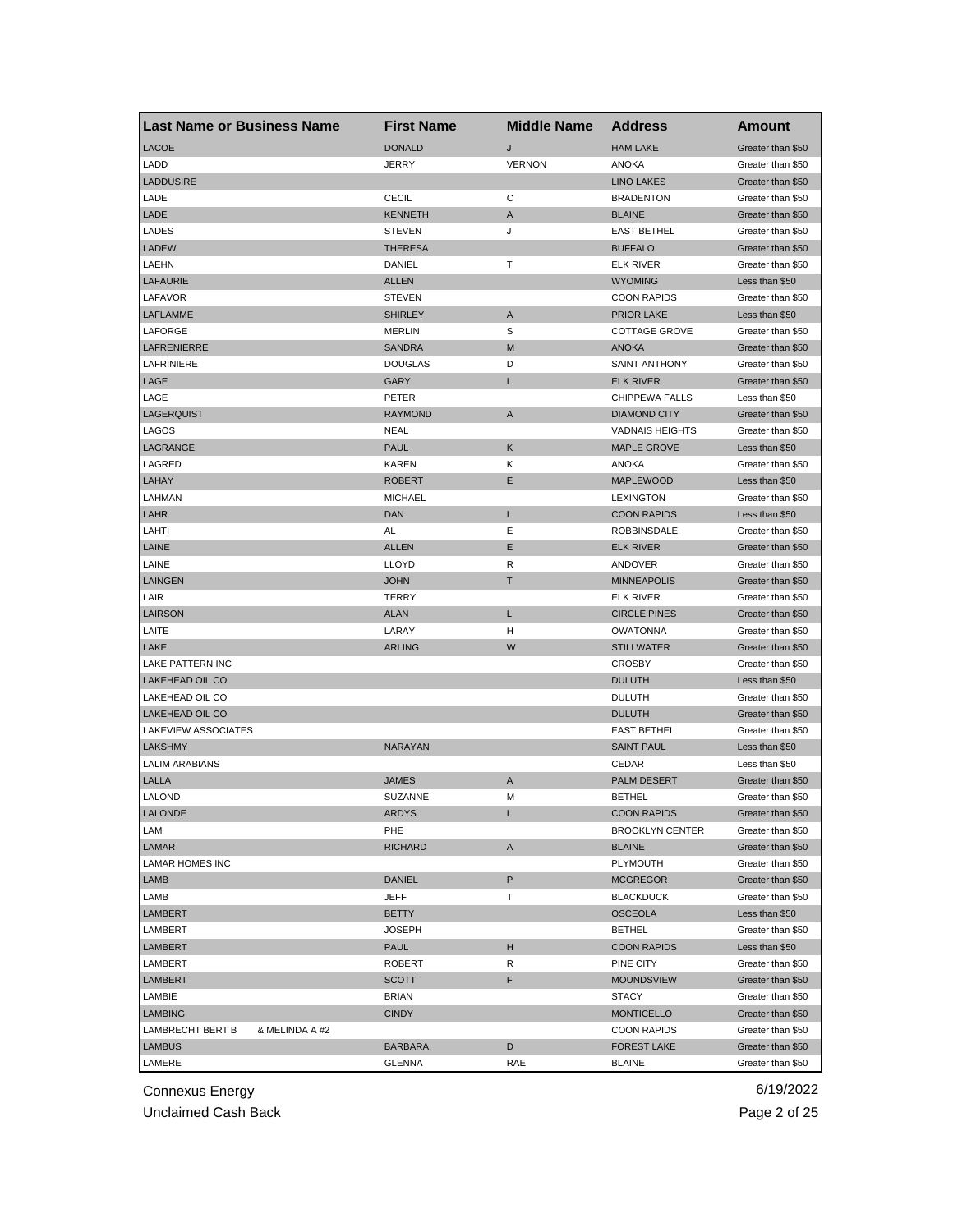| <b>Last Name or Business Name</b>  | <b>First Name</b> | <b>Middle Name</b> | <b>Address</b>                      | Amount            |
|------------------------------------|-------------------|--------------------|-------------------------------------|-------------------|
| <b>LACOE</b>                       | <b>DONALD</b>     | J                  | <b>HAM LAKE</b>                     | Greater than \$50 |
| LADD                               | JERRY             | <b>VERNON</b>      | ANOKA                               | Greater than \$50 |
| <b>LADDUSIRE</b>                   |                   |                    | <b>LINO LAKES</b>                   | Greater than \$50 |
| LADE                               | <b>CECIL</b>      | С                  | <b>BRADENTON</b>                    | Greater than \$50 |
| LADE                               | <b>KENNETH</b>    | A                  | <b>BLAINE</b>                       | Greater than \$50 |
| LADES                              | <b>STEVEN</b>     | J                  | <b>EAST BETHEL</b>                  | Greater than \$50 |
| <b>LADEW</b>                       | <b>THERESA</b>    |                    | <b>BUFFALO</b>                      | Greater than \$50 |
| LAEHN                              | DANIEL            | т                  | <b>ELK RIVER</b>                    | Greater than \$50 |
| <b>LAFAURIE</b>                    | <b>ALLEN</b>      |                    | <b>WYOMING</b>                      | Less than \$50    |
| LAFAVOR                            | <b>STEVEN</b>     |                    | <b>COON RAPIDS</b>                  | Greater than \$50 |
| LAFLAMME                           | <b>SHIRLEY</b>    | A                  | <b>PRIOR LAKE</b>                   | Less than \$50    |
| LAFORGE                            | MERLIN            | S                  | <b>COTTAGE GROVE</b>                | Greater than \$50 |
| LAFRENIERRE                        | <b>SANDRA</b>     | M                  | <b>ANOKA</b>                        | Greater than \$50 |
| LAFRINIERE                         | <b>DOUGLAS</b>    | D                  | <b>SAINT ANTHONY</b>                | Greater than \$50 |
| LAGE                               | GARY              | L                  | <b>ELK RIVER</b>                    | Greater than \$50 |
| LAGE                               | PETER             |                    | CHIPPEWA FALLS                      | Less than \$50    |
| LAGERQUIST                         | <b>RAYMOND</b>    | A                  | <b>DIAMOND CITY</b>                 | Greater than \$50 |
| LAGOS                              | NEAL              |                    | <b>VADNAIS HEIGHTS</b>              | Greater than \$50 |
| LAGRANGE                           | <b>PAUL</b>       | Κ                  | <b>MAPLE GROVE</b>                  | Less than \$50    |
| LAGRED                             | KAREN             | Κ                  | ANOKA                               | Greater than \$50 |
| LAHAY                              | <b>ROBERT</b>     | Ε                  | <b>MAPLEWOOD</b>                    | Less than \$50    |
| LAHMAN                             | <b>MICHAEL</b>    |                    | <b>LEXINGTON</b>                    | Greater than \$50 |
| LAHR                               | <b>DAN</b>        | L                  | <b>COON RAPIDS</b>                  | Less than \$50    |
| LAHTI                              | AL                | Ε                  | <b>ROBBINSDALE</b>                  | Greater than \$50 |
| LAINE                              | <b>ALLEN</b>      | Е                  | <b>ELK RIVER</b>                    | Greater than \$50 |
| LAINE                              | <b>LLOYD</b>      | R                  | ANDOVER                             | Greater than \$50 |
| <b>LAINGEN</b>                     | <b>JOHN</b>       | т                  | <b>MINNEAPOLIS</b>                  | Greater than \$50 |
| LAIR                               | TERRY             |                    | <b>ELK RIVER</b>                    | Greater than \$50 |
| LAIRSON                            | ALAN              | L                  | <b>CIRCLE PINES</b>                 | Greater than \$50 |
| LAITE                              | LARAY             | н                  | <b>OWATONNA</b>                     | Greater than \$50 |
| LAKE                               | <b>ARLING</b>     | W                  | <b>STILLWATER</b>                   | Greater than \$50 |
| LAKE PATTERN INC                   |                   |                    | <b>CROSBY</b>                       | Greater than \$50 |
| LAKEHEAD OIL CO                    |                   |                    | <b>DULUTH</b>                       | Less than \$50    |
| LAKEHEAD OIL CO                    |                   |                    | <b>DULUTH</b>                       | Greater than \$50 |
| <b>LAKEHEAD OIL CO</b>             |                   |                    | <b>DULUTH</b>                       | Greater than \$50 |
| LAKEVIEW ASSOCIATES                |                   |                    | <b>EAST BETHEL</b>                  | Greater than \$50 |
| LAKSHMY                            | NARAYAN           |                    | <b>SAINT PAUL</b>                   | Less than \$50    |
| <b>LALIM ARABIANS</b>              |                   |                    | CEDAR                               | Less than \$50    |
| LALLA                              | <b>JAMES</b>      | A                  | <b>PALM DESERT</b>                  | Greater than \$50 |
| <b>LALOND</b>                      | <b>SUZANNE</b>    | M                  | <b>BETHEL</b>                       | Greater than \$50 |
| LALONDE                            | <b>ARDYS</b>      |                    | COON RAPIDS                         | Greater than \$50 |
| LAM                                | PHE               |                    | <b>BROOKLYN CENTER</b>              | Greater than \$50 |
| LAMAR                              | <b>RICHARD</b>    | Α                  | <b>BLAINE</b>                       | Greater than \$50 |
| <b>LAMAR HOMES INC</b>             |                   |                    | PLYMOUTH                            | Greater than \$50 |
| LAMB                               | DANIEL            | P                  | <b>MCGREGOR</b>                     | Greater than \$50 |
| LAMB                               | JEFF              | т                  | <b>BLACKDUCK</b>                    | Greater than \$50 |
| <b>LAMBERT</b>                     | BETTY             |                    | <b>OSCEOLA</b>                      | Less than \$50    |
| LAMBERT                            |                   |                    |                                     | Greater than \$50 |
|                                    | JOSEPH            | н                  | <b>BETHEL</b><br><b>COON RAPIDS</b> | Less than \$50    |
| LAMBERT                            | <b>PAUL</b>       |                    |                                     |                   |
| LAMBERT                            | ROBERT            | R                  | PINE CITY                           | Greater than \$50 |
| <b>LAMBERT</b>                     | <b>SCOTT</b>      | F                  | MOUNDSVIEW                          | Greater than \$50 |
| LAMBIE                             | <b>BRIAN</b>      |                    | <b>STACY</b>                        | Greater than \$50 |
| <b>LAMBING</b>                     | <b>CINDY</b>      |                    | <b>MONTICELLO</b>                   | Greater than \$50 |
| LAMBRECHT BERT B<br>& MELINDA A #2 |                   |                    | <b>COON RAPIDS</b>                  | Greater than \$50 |
| <b>LAMBUS</b>                      | <b>BARBARA</b>    | D                  | <b>FOREST LAKE</b>                  | Greater than \$50 |
| LAMERE                             | <b>GLENNA</b>     | RAE                | <b>BLAINE</b>                       | Greater than \$50 |

Unclaimed Cash Back **Page 2 of 25**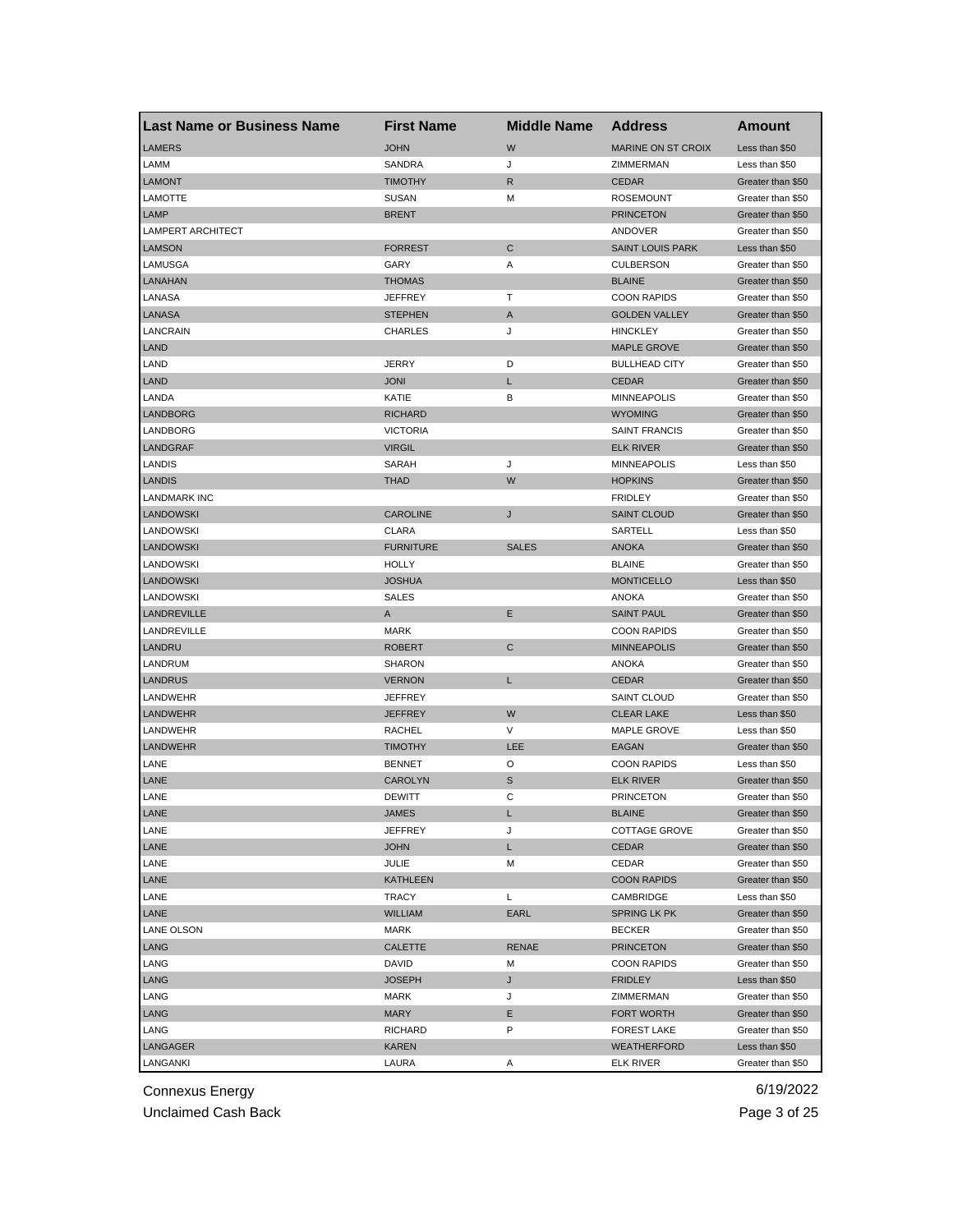| <b>Last Name or Business Name</b> | <b>First Name</b> | <b>Middle Name</b> | <b>Address</b>            | Amount            |
|-----------------------------------|-------------------|--------------------|---------------------------|-------------------|
| <b>LAMERS</b>                     | <b>JOHN</b>       | W                  | <b>MARINE ON ST CROIX</b> | Less than \$50    |
| LAMM                              | SANDRA            | J                  | ZIMMERMAN                 | Less than \$50    |
| <b>LAMONT</b>                     | <b>TIMOTHY</b>    | R                  | <b>CEDAR</b>              | Greater than \$50 |
| LAMOTTE                           | SUSAN             | м                  | <b>ROSEMOUNT</b>          | Greater than \$50 |
| LAMP                              | <b>BRENT</b>      |                    | <b>PRINCETON</b>          | Greater than \$50 |
| <b>LAMPERT ARCHITECT</b>          |                   |                    | ANDOVER                   | Greater than \$50 |
| <b>LAMSON</b>                     | <b>FORREST</b>    | C                  | <b>SAINT LOUIS PARK</b>   | Less than \$50    |
| LAMUSGA                           | GARY              | Α                  | <b>CULBERSON</b>          | Greater than \$50 |
| LANAHAN                           | <b>THOMAS</b>     |                    | <b>BLAINE</b>             | Greater than \$50 |
| LANASA                            | JEFFREY           | т                  | <b>COON RAPIDS</b>        | Greater than \$50 |
| LANASA                            | <b>STEPHEN</b>    | A                  | <b>GOLDEN VALLEY</b>      | Greater than \$50 |
| LANCRAIN                          | CHARLES           | J                  | <b>HINCKLEY</b>           | Greater than \$50 |
| <b>LAND</b>                       |                   |                    | <b>MAPLE GROVE</b>        | Greater than \$50 |
| LAND                              | JERRY             | D                  | <b>BULLHEAD CITY</b>      | Greater than \$50 |
| LAND                              | <b>JONI</b>       | L                  | <b>CEDAR</b>              | Greater than \$50 |
| LANDA                             | KATIE             | В                  | <b>MINNEAPOLIS</b>        | Greater than \$50 |
| <b>LANDBORG</b>                   | <b>RICHARD</b>    |                    | <b>WYOMING</b>            | Greater than \$50 |
| LANDBORG                          | <b>VICTORIA</b>   |                    | <b>SAINT FRANCIS</b>      | Greater than \$50 |
| LANDGRAF                          | <b>VIRGIL</b>     |                    | <b>ELK RIVER</b>          | Greater than \$50 |
| LANDIS                            | SARAH             | J                  | <b>MINNEAPOLIS</b>        | Less than \$50    |
| <b>LANDIS</b>                     | <b>THAD</b>       | W                  | <b>HOPKINS</b>            | Greater than \$50 |
| <b>LANDMARK INC</b>               |                   |                    | <b>FRIDLEY</b>            | Greater than \$50 |
| <b>LANDOWSKI</b>                  | <b>CAROLINE</b>   | J                  | <b>SAINT CLOUD</b>        | Greater than \$50 |
| LANDOWSKI                         | CLARA             |                    | SARTELL                   | Less than \$50    |
| <b>LANDOWSKI</b>                  | <b>FURNITURE</b>  | <b>SALES</b>       | <b>ANOKA</b>              | Greater than \$50 |
| LANDOWSKI                         | <b>HOLLY</b>      |                    | <b>BLAINE</b>             | Greater than \$50 |
| <b>LANDOWSKI</b>                  | <b>JOSHUA</b>     |                    | <b>MONTICELLO</b>         | Less than \$50    |
| LANDOWSKI                         | <b>SALES</b>      |                    | <b>ANOKA</b>              | Greater than \$50 |
| LANDREVILLE                       | Α                 | Е                  | <b>SAINT PAUL</b>         | Greater than \$50 |
| LANDREVILLE                       | <b>MARK</b>       |                    | <b>COON RAPIDS</b>        | Greater than \$50 |
| LANDRU                            | <b>ROBERT</b>     | C                  | <b>MINNEAPOLIS</b>        | Greater than \$50 |
| LANDRUM                           | <b>SHARON</b>     |                    | ANOKA                     | Greater than \$50 |
| <b>LANDRUS</b>                    | <b>VERNON</b>     | L                  | <b>CEDAR</b>              | Greater than \$50 |
| LANDWEHR                          | JEFFREY           |                    | <b>SAINT CLOUD</b>        | Greater than \$50 |
| <b>LANDWEHR</b>                   | <b>JEFFREY</b>    | W                  | <b>CLEAR LAKE</b>         | Less than \$50    |
| LANDWEHR                          | <b>RACHEL</b>     | V                  | MAPLE GROVE               | Less than \$50    |
| <b>LANDWEHR</b>                   | <b>TIMOTHY</b>    | <b>LEE</b>         | <b>EAGAN</b>              | Greater than \$50 |
| LANE                              | <b>BENNET</b>     | O                  | <b>COON RAPIDS</b>        | Less than \$50    |
| LANE                              | <b>CAROLYN</b>    | $\mathbb S$        | <b>ELK RIVER</b>          | Greater than \$50 |
| LANE                              | <b>DEWITT</b>     | C                  | <b>PRINCETON</b>          | Greater than \$50 |
| LANE                              | JAMES             | L.                 | <b>BLAINE</b>             | Greater than \$50 |
| LANE                              | JEFFREY           | J                  | COTTAGE GROVE             | Greater than \$50 |
| LANE                              | <b>JOHN</b>       | L                  | <b>CEDAR</b>              | Greater than \$50 |
| LANE                              | JULIE             | м                  | CEDAR                     | Greater than \$50 |
| LANE                              | <b>KATHLEEN</b>   |                    | <b>COON RAPIDS</b>        | Greater than \$50 |
| LANE                              | TRACY             | L                  | CAMBRIDGE                 | Less than \$50    |
| LANE                              | <b>WILLIAM</b>    | EARL               | SPRING LK PK              | Greater than \$50 |
| LANE OLSON                        | MARK              |                    | <b>BECKER</b>             | Greater than \$50 |
| LANG                              |                   | <b>RENAE</b>       | <b>PRINCETON</b>          | Greater than \$50 |
|                                   | CALETTE           |                    |                           | Greater than \$50 |
| LANG<br>LANG                      | DAVID             | М<br>J             | <b>COON RAPIDS</b>        |                   |
|                                   | <b>JOSEPH</b>     |                    | <b>FRIDLEY</b>            | Less than \$50    |
| LANG                              | MARK              | J                  | ZIMMERMAN                 | Greater than \$50 |
| LANG                              | <b>MARY</b>       | Е                  | FORT WORTH                | Greater than \$50 |
| LANG                              | RICHARD           | P                  | <b>FOREST LAKE</b>        | Greater than \$50 |
| LANGAGER                          | <b>KAREN</b>      |                    | WEATHERFORD               | Less than \$50    |
| LANGANKI                          | LAURA             | Α                  | <b>ELK RIVER</b>          | Greater than \$50 |

Unclaimed Cash Back **Page 3 of 25**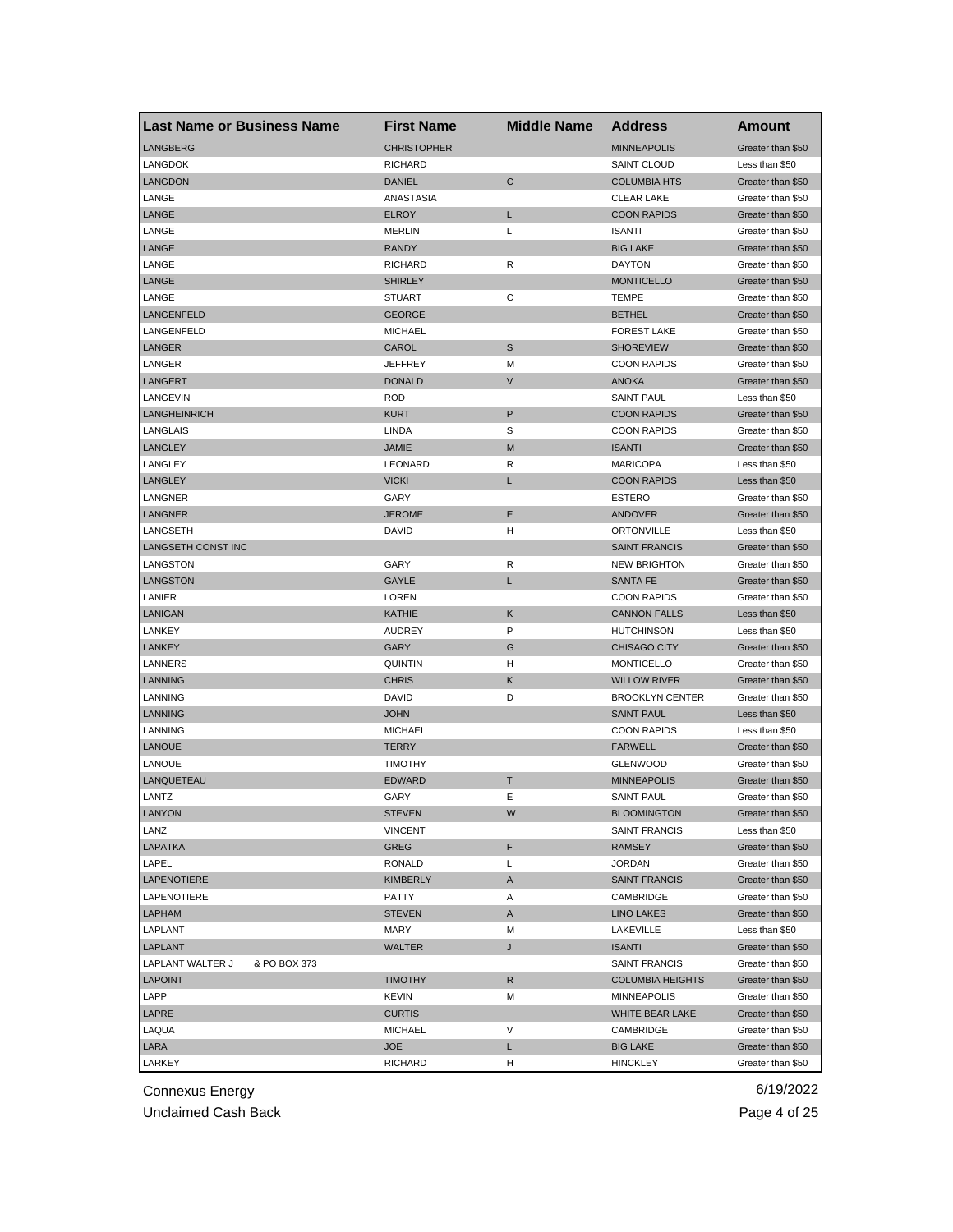| <b>Last Name or Business Name</b> | <b>First Name</b>               | <b>Middle Name</b> | <b>Address</b>          | <b>Amount</b>                    |
|-----------------------------------|---------------------------------|--------------------|-------------------------|----------------------------------|
| <b>LANGBERG</b>                   | <b>CHRISTOPHER</b>              |                    | <b>MINNEAPOLIS</b>      | Greater than \$50                |
| <b>LANGDOK</b>                    | <b>RICHARD</b>                  |                    | <b>SAINT CLOUD</b>      | Less than \$50                   |
| <b>LANGDON</b>                    | <b>DANIEL</b>                   | C                  | <b>COLUMBIA HTS</b>     | Greater than \$50                |
| LANGE                             | ANASTASIA                       |                    | <b>CLEAR LAKE</b>       | Greater than \$50                |
| LANGE                             | <b>ELROY</b>                    | L                  | <b>COON RAPIDS</b>      | Greater than \$50                |
| LANGE                             | <b>MERLIN</b>                   | L                  | <b>ISANTI</b>           | Greater than \$50                |
| LANGE                             | <b>RANDY</b>                    |                    | <b>BIG LAKE</b>         | Greater than \$50                |
| LANGE                             | <b>RICHARD</b>                  | R                  | <b>DAYTON</b>           | Greater than \$50                |
| LANGE                             | <b>SHIRLEY</b>                  |                    | <b>MONTICELLO</b>       | Greater than \$50                |
| LANGE                             | <b>STUART</b>                   | С                  | <b>TEMPE</b>            | Greater than \$50                |
| LANGENFELD                        | <b>GEORGE</b>                   |                    | <b>BETHEL</b>           | Greater than \$50                |
| LANGENFELD                        | <b>MICHAEL</b>                  |                    | <b>FOREST LAKE</b>      | Greater than \$50                |
| LANGER                            | CAROL                           | $\mathbb S$        | <b>SHOREVIEW</b>        | Greater than \$50                |
| LANGER                            | <b>JEFFREY</b>                  | M                  | <b>COON RAPIDS</b>      | Greater than \$50                |
| <b>LANGERT</b>                    | <b>DONALD</b>                   | V                  | <b>ANOKA</b>            | Greater than \$50                |
| LANGEVIN                          | <b>ROD</b>                      |                    | <b>SAINT PAUL</b>       | Less than \$50                   |
| <b>LANGHEINRICH</b>               | <b>KURT</b>                     | P                  | <b>COON RAPIDS</b>      | Greater than \$50                |
| LANGLAIS                          | LINDA                           | S                  | <b>COON RAPIDS</b>      | Greater than \$50                |
| <b>LANGLEY</b>                    | <b>JAMIE</b>                    | M                  | <b>ISANTI</b>           | Greater than \$50                |
| LANGLEY                           | LEONARD                         | R                  | <b>MARICOPA</b>         | Less than \$50                   |
| LANGLEY                           | <b>VICKI</b>                    | L                  | <b>COON RAPIDS</b>      | Less than \$50                   |
| LANGNER                           | GARY                            |                    | <b>ESTERO</b>           | Greater than \$50                |
| LANGNER                           | <b>JEROME</b>                   | Ε                  | <b>ANDOVER</b>          | Greater than \$50                |
| LANGSETH                          | <b>DAVID</b>                    | н                  | ORTONVILLE              | Less than \$50                   |
| LANGSETH CONST INC                |                                 |                    | <b>SAINT FRANCIS</b>    | Greater than \$50                |
| LANGSTON                          | GARY                            | R                  | <b>NEW BRIGHTON</b>     | Greater than \$50                |
| LANGSTON                          | GAYLE                           | L                  | <b>SANTA FE</b>         | Greater than \$50                |
| LANIER                            | LOREN                           |                    | <b>COON RAPIDS</b>      | Greater than \$50                |
| LANIGAN                           | <b>KATHIE</b>                   | Κ                  | <b>CANNON FALLS</b>     | Less than \$50                   |
| LANKEY                            | <b>AUDREY</b>                   | P                  | <b>HUTCHINSON</b>       | Less than \$50                   |
| <b>LANKEY</b>                     | GARY                            | G                  | <b>CHISAGO CITY</b>     | Greater than \$50                |
| LANNERS                           | <b>QUINTIN</b>                  | н                  | <b>MONTICELLO</b>       | Greater than \$50                |
| <b>LANNING</b>                    | <b>CHRIS</b>                    | Κ                  | <b>WILLOW RIVER</b>     | Greater than \$50                |
| LANNING                           | DAVID                           | D                  | <b>BROOKLYN CENTER</b>  | Greater than \$50                |
| <b>LANNING</b>                    | <b>JOHN</b>                     |                    | <b>SAINT PAUL</b>       |                                  |
| LANNING                           | <b>MICHAEL</b>                  |                    | <b>COON RAPIDS</b>      | Less than \$50<br>Less than \$50 |
|                                   |                                 |                    | <b>FARWELL</b>          |                                  |
| <b>LANOUE</b><br><b>LANOUE</b>    | <b>TERRY</b>                    |                    |                         | Greater than \$50                |
|                                   | <b>TIMOTHY</b><br><b>EDWARD</b> |                    | <b>GLENWOOD</b>         | Greater than \$50                |
| LANQUETEAU                        |                                 | т<br>Ε             | <b>MINNEAPOLIS</b>      | Greater than \$50                |
| LANTZ                             | GARY                            |                    | <b>SAINT PAUL</b>       | Greater than \$50                |
| LANYON                            | SIEVEN                          | W                  | <b>BLOOMINGTON</b>      | Greater than \$50                |
| LANZ                              | <b>VINCENT</b>                  |                    | <b>SAINT FRANCIS</b>    | Less than \$50                   |
| <b>LAPATKA</b>                    | <b>GREG</b>                     | F                  | <b>RAMSEY</b>           | Greater than \$50                |
| LAPEL                             | RONALD                          | Г                  | <b>JORDAN</b>           | Greater than \$50                |
| <b>LAPENOTIERE</b>                | <b>KIMBERLY</b>                 | Α                  | <b>SAINT FRANCIS</b>    | Greater than \$50                |
| LAPENOTIERE                       | PATTY                           | Α                  | CAMBRIDGE               | Greater than \$50                |
| LAPHAM                            | <b>STEVEN</b>                   | Α                  | <b>LINO LAKES</b>       | Greater than \$50                |
| LAPLANT                           | MARY                            | M                  | LAKEVILLE               | Less than \$50                   |
| LAPLANT                           | <b>WALTER</b>                   | J                  | <b>ISANTI</b>           | Greater than \$50                |
| LAPLANT WALTER J<br>& PO BOX 373  |                                 |                    | <b>SAINT FRANCIS</b>    | Greater than \$50                |
| <b>LAPOINT</b>                    | <b>TIMOTHY</b>                  | R                  | <b>COLUMBIA HEIGHTS</b> | Greater than \$50                |
| LAPP                              | KEVIN                           | M                  | <b>MINNEAPOLIS</b>      | Greater than \$50                |
| LAPRE                             | <b>CURTIS</b>                   |                    | WHITE BEAR LAKE         | Greater than \$50                |
| LAQUA                             | <b>MICHAEL</b>                  | V                  | CAMBRIDGE               | Greater than \$50                |
| LARA                              | <b>JOE</b>                      | L                  | <b>BIG LAKE</b>         | Greater than \$50                |
| LARKEY                            | <b>RICHARD</b>                  | H                  | <b>HINCKLEY</b>         | Greater than \$50                |

Unclaimed Cash Back **Page 4 of 25**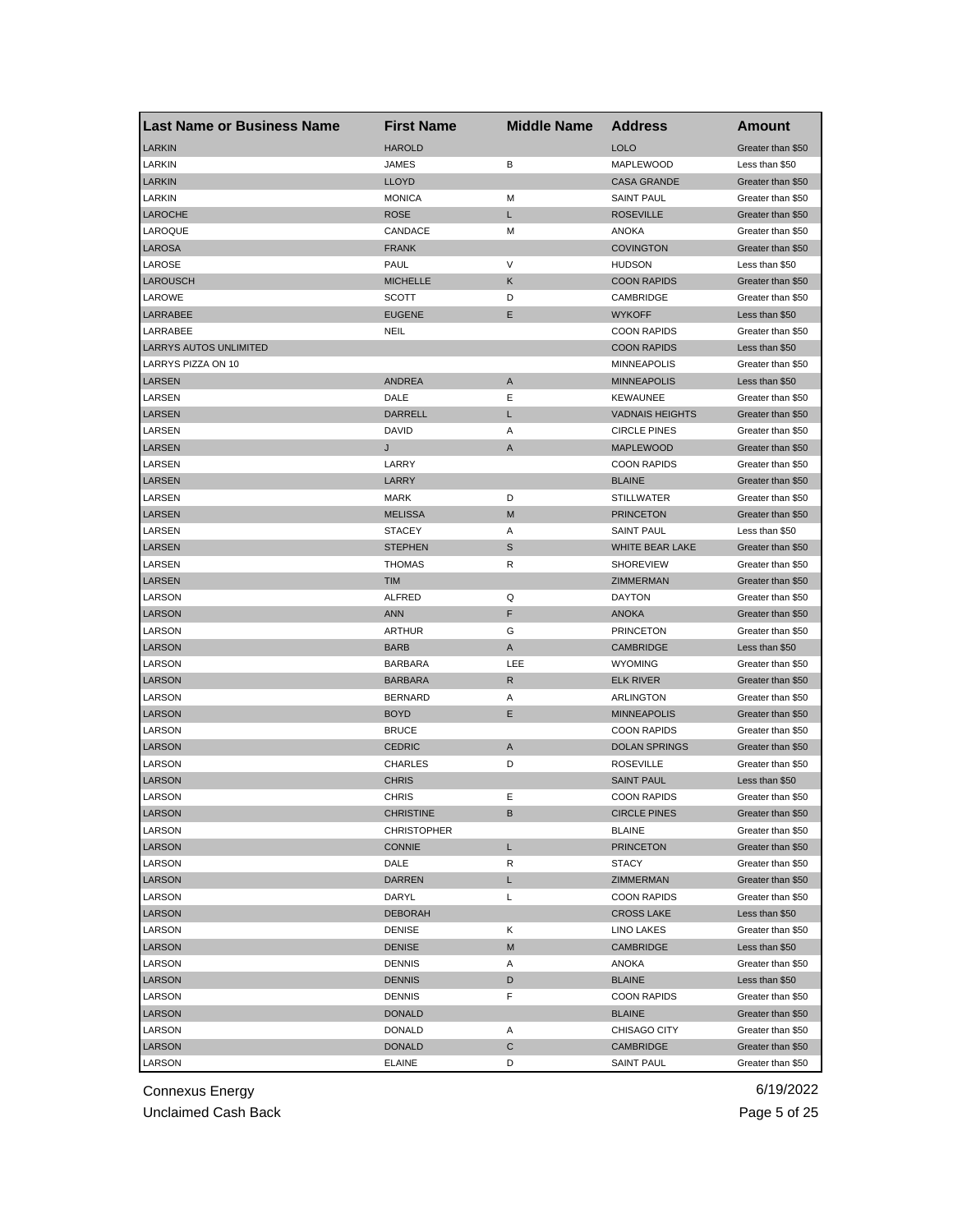| <b>Last Name or Business Name</b> | <b>First Name</b>       | <b>Middle Name</b> | <b>Address</b>                  | Amount                                 |
|-----------------------------------|-------------------------|--------------------|---------------------------------|----------------------------------------|
| <b>LARKIN</b>                     | <b>HAROLD</b>           |                    | <b>LOLO</b>                     | Greater than \$50                      |
| LARKIN                            | JAMES                   | В                  | <b>MAPLEWOOD</b>                | Less than \$50                         |
| <b>LARKIN</b>                     | <b>LLOYD</b>            |                    | <b>CASA GRANDE</b>              | Greater than \$50                      |
| LARKIN                            | <b>MONICA</b>           | М                  | <b>SAINT PAUL</b>               | Greater than \$50                      |
| <b>LAROCHE</b>                    | <b>ROSE</b>             | L                  | <b>ROSEVILLE</b>                | Greater than \$50                      |
| LAROQUE                           | CANDACE                 | M                  | ANOKA                           | Greater than \$50                      |
| <b>LAROSA</b>                     | <b>FRANK</b>            |                    | <b>COVINGTON</b>                | Greater than \$50                      |
| LAROSE                            | PAUL                    | V                  | <b>HUDSON</b>                   | Less than \$50                         |
| <b>LAROUSCH</b>                   | <b>MICHELLE</b>         | Κ                  | <b>COON RAPIDS</b>              | Greater than \$50                      |
| LAROWE                            | <b>SCOTT</b>            | D                  | CAMBRIDGE                       | Greater than \$50                      |
| LARRABEE                          | <b>EUGENE</b>           | Ε                  | <b>WYKOFF</b>                   | Less than \$50                         |
| LARRABEE                          | NEIL                    |                    | <b>COON RAPIDS</b>              | Greater than \$50                      |
| <b>LARRYS AUTOS UNLIMITED</b>     |                         |                    | <b>COON RAPIDS</b>              | Less than \$50                         |
| LARRYS PIZZA ON 10                |                         |                    | <b>MINNEAPOLIS</b>              | Greater than \$50                      |
| <b>LARSEN</b>                     | <b>ANDREA</b>           | A                  | <b>MINNEAPOLIS</b>              | Less than \$50                         |
| LARSEN                            | DALE                    | Ε                  | <b>KEWAUNEE</b>                 | Greater than \$50                      |
| LARSEN                            | <b>DARRELL</b>          | L                  | <b>VADNAIS HEIGHTS</b>          | Greater than \$50                      |
| LARSEN                            | DAVID                   | Α                  | <b>CIRCLE PINES</b>             | Greater than \$50                      |
| LARSEN                            | J                       | A                  | <b>MAPLEWOOD</b>                | Greater than \$50                      |
| LARSEN                            | LARRY                   |                    | <b>COON RAPIDS</b>              | Greater than \$50                      |
| <b>LARSEN</b>                     | LARRY                   |                    | <b>BLAINE</b>                   | Greater than \$50                      |
| LARSEN                            | MARK                    | D                  | <b>STILLWATER</b>               | Greater than \$50                      |
| <b>LARSEN</b>                     | <b>MELISSA</b>          | M                  | <b>PRINCETON</b>                | Greater than \$50                      |
| LARSEN                            | <b>STACEY</b>           | Α                  | <b>SAINT PAUL</b>               | Less than \$50                         |
| <b>LARSEN</b>                     | <b>STEPHEN</b>          | S                  | <b>WHITE BEAR LAKE</b>          | Greater than \$50                      |
| LARSEN                            | <b>THOMAS</b>           | R                  | <b>SHOREVIEW</b>                | Greater than \$50                      |
| <b>LARSEN</b>                     | <b>TIM</b>              |                    | ZIMMERMAN                       | Greater than \$50                      |
| LARSON                            | <b>ALFRED</b>           | Q                  | <b>DAYTON</b>                   | Greater than \$50                      |
| <b>LARSON</b>                     | <b>ANN</b>              | F                  | <b>ANOKA</b>                    | Greater than \$50                      |
| LARSON                            | <b>ARTHUR</b>           | G                  | <b>PRINCETON</b>                | Greater than \$50                      |
| <b>LARSON</b>                     | <b>BARB</b>             | Α                  | <b>CAMBRIDGE</b>                | Less than \$50                         |
| LARSON                            | <b>BARBARA</b>          | LEE                | <b>WYOMING</b>                  | Greater than \$50                      |
| <b>LARSON</b>                     | <b>BARBARA</b>          | R                  | <b>ELK RIVER</b>                |                                        |
| LARSON                            | <b>BERNARD</b>          | Α                  | <b>ARLINGTON</b>                | Greater than \$50<br>Greater than \$50 |
| <b>LARSON</b>                     | <b>BOYD</b>             | Е                  | <b>MINNEAPOLIS</b>              | Greater than \$50                      |
| LARSON                            | <b>BRUCE</b>            |                    | <b>COON RAPIDS</b>              | Greater than \$50                      |
| <b>LARSON</b>                     | <b>CEDRIC</b>           | A                  | <b>DOLAN SPRINGS</b>            | Greater than \$50                      |
| LARSON                            | CHARLES                 | D                  | <b>ROSEVILLE</b>                | Greater than \$50                      |
| <b>LARSON</b>                     | <b>CHRIS</b>            |                    | <b>SAINT PAUL</b>               |                                        |
| LARSON                            | <b>CHRIS</b>            | Ε                  | <b>COON RAPIDS</b>              | Less than \$50<br>Greater than \$50    |
| LARSON                            | <b>CHRISTINE</b>        |                    | CIRCLE PINES                    |                                        |
| LARSON                            | <b>CHRISTOPHER</b>      |                    | <b>BLAINE</b>                   | Greater than \$50<br>Greater than \$50 |
| <b>LARSON</b>                     | <b>CONNIE</b>           | L.                 | <b>PRINCETON</b>                | Greater than \$50                      |
| LARSON                            | DALE                    | R                  | <b>STACY</b>                    | Greater than \$50                      |
| <b>LARSON</b>                     | <b>DARREN</b>           | L.                 |                                 |                                        |
|                                   |                         | Г                  | ZIMMERMAN<br><b>COON RAPIDS</b> | Greater than \$50<br>Greater than \$50 |
| LARSON                            | DARYL<br><b>DEBORAH</b> |                    | <b>CROSS LAKE</b>               |                                        |
| <b>LARSON</b>                     |                         |                    |                                 | Less than \$50                         |
| LARSON                            | <b>DENISE</b>           | Κ                  | LINO LAKES                      | Greater than \$50                      |
| LARSON                            | <b>DENISE</b>           | M                  | <b>CAMBRIDGE</b>                | Less than \$50                         |
| LARSON                            | <b>DENNIS</b>           | Α                  | <b>ANOKA</b>                    | Greater than \$50                      |
| LARSON                            | <b>DENNIS</b>           | D                  | <b>BLAINE</b>                   | Less than \$50                         |
| LARSON                            | <b>DENNIS</b>           | F                  | <b>COON RAPIDS</b>              | Greater than \$50                      |
| LARSON                            | <b>DONALD</b>           |                    | <b>BLAINE</b>                   | Greater than \$50                      |
| LARSON                            | <b>DONALD</b>           | Α                  | CHISAGO CITY                    | Greater than \$50                      |
| LARSON                            | <b>DONALD</b>           | С                  | <b>CAMBRIDGE</b>                | Greater than \$50                      |
| LARSON                            | <b>ELAINE</b>           | D                  | SAINT PAUL                      | Greater than \$50                      |

Unclaimed Cash Back **Page 5 of 25**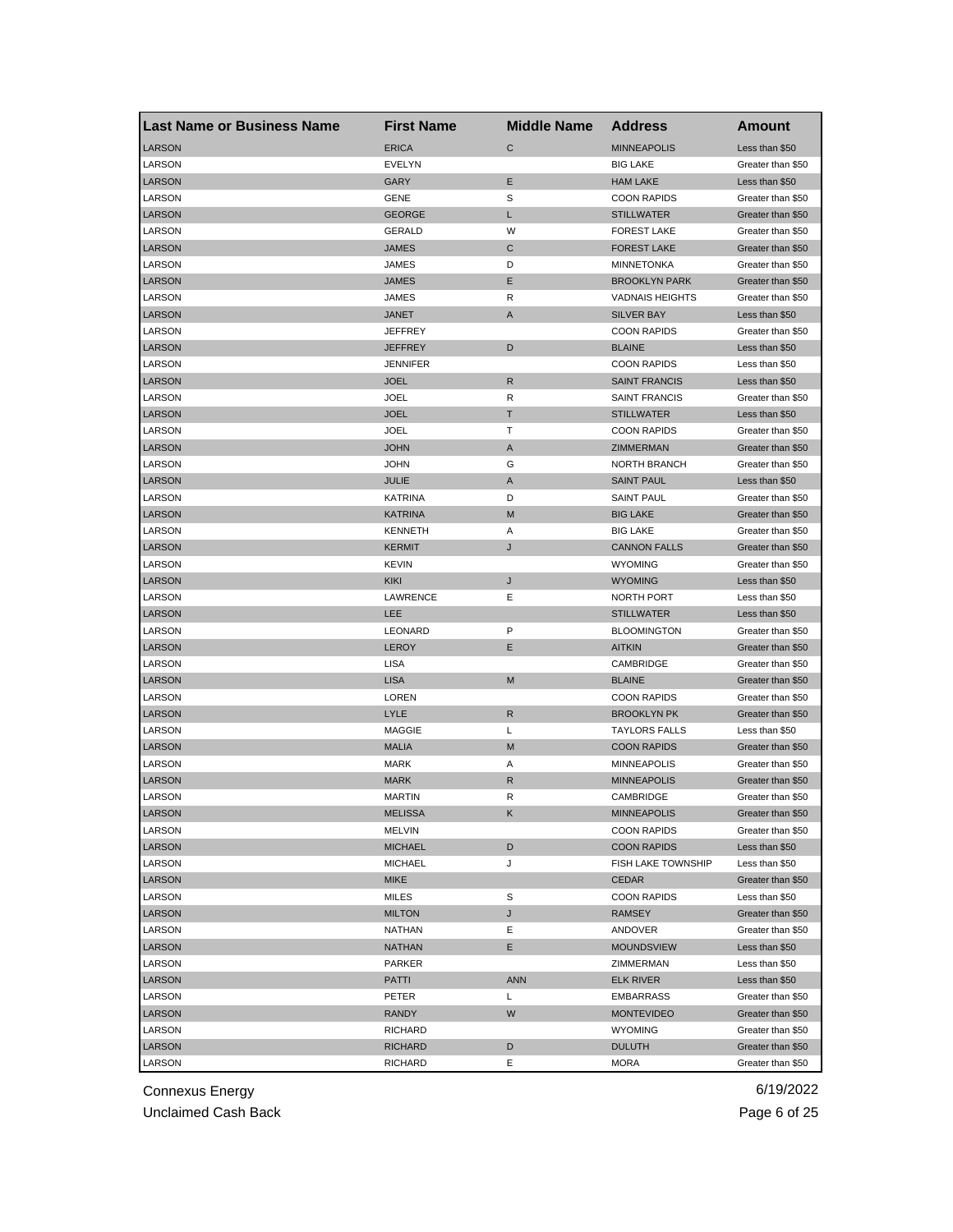| <b>Last Name or Business Name</b> | <b>First Name</b>       | <b>Middle Name</b> | <b>Address</b>               | Amount                           |
|-----------------------------------|-------------------------|--------------------|------------------------------|----------------------------------|
| <b>LARSON</b>                     | <b>ERICA</b>            | $\mathsf{C}$       | <b>MINNEAPOLIS</b>           | Less than \$50                   |
| LARSON                            | EVELYN                  |                    | <b>BIG LAKE</b>              | Greater than \$50                |
| <b>LARSON</b>                     | GARY                    | Е                  | <b>HAM LAKE</b>              | Less than \$50                   |
| LARSON                            | GENE                    | S                  | <b>COON RAPIDS</b>           | Greater than \$50                |
| <b>LARSON</b>                     | <b>GEORGE</b>           | L                  | <b>STILLWATER</b>            | Greater than \$50                |
| LARSON                            | <b>GERALD</b>           | W                  | <b>FOREST LAKE</b>           | Greater than \$50                |
| <b>LARSON</b>                     | JAMES                   | C                  | <b>FOREST LAKE</b>           | Greater than \$50                |
| LARSON                            | JAMES                   | D                  | <b>MINNETONKA</b>            | Greater than \$50                |
| <b>LARSON</b>                     | JAMES                   | Ε                  | <b>BROOKLYN PARK</b>         | Greater than \$50                |
| LARSON                            | JAMES                   | R                  | <b>VADNAIS HEIGHTS</b>       | Greater than \$50                |
| <b>LARSON</b>                     | <b>JANET</b>            | A                  | <b>SILVER BAY</b>            | Less than \$50                   |
| LARSON                            | <b>JEFFREY</b>          |                    | <b>COON RAPIDS</b>           | Greater than \$50                |
| <b>LARSON</b>                     | <b>JEFFREY</b>          | D                  | <b>BLAINE</b>                | Less than \$50                   |
| LARSON                            | <b>JENNIFER</b>         |                    | <b>COON RAPIDS</b>           | Less than \$50                   |
| <b>LARSON</b>                     | <b>JOEL</b>             | R                  | <b>SAINT FRANCIS</b>         | Less than \$50                   |
| LARSON                            | JOEL                    | R                  | <b>SAINT FRANCIS</b>         | Greater than \$50                |
| LARSON                            | JOEL                    | т                  | <b>STILLWATER</b>            | Less than \$50                   |
| LARSON                            | JOEL                    | т                  | <b>COON RAPIDS</b>           | Greater than \$50                |
| <b>LARSON</b>                     | <b>JOHN</b>             | A                  | <b>ZIMMERMAN</b>             | Greater than \$50                |
| LARSON                            | JOHN                    | G                  | <b>NORTH BRANCH</b>          | Greater than \$50                |
| <b>LARSON</b>                     | JULIE                   | A                  | <b>SAINT PAUL</b>            | Less than \$50                   |
| LARSON                            | <b>KATRINA</b>          | D                  | <b>SAINT PAUL</b>            | Greater than \$50                |
| <b>LARSON</b>                     | <b>KATRINA</b>          | M                  | <b>BIG LAKE</b>              | Greater than \$50                |
| LARSON                            | <b>KENNETH</b>          | Α                  | <b>BIG LAKE</b>              | Greater than \$50                |
| <b>LARSON</b>                     | <b>KERMIT</b>           | J                  | <b>CANNON FALLS</b>          | Greater than \$50                |
| LARSON                            | <b>KEVIN</b>            |                    | <b>WYOMING</b>               | Greater than \$50                |
| <b>LARSON</b>                     | <b>KIKI</b>             | J                  | <b>WYOMING</b>               | Less than \$50                   |
| LARSON                            | LAWRENCE                | Ε                  | <b>NORTH PORT</b>            | Less than \$50                   |
| <b>LARSON</b>                     | LEE                     |                    | <b>STILLWATER</b>            | Less than \$50                   |
| LARSON                            | LEONARD                 | P                  | <b>BLOOMINGTON</b>           | Greater than \$50                |
| <b>LARSON</b>                     | <b>LEROY</b>            | Ε                  | <b>AITKIN</b>                | Greater than \$50                |
| LARSON                            | <b>LISA</b>             |                    | CAMBRIDGE                    | Greater than \$50                |
| <b>LARSON</b>                     | <b>LISA</b>             | M                  | <b>BLAINE</b>                | Greater than \$50                |
| LARSON                            | LOREN                   |                    | <b>COON RAPIDS</b>           | Greater than \$50                |
| <b>LARSON</b>                     | <b>LYLE</b>             | R                  | <b>BROOKLYN PK</b>           | Greater than \$50                |
| LARSON                            | <b>MAGGIE</b>           | L                  | <b>TAYLORS FALLS</b>         | Less than \$50                   |
| <b>LARSON</b>                     | MALIA                   | M                  | <b>COON RAPIDS</b>           | Greater than \$50                |
| LARSON                            | <b>MARK</b>             | Α                  | <b>MINNEAPOLIS</b>           | Greater than \$50                |
| <b>LARSON</b>                     | <b>MARK</b>             | R                  | <b>MINNEAPOLIS</b>           | Greater than \$50                |
| LARSON                            | <b>MARTIN</b>           | R                  | CAMBRIDGE                    | Greater than \$50                |
| LARSON                            | MELISSA                 | K,                 | MINNEAPOLIS                  | Greater than \$50                |
| LARSON                            | MELVIN                  |                    | <b>COON RAPIDS</b>           | Greater than \$50                |
| LARSON                            | <b>MICHAEL</b>          | D                  | <b>COON RAPIDS</b>           | Less than \$50                   |
| LARSON                            | <b>MICHAEL</b>          | J                  | FISH LAKE TOWNSHIP           | Less than \$50                   |
| LARSON                            | MIKE                    |                    | <b>CEDAR</b>                 | Greater than \$50                |
| LARSON                            | MILES                   | S                  | <b>COON RAPIDS</b>           | Less than \$50                   |
| LARSON                            | <b>MILTON</b>           | J                  | <b>RAMSEY</b>                | Greater than \$50                |
|                                   |                         |                    |                              | Greater than \$50                |
| LARSON<br>LARSON                  | <b>NATHAN</b><br>NATHAN | Е<br>Е             | ANDOVER<br><b>MOUNDSVIEW</b> | Less than \$50                   |
|                                   |                         |                    |                              |                                  |
| LARSON                            | PARKER                  |                    | ZIMMERMAN                    | Less than \$50<br>Less than \$50 |
| LARSON                            | PATTI                   | <b>ANN</b>         | <b>ELK RIVER</b>             |                                  |
| LARSON                            | PETER                   | Г                  | <b>EMBARRASS</b>             | Greater than \$50                |
| LARSON                            | RANDY                   | W                  | <b>MONTEVIDEO</b>            | Greater than \$50                |
| LARSON                            | RICHARD                 |                    | <b>WYOMING</b>               | Greater than \$50                |
| LARSON                            | RICHARD                 | D                  | <b>DULUTH</b>                | Greater than \$50                |
| LARSON                            | RICHARD                 | Е                  | <b>MORA</b>                  | Greater than \$50                |

Unclaimed Cash Back **Page 6 of 25**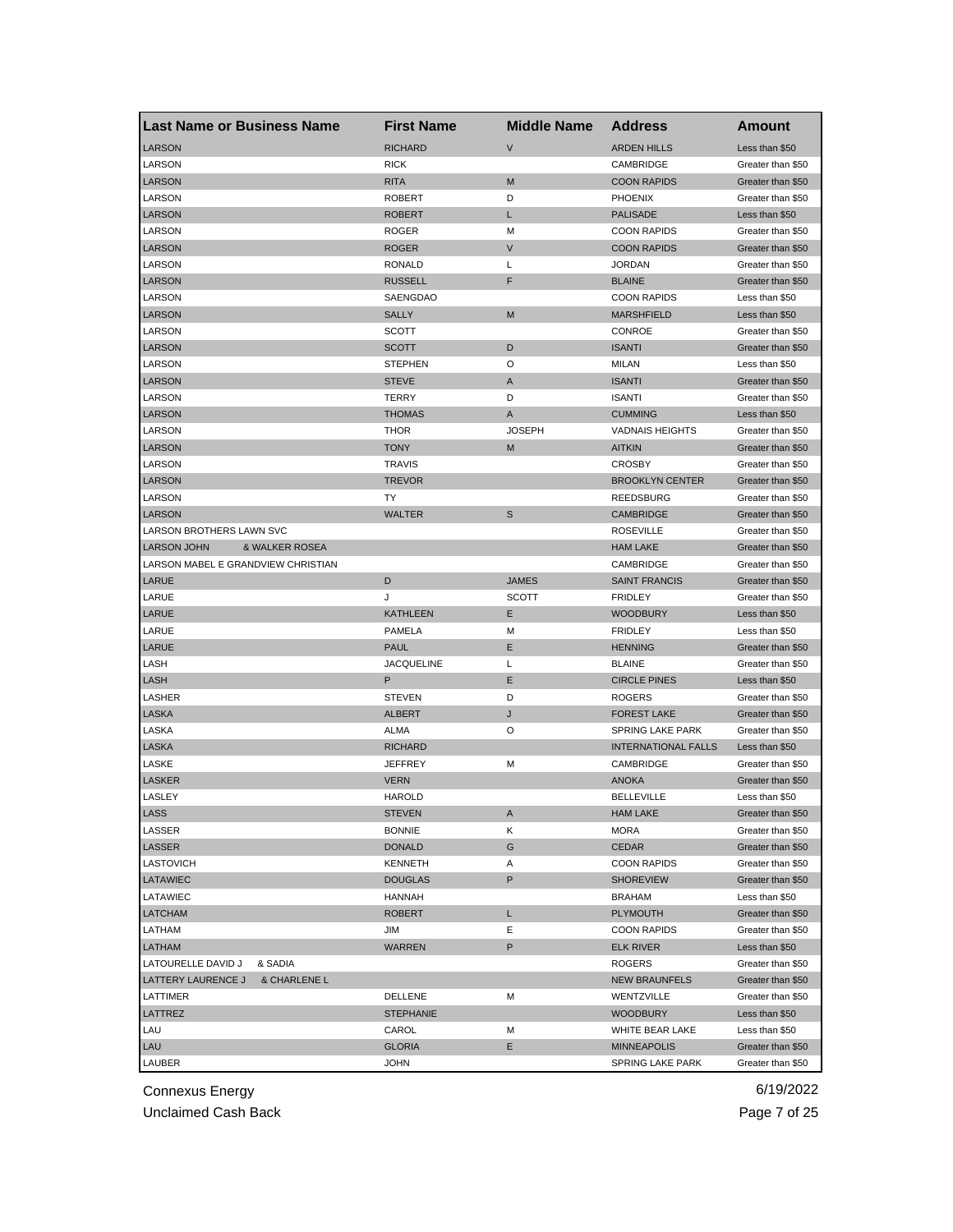| <b>Last Name or Business Name</b>    | <b>First Name</b> | <b>Middle Name</b> | <b>Address</b>                      | Amount                                 |
|--------------------------------------|-------------------|--------------------|-------------------------------------|----------------------------------------|
| <b>LARSON</b>                        | <b>RICHARD</b>    | $\vee$             | <b>ARDEN HILLS</b>                  | Less than \$50                         |
| LARSON                               | <b>RICK</b>       |                    | CAMBRIDGE                           | Greater than \$50                      |
| <b>LARSON</b>                        | <b>RITA</b>       | M                  | <b>COON RAPIDS</b>                  | Greater than \$50                      |
| LARSON                               | <b>ROBERT</b>     | D                  | <b>PHOENIX</b>                      | Greater than \$50                      |
| <b>LARSON</b>                        | ROBERT            | L                  | <b>PALISADE</b>                     | Less than \$50                         |
| LARSON                               | <b>ROGER</b>      | М                  | <b>COON RAPIDS</b>                  | Greater than \$50                      |
| <b>LARSON</b>                        | <b>ROGER</b>      | $\mathsf{V}$       | <b>COON RAPIDS</b>                  | Greater than \$50                      |
| LARSON                               | <b>RONALD</b>     | L                  | <b>JORDAN</b>                       | Greater than \$50                      |
| <b>LARSON</b>                        | <b>RUSSELL</b>    | F                  | <b>BLAINE</b>                       | Greater than \$50                      |
| LARSON                               | SAENGDAO          |                    | <b>COON RAPIDS</b>                  | Less than \$50                         |
| <b>LARSON</b>                        | <b>SALLY</b>      | M                  | <b>MARSHFIELD</b>                   | Less than \$50                         |
| LARSON                               | SCOTT             |                    | CONROE                              | Greater than \$50                      |
| <b>LARSON</b>                        | <b>SCOTT</b>      | D                  | <b>ISANTI</b>                       | Greater than \$50                      |
| LARSON                               | <b>STEPHEN</b>    | O                  | MILAN                               | Less than \$50                         |
| <b>LARSON</b>                        | <b>STEVE</b>      | A                  | <b>ISANTI</b>                       | Greater than \$50                      |
| LARSON                               | <b>TERRY</b>      | D                  | <b>ISANTI</b>                       | Greater than \$50                      |
| <b>LARSON</b>                        | <b>THOMAS</b>     | A                  | <b>CUMMING</b>                      | Less than \$50                         |
| LARSON                               | THOR              | <b>JOSEPH</b>      | <b>VADNAIS HEIGHTS</b>              | Greater than \$50                      |
| <b>LARSON</b>                        | <b>TONY</b>       | M                  | <b>AITKIN</b>                       | Greater than \$50                      |
| LARSON                               | TRAVIS            |                    | <b>CROSBY</b>                       | Greater than \$50                      |
| <b>LARSON</b>                        | <b>TREVOR</b>     |                    | <b>BROOKLYN CENTER</b>              | Greater than \$50                      |
| LARSON                               | TY                |                    | <b>REEDSBURG</b>                    | Greater than \$50                      |
| <b>LARSON</b>                        | <b>WALTER</b>     | S                  | <b>CAMBRIDGE</b>                    | Greater than \$50                      |
| LARSON BROTHERS LAWN SVC             |                   |                    | <b>ROSEVILLE</b>                    | Greater than \$50                      |
| <b>LARSON JOHN</b><br>& WALKER ROSEA |                   |                    | <b>HAM LAKE</b>                     | Greater than \$50                      |
| LARSON MABEL E GRANDVIEW CHRISTIAN   |                   |                    | CAMBRIDGE                           | Greater than \$50                      |
| LARUE                                | D                 | <b>JAMES</b>       | <b>SAINT FRANCIS</b>                | Greater than \$50                      |
| LARUE                                | J                 | <b>SCOTT</b>       | <b>FRIDLEY</b>                      | Greater than \$50                      |
| LARUE                                | <b>KATHLEEN</b>   | Е                  | <b>WOODBURY</b>                     | Less than \$50                         |
| LARUE                                | <b>PAMELA</b>     | м                  | <b>FRIDLEY</b>                      | Less than \$50                         |
| LARUE                                | <b>PAUL</b>       | Е                  | <b>HENNING</b>                      |                                        |
| LASH                                 | <b>JACQUELINE</b> | Г                  | <b>BLAINE</b>                       | Greater than \$50<br>Greater than \$50 |
|                                      | Ρ                 |                    |                                     |                                        |
| LASH                                 |                   | Е<br>D             | <b>CIRCLE PINES</b>                 | Less than \$50                         |
| LASHER                               | <b>STEVEN</b>     |                    | <b>ROGERS</b><br><b>FOREST LAKE</b> | Greater than \$50                      |
| LASKA                                | <b>ALBERT</b>     | J                  |                                     | Greater than \$50                      |
| LASKA                                | ALMA              | O                  | <b>SPRING LAKE PARK</b>             | Greater than \$50                      |
| <b>LASKA</b>                         | <b>RICHARD</b>    |                    | <b>INTERNATIONAL FALLS</b>          | Less than \$50                         |
| LASKE                                | JEFFREY           | M                  | CAMBRIDGE                           | Greater than \$50                      |
| <b>LASKER</b>                        | <b>VERN</b>       |                    | <b>ANOKA</b>                        | Greater than \$50                      |
| LASLEY                               | <b>HAROLD</b>     |                    | <b>BELLEVILLE</b>                   | Less than \$50                         |
| LASS                                 | <b>STEVEN</b>     | A                  | <b>HAM LAKE</b>                     | Greater than \$50                      |
| LASSER                               | <b>BONNIE</b>     | Κ                  | <b>MORA</b>                         | Greater than \$50                      |
| LASSER                               | <b>DONALD</b>     | G                  | <b>CEDAR</b>                        | Greater than \$50                      |
| LASTOVICH                            | KENNETH           | Α                  | <b>COON RAPIDS</b>                  | Greater than \$50                      |
| LATAWIEC                             | <b>DOUGLAS</b>    | P                  | <b>SHOREVIEW</b>                    | Greater than \$50                      |
| LATAWIEC                             | HANNAH            |                    | <b>BRAHAM</b>                       | Less than \$50                         |
| <b>LATCHAM</b>                       | <b>ROBERT</b>     | L                  | PLYMOUTH                            | Greater than \$50                      |
| LATHAM                               | JIM               | Е                  | <b>COON RAPIDS</b>                  | Greater than \$50                      |
| LATHAM                               | <b>WARREN</b>     | P                  | <b>ELK RIVER</b>                    | Less than \$50                         |
| LATOURELLE DAVID J<br>& SADIA        |                   |                    | ROGERS                              | Greater than \$50                      |
| LATTERY LAURENCE J<br>& CHARLENE L   |                   |                    | <b>NEW BRAUNFELS</b>                | Greater than \$50                      |
| LATTIMER                             | DELLENE           | М                  | WENTZVILLE                          | Greater than \$50                      |
| LATTREZ                              | <b>STEPHANIE</b>  |                    | WOODBURY                            | Less than \$50                         |
| LAU                                  | CAROL             | М                  | WHITE BEAR LAKE                     | Less than \$50                         |
| LAU                                  | <b>GLORIA</b>     | Е                  | <b>MINNEAPOLIS</b>                  | Greater than \$50                      |
| LAUBER                               | JOHN              |                    | SPRING LAKE PARK                    | Greater than \$50                      |

Unclaimed Cash Back **Page 7 of 25**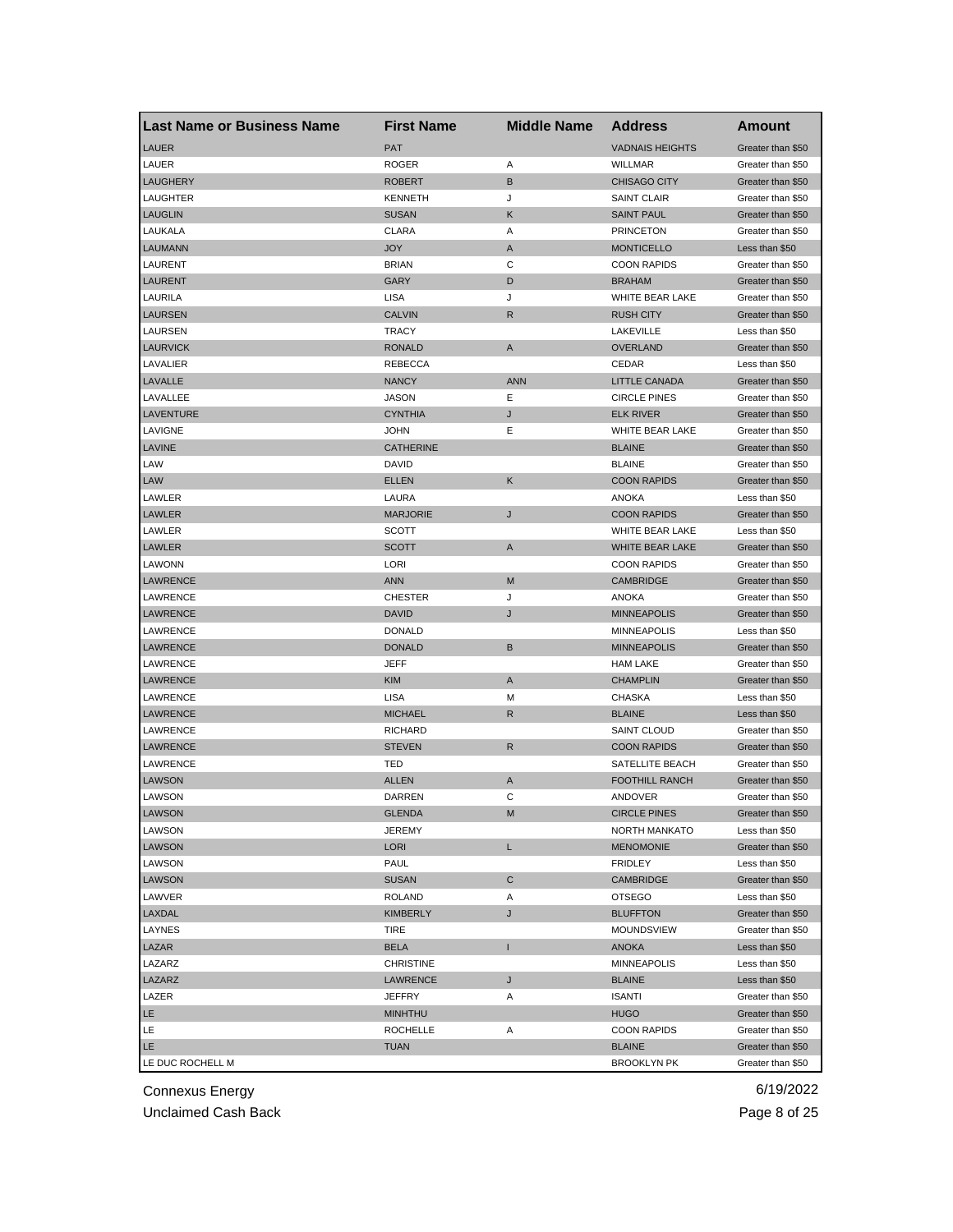| <b>Last Name or Business Name</b> | <b>First Name</b>   | <b>Middle Name</b> | <b>Address</b>         | Amount            |
|-----------------------------------|---------------------|--------------------|------------------------|-------------------|
| <b>LAUER</b>                      | <b>PAT</b>          |                    | <b>VADNAIS HEIGHTS</b> | Greater than \$50 |
| LAUER                             | <b>ROGER</b>        | Α                  | <b>WILLMAR</b>         | Greater than \$50 |
| <b>LAUGHERY</b>                   | <b>ROBERT</b>       | B                  | <b>CHISAGO CITY</b>    | Greater than \$50 |
| LAUGHTER                          | <b>KENNETH</b>      | J                  | <b>SAINT CLAIR</b>     | Greater than \$50 |
| <b>LAUGLIN</b>                    | <b>SUSAN</b>        | Κ                  | <b>SAINT PAUL</b>      | Greater than \$50 |
| LAUKALA                           | <b>CLARA</b>        | Α                  | <b>PRINCETON</b>       | Greater than \$50 |
| <b>LAUMANN</b>                    | JOY                 | A                  | <b>MONTICELLO</b>      | Less than \$50    |
| LAURENT                           | <b>BRIAN</b>        | С                  | <b>COON RAPIDS</b>     | Greater than \$50 |
| <b>LAURENT</b>                    | GARY                | D                  | <b>BRAHAM</b>          | Greater than \$50 |
| LAURILA                           | <b>LISA</b>         | J                  | <b>WHITE BEAR LAKE</b> | Greater than \$50 |
| <b>LAURSEN</b>                    | <b>CALVIN</b>       | R                  | <b>RUSH CITY</b>       | Greater than \$50 |
| LAURSEN                           | TRACY               |                    | LAKEVILLE              | Less than \$50    |
| <b>LAURVICK</b>                   | <b>RONALD</b>       | A                  | <b>OVERLAND</b>        | Greater than \$50 |
| LAVALIER                          | <b>REBECCA</b>      |                    | CEDAR                  | Less than \$50    |
| LAVALLE                           | <b>NANCY</b>        | <b>ANN</b>         | LITTLE CANADA          | Greater than \$50 |
| LAVALLEE                          | JASON               | Ε                  | <b>CIRCLE PINES</b>    | Greater than \$50 |
| LAVENTURE                         | <b>CYNTHIA</b>      | J                  | <b>ELK RIVER</b>       | Greater than \$50 |
| LAVIGNE                           | JOHN                | Е                  | WHITE BEAR LAKE        | Greater than \$50 |
| <b>LAVINE</b>                     | <b>CATHERINE</b>    |                    | <b>BLAINE</b>          | Greater than \$50 |
| LAW                               | DAVID               |                    | <b>BLAINE</b>          | Greater than \$50 |
| LAW                               | <b>ELLEN</b>        | Κ                  | <b>COON RAPIDS</b>     | Greater than \$50 |
| LAWLER                            | LAURA               |                    | <b>ANOKA</b>           | Less than \$50    |
| LAWLER                            | <b>MARJORIE</b>     | J                  | <b>COON RAPIDS</b>     | Greater than \$50 |
| LAWLER                            | SCOTT               |                    | WHITE BEAR LAKE        | Less than \$50    |
| LAWLER                            | <b>SCOTT</b>        | A                  | WHITE BEAR LAKE        | Greater than \$50 |
| LAWONN                            | LORI                |                    | <b>COON RAPIDS</b>     | Greater than \$50 |
| LAWRENCE                          | <b>ANN</b>          | M                  | <b>CAMBRIDGE</b>       | Greater than \$50 |
| LAWRENCE                          | <b>CHESTER</b>      | J                  | <b>ANOKA</b>           | Greater than \$50 |
| LAWRENCE                          | <b>DAVID</b>        | J                  | <b>MINNEAPOLIS</b>     | Greater than \$50 |
| LAWRENCE                          | <b>DONALD</b>       |                    | <b>MINNEAPOLIS</b>     | Less than \$50    |
| <b>LAWRENCE</b>                   | <b>DONALD</b>       | B                  | <b>MINNEAPOLIS</b>     | Greater than \$50 |
| LAWRENCE                          | JEFF                |                    | <b>HAM LAKE</b>        | Greater than \$50 |
| <b>LAWRENCE</b>                   | <b>KIM</b>          | A                  | <b>CHAMPLIN</b>        | Greater than \$50 |
| LAWRENCE                          | LISA                | М                  | CHASKA                 | Less than \$50    |
| LAWRENCE                          | <b>MICHAEL</b>      | R                  | <b>BLAINE</b>          | Less than \$50    |
| LAWRENCE                          | <b>RICHARD</b>      |                    | <b>SAINT CLOUD</b>     | Greater than \$50 |
| LAWRENCE                          | <b>STEVEN</b>       | R                  | <b>COON RAPIDS</b>     | Greater than \$50 |
| LAWRENCE                          | TED                 |                    | SATELLITE BEACH        | Greater than \$50 |
| <b>LAWSON</b>                     | <b>ALLEN</b>        | A                  | <b>FOOTHILL RANCH</b>  | Greater than \$50 |
| LAWSON                            | DARREN              | C                  | ANDOVER                | Greater than \$50 |
| LAWSON                            | <b>GLENDA</b>       | M                  | <b>CIRCLE PINES</b>    | Greater than \$50 |
| LAWSON                            | JEREMY              |                    | NORTH MANKATO          | Less than \$50    |
| <b>LAWSON</b>                     | LORI                | L.                 | <b>MENOMONIE</b>       | Greater than \$50 |
| LAWSON                            | PAUL                |                    | FRIDLEY                | Less than \$50    |
| LAWSON                            | <b>SUSAN</b>        | C                  | CAMBRIDGE              | Greater than \$50 |
| LAWVER                            | <b>ROLAND</b>       | Α                  | <b>OTSEGO</b>          | Less than \$50    |
| LAXDAL                            | <b>KIMBERLY</b>     |                    | <b>BLUFFTON</b>        | Greater than \$50 |
|                                   |                     | J                  |                        |                   |
| LAYNES                            | TIRE<br><b>BELA</b> | п                  | <b>MOUNDSVIEW</b>      | Greater than \$50 |
| LAZAR                             |                     |                    | ANOKA                  | Less than \$50    |
| LAZARZ                            | <b>CHRISTINE</b>    |                    | <b>MINNEAPOLIS</b>     | Less than \$50    |
| LAZARZ                            | LAWRENCE            | J                  | <b>BLAINE</b>          | Less than \$50    |
| LAZER                             | JEFFRY              | Α                  | <b>ISANTI</b>          | Greater than \$50 |
| LE.                               | MINHTHU             |                    | <b>HUGO</b>            | Greater than \$50 |
| LE.                               | <b>ROCHELLE</b>     | Α                  | <b>COON RAPIDS</b>     | Greater than \$50 |
| LE.                               | <b>TUAN</b>         |                    | <b>BLAINE</b>          | Greater than \$50 |
| LE DUC ROCHELL M                  |                     |                    | <b>BROOKLYN PK</b>     | Greater than \$50 |

Unclaimed Cash Back **Page 8 of 25**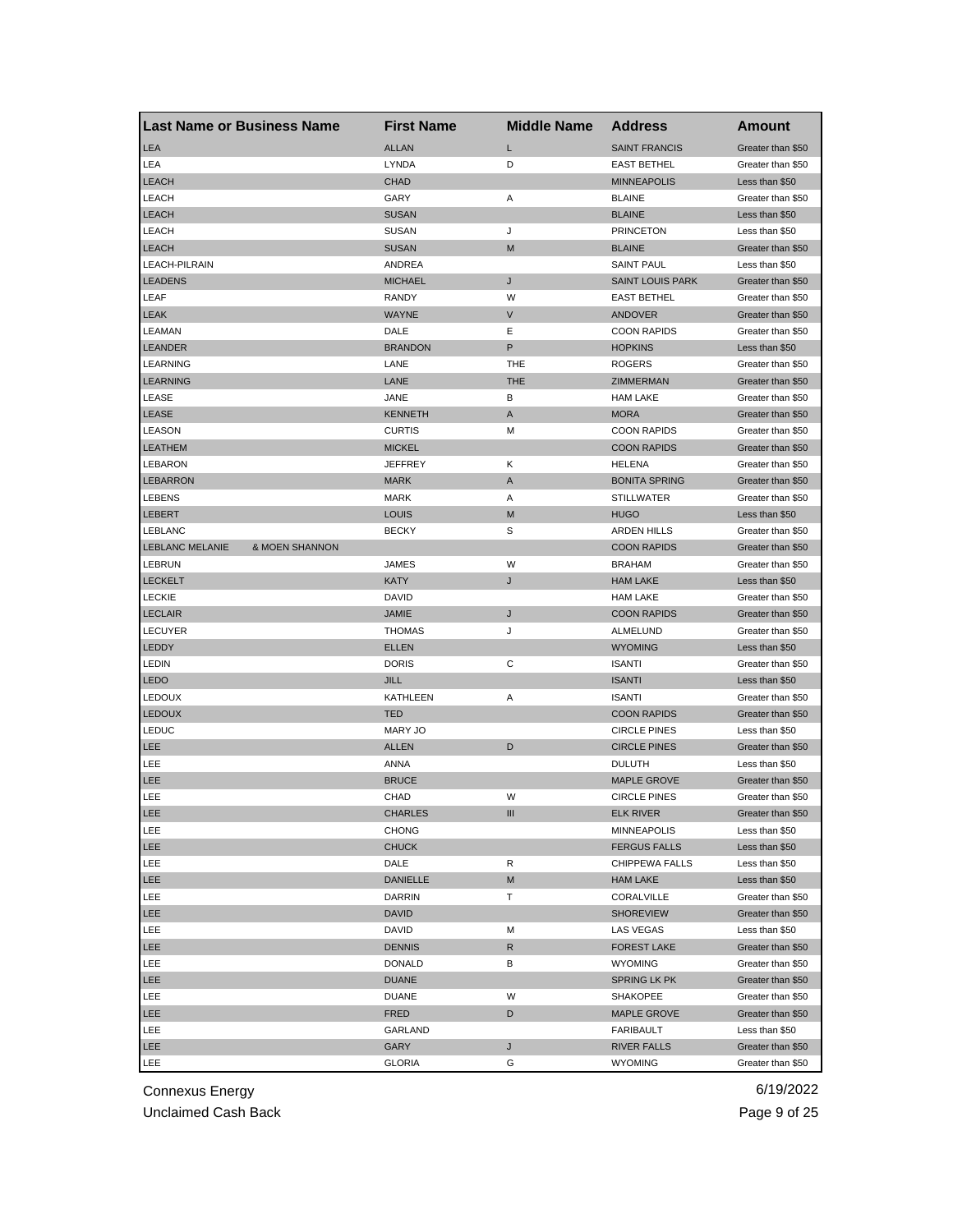| <b>Last Name or Business Name</b> |                           | <b>First Name</b>     | <b>Middle Name</b> | <b>Address</b>                            | Amount            |
|-----------------------------------|---------------------------|-----------------------|--------------------|-------------------------------------------|-------------------|
| LEA                               |                           | <b>ALLAN</b>          | L                  | <b>SAINT FRANCIS</b>                      | Greater than \$50 |
| LEA                               |                           | LYNDA                 | D                  | <b>EAST BETHEL</b>                        | Greater than \$50 |
| <b>LEACH</b>                      |                           | <b>CHAD</b>           |                    | <b>MINNEAPOLIS</b>                        | Less than \$50    |
| LEACH                             |                           | GARY                  | Α                  | <b>BLAINE</b>                             | Greater than \$50 |
| <b>LEACH</b>                      |                           | <b>SUSAN</b>          |                    | <b>BLAINE</b>                             | Less than \$50    |
| <b>LEACH</b>                      |                           | <b>SUSAN</b>          | J                  | <b>PRINCETON</b>                          | Less than \$50    |
| <b>LEACH</b>                      |                           | <b>SUSAN</b>          | M                  | <b>BLAINE</b>                             | Greater than \$50 |
| LEACH-PILRAIN                     |                           | ANDREA                |                    | <b>SAINT PAUL</b>                         | Less than \$50    |
| <b>LEADENS</b>                    |                           | <b>MICHAEL</b>        | J                  | <b>SAINT LOUIS PARK</b>                   | Greater than \$50 |
| LEAF                              |                           | RANDY                 | W                  | <b>EAST BETHEL</b>                        | Greater than \$50 |
| <b>LEAK</b>                       |                           | <b>WAYNE</b>          | V                  | ANDOVER                                   | Greater than \$50 |
| LEAMAN                            |                           | DALE                  | Ε                  | <b>COON RAPIDS</b>                        | Greater than \$50 |
| <b>LEANDER</b>                    |                           | <b>BRANDON</b>        | P                  | <b>HOPKINS</b>                            | Less than \$50    |
| LEARNING                          |                           | LANE                  | THE                | <b>ROGERS</b>                             | Greater than \$50 |
| <b>LEARNING</b>                   |                           | LANE                  | <b>THE</b>         | ZIMMERMAN                                 | Greater than \$50 |
| LEASE                             |                           | JANE                  | В                  | <b>HAM LAKE</b>                           | Greater than \$50 |
| LEASE                             |                           | <b>KENNETH</b>        | A                  | <b>MORA</b>                               | Greater than \$50 |
| <b>LEASON</b>                     |                           | <b>CURTIS</b>         | М                  | <b>COON RAPIDS</b>                        | Greater than \$50 |
| <b>LEATHEM</b>                    |                           | <b>MICKEL</b>         |                    | <b>COON RAPIDS</b>                        | Greater than \$50 |
| LEBARON                           |                           | <b>JEFFREY</b>        | Κ                  | <b>HELENA</b>                             | Greater than \$50 |
| <b>LEBARRON</b>                   |                           | <b>MARK</b>           | A                  | <b>BONITA SPRING</b>                      | Greater than \$50 |
| <b>LEBENS</b>                     |                           | <b>MARK</b>           | Α                  | <b>STILLWATER</b>                         | Greater than \$50 |
| <b>LEBERT</b>                     |                           | LOUIS                 | M                  | <b>HUGO</b>                               | Less than \$50    |
| LEBLANC                           |                           | <b>BECKY</b>          | S                  | <b>ARDEN HILLS</b>                        | Greater than \$50 |
| <b>LEBLANC MELANIE</b>            | <b>&amp; MOEN SHANNON</b> |                       |                    | <b>COON RAPIDS</b>                        | Greater than \$50 |
| LEBRUN                            |                           | JAMES                 | W                  | <b>BRAHAM</b>                             | Greater than \$50 |
| <b>LECKELT</b>                    |                           | <b>KATY</b>           | J                  | <b>HAM LAKE</b>                           | Less than \$50    |
| <b>LECKIE</b>                     |                           | DAVID                 |                    | <b>HAM LAKE</b>                           | Greater than \$50 |
| <b>LECLAIR</b>                    |                           | <b>JAMIE</b>          | J                  | <b>COON RAPIDS</b>                        | Greater than \$50 |
| LECUYER                           |                           | <b>THOMAS</b>         | J                  | ALMELUND                                  | Greater than \$50 |
| <b>LEDDY</b>                      |                           | <b>ELLEN</b>          |                    | <b>WYOMING</b>                            | Less than \$50    |
| <b>LEDIN</b>                      |                           | <b>DORIS</b>          | С                  | <b>ISANTI</b>                             | Greater than \$50 |
| <b>LEDO</b>                       |                           | <b>JILL</b>           |                    | <b>ISANTI</b>                             | Less than \$50    |
| <b>LEDOUX</b>                     |                           | KATHLEEN              |                    | <b>ISANTI</b>                             | Greater than \$50 |
|                                   |                           |                       | Α                  |                                           | Greater than \$50 |
| <b>LEDOUX</b><br>LEDUC            |                           | <b>TED</b><br>MARY JO |                    | <b>COON RAPIDS</b><br><b>CIRCLE PINES</b> | Less than \$50    |
|                                   |                           | <b>ALLEN</b>          |                    | <b>CIRCLE PINES</b>                       |                   |
| LEE                               |                           |                       | D                  | <b>DULUTH</b>                             | Greater than \$50 |
| LEE                               |                           | ANNA<br><b>BRUCE</b>  |                    |                                           | Less than \$50    |
| LEE                               |                           |                       |                    | <b>MAPLE GROVE</b>                        | Greater than \$50 |
| LEE                               |                           | CHAD                  | W                  | <b>CIRCLE PINES</b>                       | Greater than \$50 |
| LEE                               |                           | CHARLES               | Ш                  | <b>ELK RIVER</b>                          | Greater than \$50 |
| LEE                               |                           | <b>CHONG</b>          |                    | MINNEAPOLIS                               | Less than \$50    |
| LEE                               |                           | <b>CHUCK</b>          |                    | <b>FERGUS FALLS</b>                       | Less than \$50    |
| LEE                               |                           | DALE                  | R                  | CHIPPEWA FALLS                            | Less than \$50    |
| LEE                               |                           | DANIELLE              | M                  | <b>HAM LAKE</b>                           | Less than \$50    |
| LEE                               |                           | <b>DARRIN</b>         | т                  | CORALVILLE                                | Greater than \$50 |
| LEE                               |                           | <b>DAVID</b>          |                    | <b>SHOREVIEW</b>                          | Greater than \$50 |
| LEE                               |                           | DAVID                 | M                  | LAS VEGAS                                 | Less than \$50    |
| LEE                               |                           | <b>DENNIS</b>         | R                  | <b>FOREST LAKE</b>                        | Greater than \$50 |
| LEE                               |                           | <b>DONALD</b>         | В                  | <b>WYOMING</b>                            | Greater than \$50 |
| LEE                               |                           | <b>DUANE</b>          |                    | <b>SPRING LK PK</b>                       | Greater than \$50 |
| LEE                               |                           | <b>DUANE</b>          | W                  | SHAKOPEE                                  | Greater than \$50 |
| LEE                               |                           | FRED                  | D                  | <b>MAPLE GROVE</b>                        | Greater than \$50 |
| LEE                               |                           | GARLAND               |                    | FARIBAULT                                 | Less than \$50    |
| <b>LEE</b>                        |                           | <b>GARY</b>           | J                  | <b>RIVER FALLS</b>                        | Greater than \$50 |
| LEE                               |                           | GLORIA                | G                  | <b>WYOMING</b>                            | Greater than \$50 |

Unclaimed Cash Back **Page 9 of 25**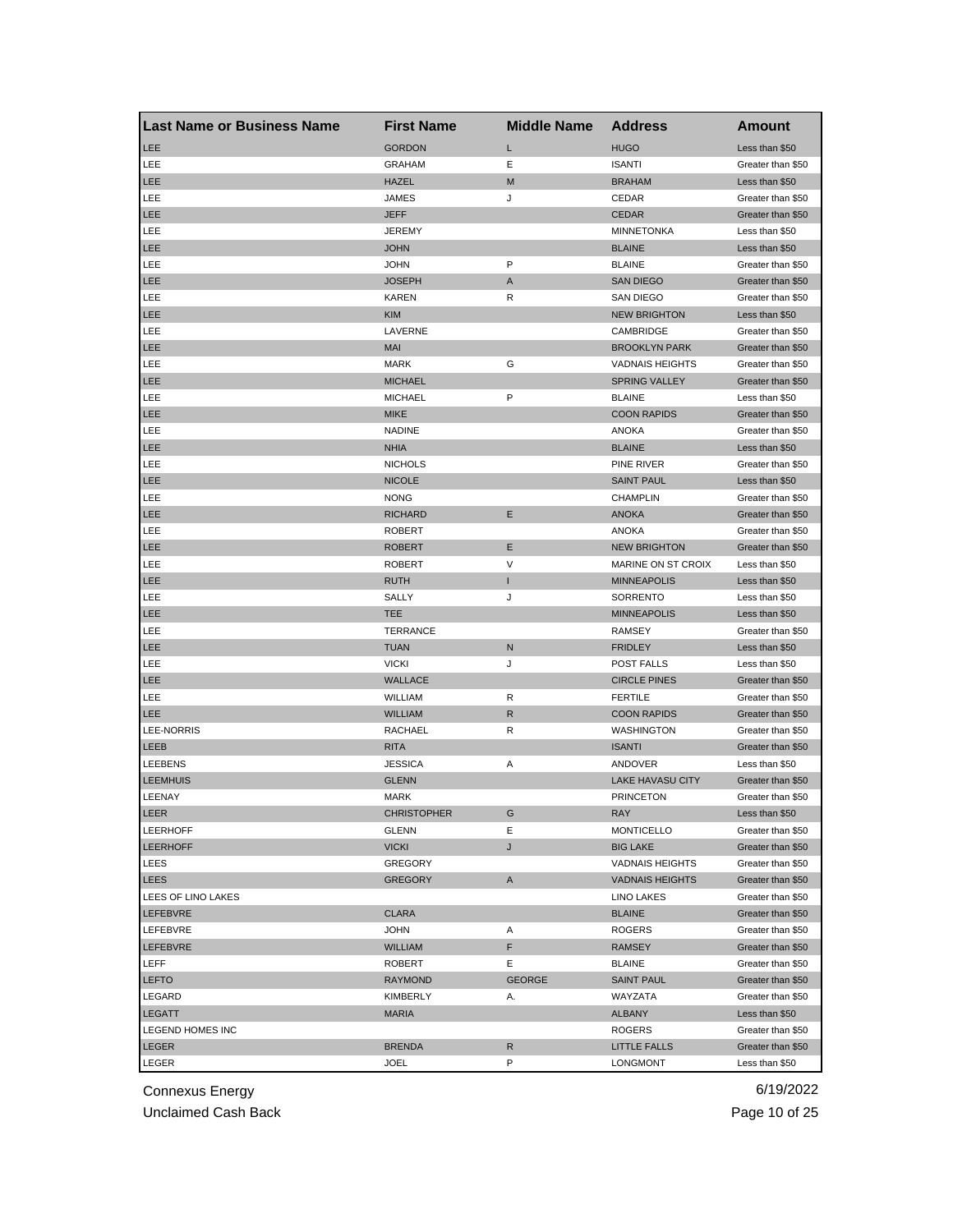| Last Name or Business Name | <b>First Name</b>  | <b>Middle Name</b> | Address                 | Amount            |
|----------------------------|--------------------|--------------------|-------------------------|-------------------|
| <b>LEE</b>                 | <b>GORDON</b>      | L                  | <b>HUGO</b>             | Less than \$50    |
| LEE                        | <b>GRAHAM</b>      | Ε                  | <b>ISANTI</b>           | Greater than \$50 |
| <b>LEE</b>                 | <b>HAZEL</b>       | M                  | <b>BRAHAM</b>           | Less than \$50    |
| LEE                        | JAMES              | J                  | CEDAR                   | Greater than \$50 |
| LEE                        | <b>JEFF</b>        |                    | <b>CEDAR</b>            | Greater than \$50 |
| LEE                        | <b>JEREMY</b>      |                    | <b>MINNETONKA</b>       | Less than \$50    |
| <b>LEE</b>                 | <b>JOHN</b>        |                    | <b>BLAINE</b>           | Less than \$50    |
| LEE                        | <b>JOHN</b>        | P                  | <b>BLAINE</b>           | Greater than \$50 |
| <b>LEE</b>                 | <b>JOSEPH</b>      | Α                  | <b>SAN DIEGO</b>        | Greater than \$50 |
| LEE                        | <b>KAREN</b>       | R                  | SAN DIEGO               | Greater than \$50 |
| <b>LEE</b>                 | <b>KIM</b>         |                    | <b>NEW BRIGHTON</b>     | Less than \$50    |
| LEE                        | LAVERNE            |                    | CAMBRIDGE               | Greater than \$50 |
| LEE                        | MAI                |                    | <b>BROOKLYN PARK</b>    | Greater than \$50 |
| LEE                        | MARK               | G                  | <b>VADNAIS HEIGHTS</b>  | Greater than \$50 |
| <b>LEE</b>                 | <b>MICHAEL</b>     |                    | <b>SPRING VALLEY</b>    | Greater than \$50 |
| LEE                        | <b>MICHAEL</b>     | P                  | <b>BLAINE</b>           | Less than \$50    |
| <b>LEE</b>                 | <b>MIKE</b>        |                    | <b>COON RAPIDS</b>      | Greater than \$50 |
| LEE                        | <b>NADINE</b>      |                    | ANOKA                   | Greater than \$50 |
| <b>LEE</b>                 | <b>NHIA</b>        |                    | <b>BLAINE</b>           | Less than \$50    |
| LEE                        | <b>NICHOLS</b>     |                    | PINE RIVER              | Greater than \$50 |
| <b>LEE</b>                 | <b>NICOLE</b>      |                    | <b>SAINT PAUL</b>       | Less than \$50    |
| LEE                        | <b>NONG</b>        |                    | <b>CHAMPLIN</b>         | Greater than \$50 |
| LEE                        | <b>RICHARD</b>     | E                  | <b>ANOKA</b>            | Greater than \$50 |
| LEE                        | <b>ROBERT</b>      |                    | <b>ANOKA</b>            | Greater than \$50 |
| <b>LEE</b>                 | <b>ROBERT</b>      | Ε                  | <b>NEW BRIGHTON</b>     | Greater than \$50 |
| LEE                        | <b>ROBERT</b>      | V                  | MARINE ON ST CROIX      | Less than \$50    |
| <b>LEE</b>                 | <b>RUTH</b>        | L                  | <b>MINNEAPOLIS</b>      | Less than \$50    |
| LEE                        | SALLY              | J                  | SORRENTO                | Less than \$50    |
| <b>LEE</b>                 | <b>TEE</b>         |                    | <b>MINNEAPOLIS</b>      | Less than \$50    |
| LEE                        | <b>TERRANCE</b>    |                    | <b>RAMSEY</b>           | Greater than \$50 |
| <b>LEE</b>                 | <b>TUAN</b>        | N                  | <b>FRIDLEY</b>          | Less than \$50    |
| LEE                        | <b>VICKI</b>       | J                  | POST FALLS              | Less than \$50    |
| <b>LEE</b>                 | <b>WALLACE</b>     |                    | <b>CIRCLE PINES</b>     | Greater than \$50 |
| LEE                        | WILLIAM            | R                  | <b>FERTILE</b>          | Greater than \$50 |
| <b>LEE</b>                 | <b>WILLIAM</b>     | R                  | <b>COON RAPIDS</b>      | Greater than \$50 |
| <b>LEE-NORRIS</b>          | RACHAEL            | R                  | WASHINGTON              | Greater than \$50 |
| LEEB                       | <b>RITA</b>        |                    | <b>ISANTI</b>           | Greater than \$50 |
| LEEBENS                    | <b>JESSICA</b>     | Α                  | ANDOVER                 | Less than \$50    |
| <b>LEEMHUIS</b>            | <b>GLENN</b>       |                    | <b>LAKE HAVASU CITY</b> | Greater than \$50 |
| LEENAY                     | MARK               |                    | <b>PRINCETON</b>        | Greater than \$50 |
| LEER                       | <b>CHRISTOPHER</b> | G                  | RAY                     | Less than \$50    |
| <b>LEERHOFF</b>            | GLENN              | Е                  | <b>MONTICELLO</b>       | Greater than \$50 |
| <b>LEERHOFF</b>            | <b>VICKI</b>       | J                  | <b>BIG LAKE</b>         | Greater than \$50 |
| LEES                       | GREGORY            |                    | <b>VADNAIS HEIGHTS</b>  | Greater than \$50 |
| LEES                       | <b>GREGORY</b>     | Α                  | <b>VADNAIS HEIGHTS</b>  | Greater than \$50 |
| LEES OF LINO LAKES         |                    |                    | <b>LINO LAKES</b>       | Greater than \$50 |
| LEFEBVRE                   | <b>CLARA</b>       |                    | <b>BLAINE</b>           | Greater than \$50 |
| LEFEBVRE                   | <b>JOHN</b>        | Α                  | <b>ROGERS</b>           | Greater than \$50 |
| LEFEBVRE                   | <b>WILLIAM</b>     | F                  | RAMSEY                  | Greater than \$50 |
| LEFF                       | <b>ROBERT</b>      | Е                  | <b>BLAINE</b>           | Greater than \$50 |
| <b>LEFTO</b>               | RAYMOND            | <b>GEORGE</b>      | <b>SAINT PAUL</b>       | Greater than \$50 |
| LEGARD                     | KIMBERLY           | А.                 | WAYZATA                 | Greater than \$50 |
| LEGATT                     | <b>MARIA</b>       |                    | ALBANY                  | Less than \$50    |
| LEGEND HOMES INC           |                    |                    | ROGERS                  | Greater than \$50 |
| <b>LEGER</b>               | <b>BRENDA</b>      | R                  | LITTLE FALLS            | Greater than \$50 |
| LEGER                      | JOEL               | P                  | LONGMONT                | Less than \$50    |
|                            |                    |                    |                         |                   |

Unclaimed Cash Back **Page 10 of 25**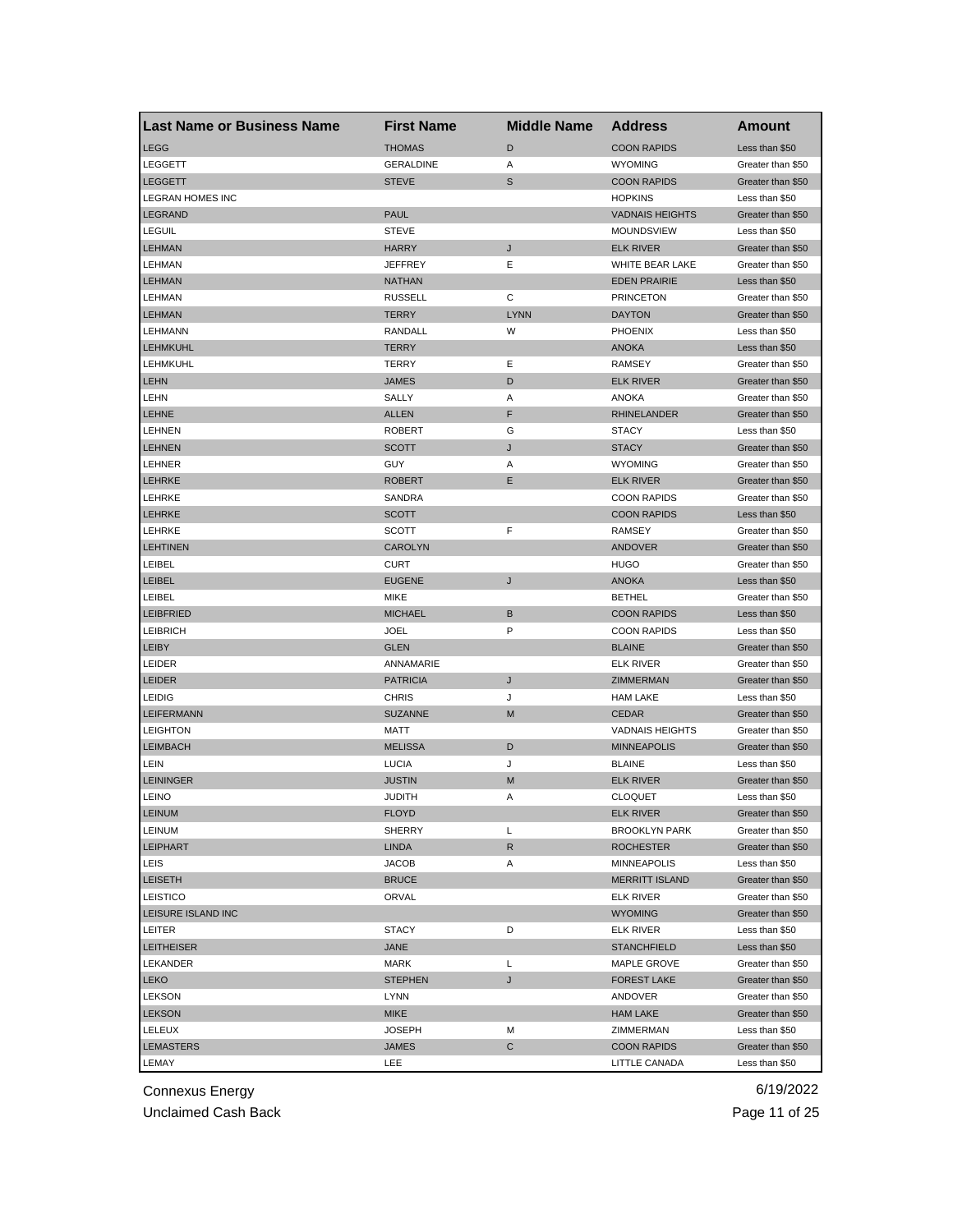| <b>Last Name or Business Name</b> | <b>First Name</b> | <b>Middle Name</b> | <b>Address</b>         | Amount            |
|-----------------------------------|-------------------|--------------------|------------------------|-------------------|
| <b>LEGG</b>                       | <b>THOMAS</b>     | D                  | <b>COON RAPIDS</b>     | Less than \$50    |
| LEGGETT                           | <b>GERALDINE</b>  | Α                  | <b>WYOMING</b>         | Greater than \$50 |
| <b>LEGGETT</b>                    | <b>STEVE</b>      | S                  | <b>COON RAPIDS</b>     | Greater than \$50 |
| <b>LEGRAN HOMES INC</b>           |                   |                    | <b>HOPKINS</b>         | Less than \$50    |
| <b>LEGRAND</b>                    | <b>PAUL</b>       |                    | <b>VADNAIS HEIGHTS</b> | Greater than \$50 |
| <b>LEGUIL</b>                     | <b>STEVE</b>      |                    | MOUNDSVIEW             | Less than \$50    |
| <b>LEHMAN</b>                     | <b>HARRY</b>      | J                  | <b>ELK RIVER</b>       | Greater than \$50 |
| LEHMAN                            | <b>JEFFREY</b>    | Ε                  | WHITE BEAR LAKE        | Greater than \$50 |
| <b>LEHMAN</b>                     | <b>NATHAN</b>     |                    | <b>EDEN PRAIRIE</b>    | Less than \$50    |
| <b>LEHMAN</b>                     | <b>RUSSELL</b>    | С                  | <b>PRINCETON</b>       | Greater than \$50 |
| <b>LEHMAN</b>                     | <b>TERRY</b>      | <b>LYNN</b>        | <b>DAYTON</b>          | Greater than \$50 |
| LEHMANN                           | RANDALL           | W                  | <b>PHOENIX</b>         | Less than \$50    |
| <b>LEHMKUHL</b>                   | <b>TERRY</b>      |                    | <b>ANOKA</b>           | Less than \$50    |
| LEHMKUHL                          | <b>TERRY</b>      | Ε                  | <b>RAMSEY</b>          | Greater than \$50 |
| <b>LEHN</b>                       | <b>JAMES</b>      | D                  | <b>ELK RIVER</b>       | Greater than \$50 |
| LEHN                              | SALLY             | Α                  | <b>ANOKA</b>           | Greater than \$50 |
| <b>LEHNE</b>                      | <b>ALLEN</b>      | F                  | <b>RHINELANDER</b>     | Greater than \$50 |
| LEHNEN                            | <b>ROBERT</b>     | G                  | <b>STACY</b>           | Less than \$50    |
| <b>LEHNEN</b>                     | <b>SCOTT</b>      | J                  | <b>STACY</b>           | Greater than \$50 |
| LEHNER                            | GUY               | Α                  | <b>WYOMING</b>         | Greater than \$50 |
| <b>LEHRKE</b>                     | <b>ROBERT</b>     | Ε                  | <b>ELK RIVER</b>       | Greater than \$50 |
| LEHRKE                            | SANDRA            |                    | <b>COON RAPIDS</b>     | Greater than \$50 |
| <b>LEHRKE</b>                     | <b>SCOTT</b>      |                    | <b>COON RAPIDS</b>     | Less than \$50    |
| LEHRKE                            | <b>SCOTT</b>      | F                  | RAMSEY                 | Greater than \$50 |
| <b>LEHTINEN</b>                   | <b>CAROLYN</b>    |                    | <b>ANDOVER</b>         | Greater than \$50 |
| LEIBEL                            | <b>CURT</b>       |                    | <b>HUGO</b>            | Greater than \$50 |
| <b>LEIBEL</b>                     | <b>EUGENE</b>     | J                  | <b>ANOKA</b>           | Less than \$50    |
| <b>LEIBEL</b>                     | <b>MIKE</b>       |                    | <b>BETHEL</b>          | Greater than \$50 |
| <b>LEIBFRIED</b>                  | <b>MICHAEL</b>    | В                  | <b>COON RAPIDS</b>     | Less than \$50    |
| <b>LEIBRICH</b>                   | <b>JOEL</b>       | P                  | <b>COON RAPIDS</b>     | Less than \$50    |
| <b>LEIBY</b>                      | <b>GLEN</b>       |                    | <b>BLAINE</b>          | Greater than \$50 |
| LEIDER                            | ANNAMARIE         |                    | <b>ELK RIVER</b>       | Greater than \$50 |
| <b>LEIDER</b>                     | <b>PATRICIA</b>   | J                  | ZIMMERMAN              | Greater than \$50 |
| LEIDIG                            | <b>CHRIS</b>      | J                  | <b>HAM LAKE</b>        | Less than \$50    |
| <b>LEIFERMANN</b>                 | <b>SUZANNE</b>    | M                  | <b>CEDAR</b>           | Greater than \$50 |
| <b>LEIGHTON</b>                   | <b>MATT</b>       |                    | <b>VADNAIS HEIGHTS</b> | Greater than \$50 |
| <b>LEIMBACH</b>                   | <b>MELISSA</b>    | D                  | <b>MINNEAPOLIS</b>     | Greater than \$50 |
| LEIN                              | <b>LUCIA</b>      | J                  | <b>BLAINE</b>          | Less than \$50    |
| <b>LEININGER</b>                  | <b>JUSTIN</b>     | M                  | <b>ELK RIVER</b>       | Greater than \$50 |
| LEINO                             | <b>JUDITH</b>     | Α                  | <b>CLOQUET</b>         | Less than \$50    |
| <b>LEINUM</b>                     | <b>FLOYD</b>      |                    | <b>ELK RIVER</b>       | Greater than \$50 |
| LEINUM                            | SHERRY            | Г                  | <b>BROOKLYN PARK</b>   | Greater than \$50 |
| <b>LEIPHART</b>                   | <b>LINDA</b>      | R                  | <b>ROCHESTER</b>       | Greater than \$50 |
| LEIS                              | <b>JACOB</b>      | Α                  | <b>MINNEAPOLIS</b>     | Less than \$50    |
| <b>LEISETH</b>                    | <b>BRUCE</b>      |                    | <b>MERRITT ISLAND</b>  | Greater than \$50 |
| LEISTICO                          | <b>ORVAL</b>      |                    | <b>ELK RIVER</b>       | Greater than \$50 |
| LEISURE ISLAND INC                |                   |                    | <b>WYOMING</b>         | Greater than \$50 |
| LEITER                            | <b>STACY</b>      | D                  | <b>ELK RIVER</b>       | Less than \$50    |
| <b>LEITHEISER</b>                 | <b>JANE</b>       |                    | <b>STANCHFIELD</b>     | Less than \$50    |
| LEKANDER                          | MARK              | Г                  | MAPLE GROVE            | Greater than \$50 |
| <b>LEKO</b>                       | <b>STEPHEN</b>    | J                  | <b>FOREST LAKE</b>     | Greater than \$50 |
| <b>LEKSON</b>                     | <b>LYNN</b>       |                    | ANDOVER                | Greater than \$50 |
| <b>LEKSON</b>                     | <b>MIKE</b>       |                    | <b>HAM LAKE</b>        | Greater than \$50 |
| LELEUX                            | <b>JOSEPH</b>     | М                  | ZIMMERMAN              | Less than \$50    |
| <b>LEMASTERS</b>                  | <b>JAMES</b>      | C                  | <b>COON RAPIDS</b>     | Greater than \$50 |
| LEMAY                             | LEE               |                    | LITTLE CANADA          | Less than \$50    |
|                                   |                   |                    |                        |                   |

Unclaimed Cash Back **Page 11 of 25**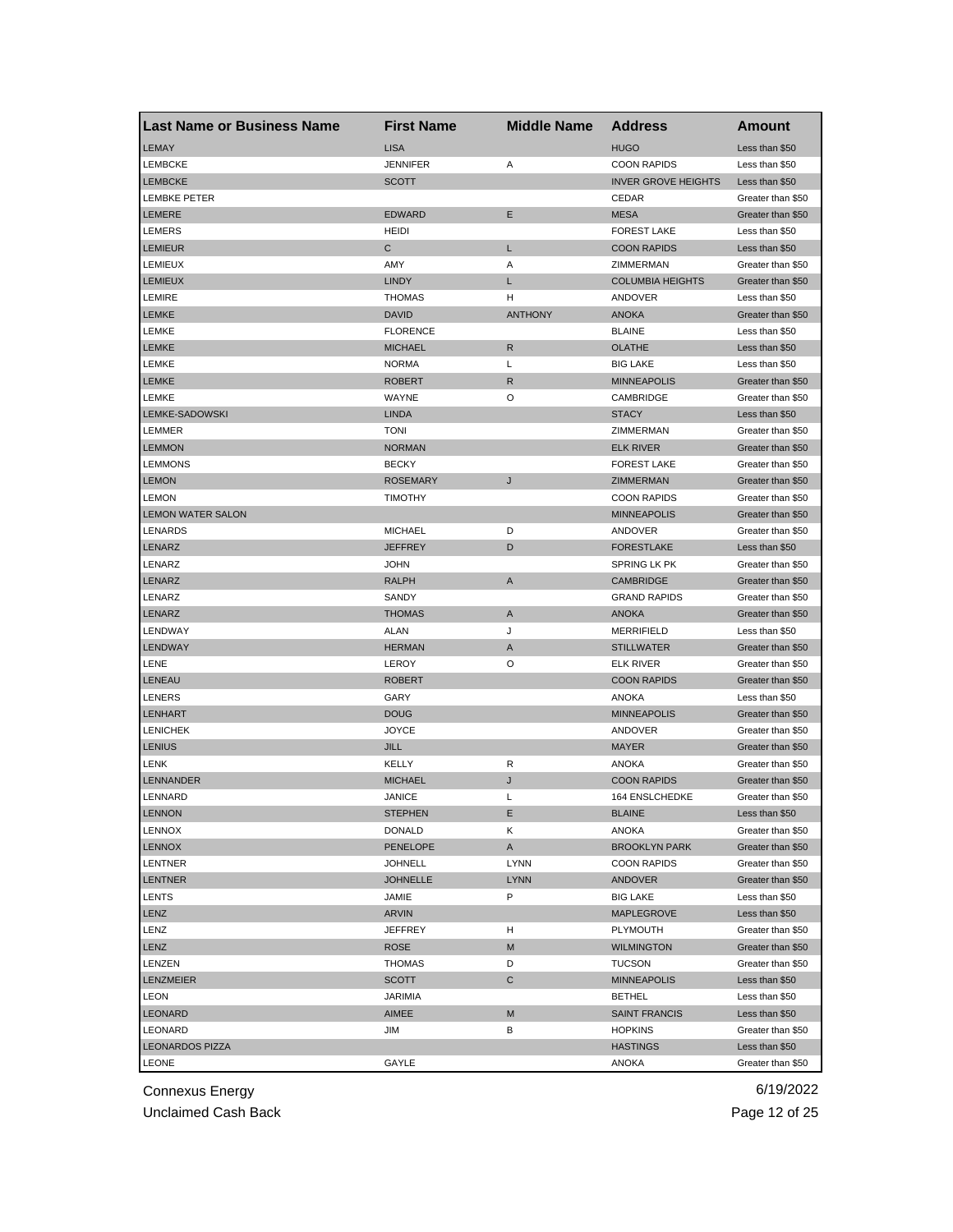| Last Name or Business Name | <b>First Name</b> | <b>Middle Name</b> | <b>Address</b>             | Amount            |
|----------------------------|-------------------|--------------------|----------------------------|-------------------|
| <b>LEMAY</b>               | <b>LISA</b>       |                    | <b>HUGO</b>                | Less than \$50    |
| <b>LEMBCKE</b>             | <b>JENNIFER</b>   | Α                  | <b>COON RAPIDS</b>         | Less than \$50    |
| <b>LEMBCKE</b>             | <b>SCOTT</b>      |                    | <b>INVER GROVE HEIGHTS</b> | Less than \$50    |
| <b>LEMBKE PETER</b>        |                   |                    | CEDAR                      | Greater than \$50 |
| <b>LEMERE</b>              | <b>EDWARD</b>     | Е                  | <b>MESA</b>                | Greater than \$50 |
| <b>LEMERS</b>              | HEIDI             |                    | <b>FOREST LAKE</b>         | Less than \$50    |
| <b>LEMIEUR</b>             | С                 | L                  | <b>COON RAPIDS</b>         | Less than \$50    |
| <b>LEMIEUX</b>             | AMY               | Α                  | ZIMMERMAN                  | Greater than \$50 |
| <b>LEMIEUX</b>             | <b>LINDY</b>      | L                  | <b>COLUMBIA HEIGHTS</b>    | Greater than \$50 |
| <b>LEMIRE</b>              | <b>THOMAS</b>     | н                  | ANDOVER                    | Less than \$50    |
| <b>LEMKE</b>               | <b>DAVID</b>      | <b>ANTHONY</b>     | <b>ANOKA</b>               | Greater than \$50 |
| LEMKE                      | <b>FLORENCE</b>   |                    | <b>BLAINE</b>              | Less than \$50    |
| <b>LEMKE</b>               | <b>MICHAEL</b>    | R                  | <b>OLATHE</b>              | Less than \$50    |
| <b>LEMKE</b>               | <b>NORMA</b>      | L                  | <b>BIG LAKE</b>            | Less than \$50    |
| <b>LEMKE</b>               | <b>ROBERT</b>     | R                  | <b>MINNEAPOLIS</b>         | Greater than \$50 |
| LEMKE                      | WAYNE             | O                  | CAMBRIDGE                  | Greater than \$50 |
| LEMKE-SADOWSKI             | <b>LINDA</b>      |                    | <b>STACY</b>               | Less than \$50    |
| LEMMER                     | <b>TONI</b>       |                    | ZIMMERMAN                  | Greater than \$50 |
| <b>LEMMON</b>              | <b>NORMAN</b>     |                    | <b>ELK RIVER</b>           | Greater than \$50 |
| <b>LEMMONS</b>             | <b>BECKY</b>      |                    | <b>FOREST LAKE</b>         | Greater than \$50 |
| <b>LEMON</b>               | <b>ROSEMARY</b>   | J                  | ZIMMERMAN                  | Greater than \$50 |
| <b>LEMON</b>               | <b>TIMOTHY</b>    |                    | <b>COON RAPIDS</b>         | Greater than \$50 |
| <b>LEMON WATER SALON</b>   |                   |                    | <b>MINNEAPOLIS</b>         | Greater than \$50 |
| LENARDS                    | <b>MICHAEL</b>    | D                  | ANDOVER                    | Greater than \$50 |
| <b>LENARZ</b>              | <b>JEFFREY</b>    | D                  | <b>FORESTLAKE</b>          | Less than \$50    |
| LENARZ                     | <b>JOHN</b>       |                    | <b>SPRING LK PK</b>        | Greater than \$50 |
| LENARZ                     | <b>RALPH</b>      | A                  | <b>CAMBRIDGE</b>           | Greater than \$50 |
| LENARZ                     | SANDY             |                    | <b>GRAND RAPIDS</b>        | Greater than \$50 |
| LENARZ                     | <b>THOMAS</b>     | Α                  | <b>ANOKA</b>               | Greater than \$50 |
| LENDWAY                    | <b>ALAN</b>       | J                  | <b>MERRIFIELD</b>          | Less than \$50    |
| <b>LENDWAY</b>             | <b>HERMAN</b>     | A                  | <b>STILLWATER</b>          | Greater than \$50 |
| LENE                       | LEROY             | O                  | <b>ELK RIVER</b>           | Greater than \$50 |
| <b>LENEAU</b>              | <b>ROBERT</b>     |                    | <b>COON RAPIDS</b>         | Greater than \$50 |
| <b>LENERS</b>              | GARY              |                    | ANOKA                      | Less than \$50    |
| <b>LENHART</b>             | <b>DOUG</b>       |                    | <b>MINNEAPOLIS</b>         | Greater than \$50 |
| <b>LENICHEK</b>            | <b>JOYCE</b>      |                    | ANDOVER                    | Greater than \$50 |
| <b>LENIUS</b>              | <b>JILL</b>       |                    | <b>MAYER</b>               | Greater than \$50 |
| <b>LENK</b>                | KELLY             | R                  | <b>ANOKA</b>               | Greater than \$50 |
| <b>LENNANDER</b>           | <b>MICHAEL</b>    | J                  | <b>COON RAPIDS</b>         | Greater than \$50 |
| LENNARD                    | <b>JANICE</b>     | L                  | 164 ENSLCHEDKE             | Greater than \$50 |
| <b>LENNON</b>              | STEPHEN           | Е                  | <b>BLAINE</b>              | Less than \$50    |
| LENNOX                     | DONALD            | Κ                  | ANOKA                      | Greater than \$50 |
| LENNOX                     | <b>PENELOPE</b>   | A                  | <b>BROOKLYN PARK</b>       | Greater than \$50 |
| LENTNER                    | <b>JOHNELL</b>    | <b>LYNN</b>        | <b>COON RAPIDS</b>         | Greater than \$50 |
| LENTNER                    | <b>JOHNELLE</b>   | <b>LYNN</b>        | <b>ANDOVER</b>             | Greater than \$50 |
| LENTS                      | JAMIE             | P                  | <b>BIG LAKE</b>            | Less than \$50    |
| LENZ                       | ARVIN             |                    | MAPLEGROVE                 | Less than \$50    |
| LENZ                       | <b>JEFFREY</b>    | н                  | PLYMOUTH                   | Greater than \$50 |
| LENZ                       | <b>ROSE</b>       | M                  | <b>WILMINGTON</b>          | Greater than \$50 |
| LENZEN                     | THOMAS            | D                  | <b>TUCSON</b>              | Greater than \$50 |
| <b>LENZMEIER</b>           | <b>SCOTT</b>      | C                  | <b>MINNEAPOLIS</b>         | Less than \$50    |
| <b>LEON</b>                | <b>JARIMIA</b>    |                    | <b>BETHEL</b>              | Less than \$50    |
| LEONARD                    | AIMEE             | M                  | <b>SAINT FRANCIS</b>       | Less than \$50    |
| LEONARD                    | JIM               | в                  | <b>HOPKINS</b>             | Greater than \$50 |
| <b>LEONARDOS PIZZA</b>     |                   |                    | <b>HASTINGS</b>            | Less than \$50    |
| LEONE                      | GAYLE             |                    | ANOKA                      | Greater than \$50 |
|                            |                   |                    |                            |                   |

Unclaimed Cash Back **Page 12 of 25**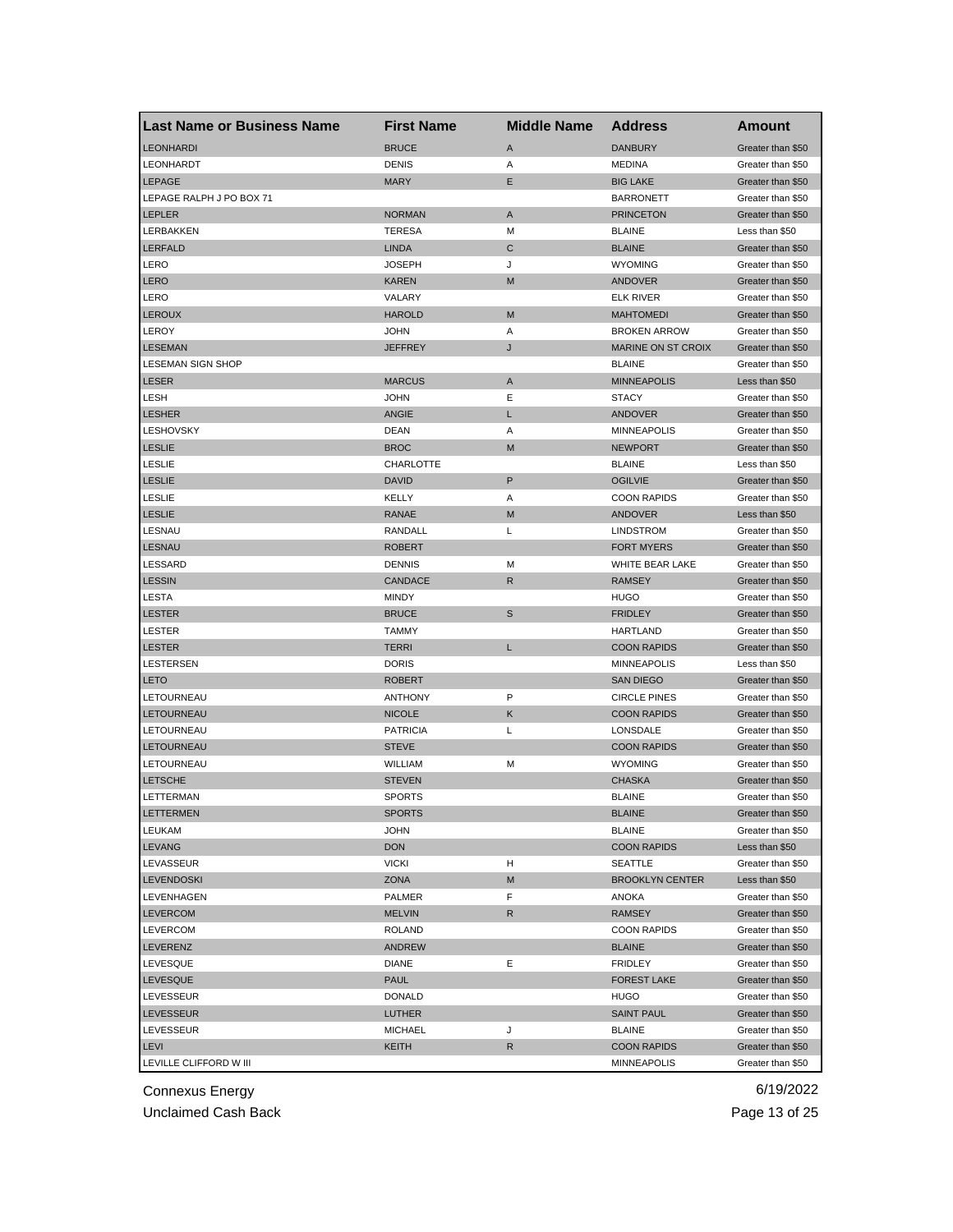| <b>Last Name or Business Name</b> | <b>First Name</b> | <b>Middle Name</b> | <b>Address</b>         | Amount                                 |
|-----------------------------------|-------------------|--------------------|------------------------|----------------------------------------|
| <b>LEONHARDI</b>                  | <b>BRUCE</b>      | A                  | <b>DANBURY</b>         | Greater than \$50                      |
| LEONHARDT                         | <b>DENIS</b>      | Α                  | <b>MEDINA</b>          | Greater than \$50                      |
| <b>LEPAGE</b>                     | <b>MARY</b>       | Ε                  | <b>BIG LAKE</b>        | Greater than \$50                      |
| LEPAGE RALPH J PO BOX 71          |                   |                    | <b>BARRONETT</b>       | Greater than \$50                      |
| <b>LEPLER</b>                     | <b>NORMAN</b>     | A                  | <b>PRINCETON</b>       | Greater than \$50                      |
| LERBAKKEN                         | <b>TERESA</b>     | м                  | <b>BLAINE</b>          | Less than \$50                         |
| <b>LERFALD</b>                    | <b>LINDA</b>      | C                  | <b>BLAINE</b>          | Greater than \$50                      |
| LERO                              | <b>JOSEPH</b>     | J                  | <b>WYOMING</b>         | Greater than \$50                      |
| <b>LERO</b>                       | <b>KAREN</b>      | M                  | <b>ANDOVER</b>         | Greater than \$50                      |
| LERO                              | VALARY            |                    | <b>ELK RIVER</b>       | Greater than \$50                      |
| <b>LEROUX</b>                     | <b>HAROLD</b>     | M                  | <b>MAHTOMEDI</b>       | Greater than \$50                      |
| LEROY                             | JOHN              | A                  | <b>BROKEN ARROW</b>    | Greater than \$50                      |
| <b>LESEMAN</b>                    | <b>JEFFREY</b>    | J                  | MARINE ON ST CROIX     | Greater than \$50                      |
| <b>LESEMAN SIGN SHOP</b>          |                   |                    | <b>BLAINE</b>          | Greater than \$50                      |
| <b>LESER</b>                      | <b>MARCUS</b>     | A                  | <b>MINNEAPOLIS</b>     | Less than \$50                         |
| LESH                              | <b>JOHN</b>       | Ε                  | <b>STACY</b>           | Greater than \$50                      |
| <b>LESHER</b>                     | <b>ANGIE</b>      | L                  | <b>ANDOVER</b>         | Greater than \$50                      |
| <b>LESHOVSKY</b>                  | DEAN              | Α                  | <b>MINNEAPOLIS</b>     | Greater than \$50                      |
| <b>LESLIE</b>                     | <b>BROC</b>       | M                  | <b>NEWPORT</b>         | Greater than \$50                      |
| <b>LESLIE</b>                     | CHARLOTTE         |                    | <b>BLAINE</b>          | Less than \$50                         |
| <b>LESLIE</b>                     | <b>DAVID</b>      | P                  | <b>OGILVIE</b>         | Greater than \$50                      |
| <b>LESLIE</b>                     | KELLY             | Α                  | <b>COON RAPIDS</b>     | Greater than \$50                      |
| <b>LESLIE</b>                     | <b>RANAE</b>      | M                  | <b>ANDOVER</b>         | Less than \$50                         |
| LESNAU                            | RANDALL           | L                  | <b>LINDSTROM</b>       | Greater than \$50                      |
| <b>LESNAU</b>                     | <b>ROBERT</b>     |                    | <b>FORT MYERS</b>      | Greater than \$50                      |
| LESSARD                           | <b>DENNIS</b>     | M                  | WHITE BEAR LAKE        | Greater than \$50                      |
| <b>LESSIN</b>                     | <b>CANDACE</b>    | $\mathsf{R}$       | <b>RAMSEY</b>          | Greater than \$50                      |
| LESTA                             | <b>MINDY</b>      |                    | <b>HUGO</b>            | Greater than \$50                      |
| <b>LESTER</b>                     | <b>BRUCE</b>      | $\mathbb S$        | <b>FRIDLEY</b>         | Greater than \$50                      |
| <b>LESTER</b>                     | <b>TAMMY</b>      |                    | <b>HARTLAND</b>        | Greater than \$50                      |
| <b>LESTER</b>                     | <b>TERRI</b>      | L                  | <b>COON RAPIDS</b>     | Greater than \$50                      |
| LESTERSEN                         | <b>DORIS</b>      |                    | <b>MINNEAPOLIS</b>     | Less than \$50                         |
| <b>LETO</b>                       | <b>ROBERT</b>     |                    | <b>SAN DIEGO</b>       | Greater than \$50                      |
| LETOURNEAU                        | <b>ANTHONY</b>    | P                  | <b>CIRCLE PINES</b>    | Greater than \$50                      |
| LETOURNEAU                        | <b>NICOLE</b>     | Κ                  | <b>COON RAPIDS</b>     | Greater than \$50                      |
| LETOURNEAU                        | <b>PATRICIA</b>   | L                  | LONSDALE               | Greater than \$50                      |
| <b>LETOURNEAU</b>                 | <b>STEVE</b>      |                    | <b>COON RAPIDS</b>     | Greater than \$50                      |
| LETOURNEAU                        | WILLIAM           | M                  | <b>WYOMING</b>         | Greater than \$50                      |
| <b>LETSCHE</b>                    | <b>STEVEN</b>     |                    | <b>CHASKA</b>          | Greater than \$50                      |
| LETTERMAN                         | <b>SPORTS</b>     |                    | <b>BLAINE</b>          | Greater than \$50                      |
| LETTERMEN                         | <b>SPORTS</b>     |                    | <b>BLAINE</b>          | Greater than \$50                      |
| LEUKAM                            | <b>JOHN</b>       |                    | <b>BLAINE</b>          | Greater than \$50                      |
| <b>LEVANG</b>                     | <b>DON</b>        |                    | <b>COON RAPIDS</b>     | Less than \$50                         |
| LEVASSEUR                         | <b>VICKI</b>      | H                  | <b>SEATTLE</b>         | Greater than \$50                      |
| <b>LEVENDOSKI</b>                 | <b>ZONA</b>       | M                  | <b>BROOKLYN CENTER</b> | Less than \$50                         |
| LEVENHAGEN                        | PALMER            | F                  | ANOKA                  | Greater than \$50                      |
| <b>LEVERCOM</b>                   | <b>MELVIN</b>     | R                  | <b>RAMSEY</b>          | Greater than \$50                      |
| LEVERCOM                          | <b>ROLAND</b>     |                    | <b>COON RAPIDS</b>     | Greater than \$50                      |
| LEVERENZ                          | ANDREW            |                    | <b>BLAINE</b>          | Greater than \$50                      |
|                                   | <b>DIANE</b>      | Е                  |                        |                                        |
| LEVESQUE                          |                   |                    | <b>FRIDLEY</b>         | Greater than \$50<br>Greater than \$50 |
| <b>LEVESQUE</b>                   | <b>PAUL</b>       |                    | <b>FOREST LAKE</b>     |                                        |
| LEVESSEUR                         | <b>DONALD</b>     |                    | <b>HUGO</b>            | Greater than \$50                      |
| <b>LEVESSEUR</b>                  | LUTHER            |                    | <b>SAINT PAUL</b>      | Greater than \$50                      |
| LEVESSEUR                         | <b>MICHAEL</b>    | J                  | <b>BLAINE</b>          | Greater than \$50                      |
| LEVI                              | KEITH             | R                  | <b>COON RAPIDS</b>     | Greater than \$50                      |
| LEVILLE CLIFFORD W III            |                   |                    | <b>MINNEAPOLIS</b>     | Greater than \$50                      |

Unclaimed Cash Back **Page 13 of 25**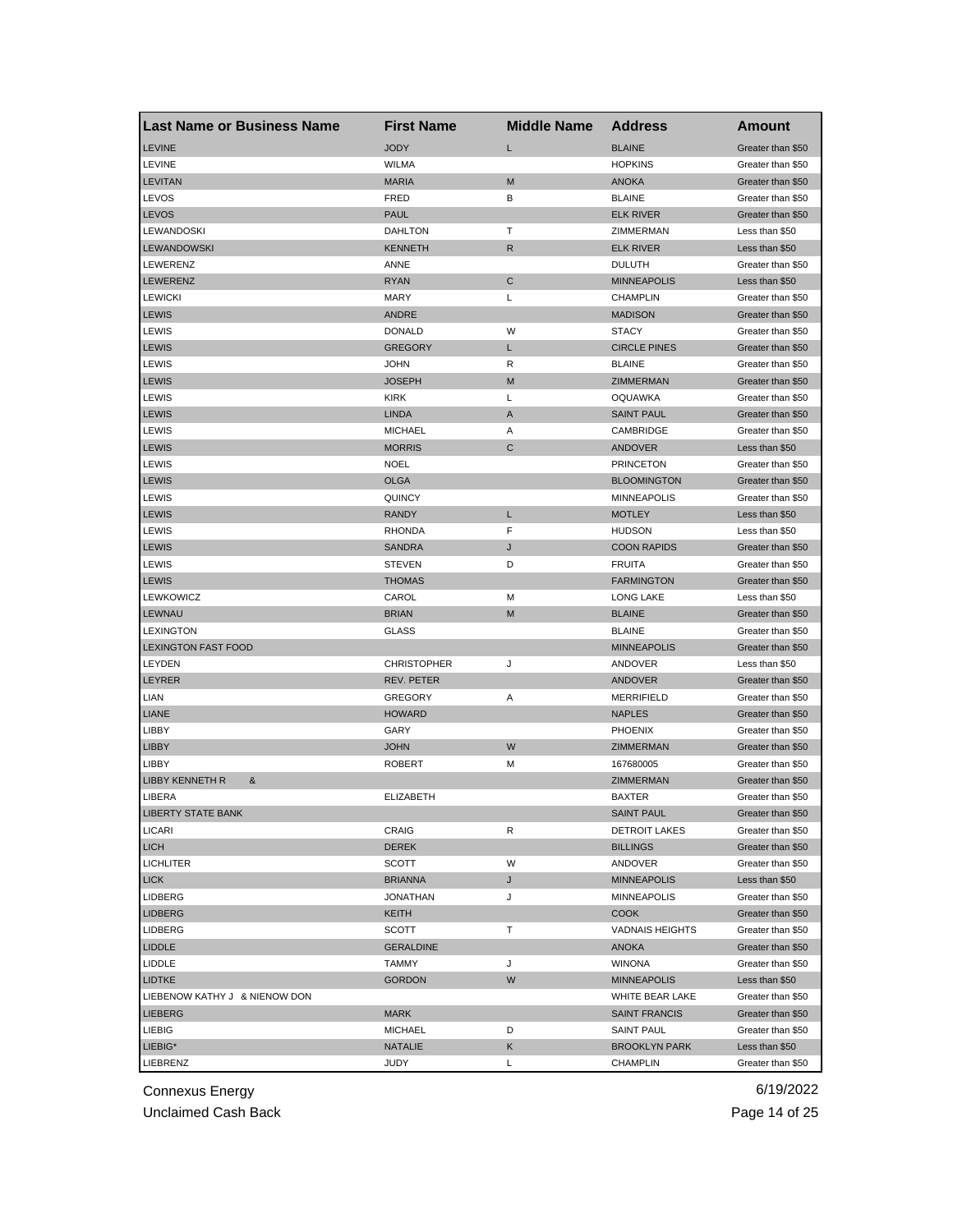| <b>Last Name or Business Name</b> | <b>First Name</b>  | <b>Middle Name</b> | <b>Address</b>         | <b>Amount</b>     |
|-----------------------------------|--------------------|--------------------|------------------------|-------------------|
| <b>LEVINE</b>                     | <b>JODY</b>        | Г                  | <b>BLAINE</b>          | Greater than \$50 |
| LEVINE                            | <b>WILMA</b>       |                    | <b>HOPKINS</b>         | Greater than \$50 |
| <b>LEVITAN</b>                    | <b>MARIA</b>       | M                  | <b>ANOKA</b>           | Greater than \$50 |
| LEVOS                             | FRED               | в                  | <b>BLAINE</b>          | Greater than \$50 |
| <b>LEVOS</b>                      | <b>PAUL</b>        |                    | <b>ELK RIVER</b>       | Greater than \$50 |
| LEWANDOSKI                        | <b>DAHLTON</b>     | т                  | ZIMMERMAN              | Less than \$50    |
| <b>LEWANDOWSKI</b>                | <b>KENNETH</b>     | R                  | <b>ELK RIVER</b>       | Less than \$50    |
| LEWERENZ                          | ANNE               |                    | <b>DULUTH</b>          | Greater than \$50 |
| <b>LEWERENZ</b>                   | <b>RYAN</b>        | С                  | <b>MINNEAPOLIS</b>     | Less than \$50    |
| <b>LEWICKI</b>                    | <b>MARY</b>        | L                  | <b>CHAMPLIN</b>        | Greater than \$50 |
| <b>LEWIS</b>                      | <b>ANDRE</b>       |                    | <b>MADISON</b>         | Greater than \$50 |
| LEWIS                             | <b>DONALD</b>      | W                  | <b>STACY</b>           | Greater than \$50 |
| <b>LEWIS</b>                      | <b>GREGORY</b>     | L                  | <b>CIRCLE PINES</b>    | Greater than \$50 |
| LEWIS                             | <b>JOHN</b>        | R                  | <b>BLAINE</b>          | Greater than \$50 |
| <b>LEWIS</b>                      | <b>JOSEPH</b>      | M                  | ZIMMERMAN              | Greater than \$50 |
| LEWIS                             | <b>KIRK</b>        | Г                  | <b>OQUAWKA</b>         | Greater than \$50 |
| <b>LEWIS</b>                      | <b>LINDA</b>       | A                  | <b>SAINT PAUL</b>      | Greater than \$50 |
| LEWIS                             | <b>MICHAEL</b>     | Α                  | CAMBRIDGE              | Greater than \$50 |
| <b>LEWIS</b>                      | <b>MORRIS</b>      | C                  | <b>ANDOVER</b>         | Less than \$50    |
| LEWIS                             | <b>NOEL</b>        |                    | <b>PRINCETON</b>       | Greater than \$50 |
| <b>LEWIS</b>                      | <b>OLGA</b>        |                    | <b>BLOOMINGTON</b>     | Greater than \$50 |
| LEWIS                             | <b>QUINCY</b>      |                    | <b>MINNEAPOLIS</b>     | Greater than \$50 |
| <b>LEWIS</b>                      | <b>RANDY</b>       | Г                  | <b>MOTLEY</b>          | Less than \$50    |
| LEWIS                             | <b>RHONDA</b>      | F                  | <b>HUDSON</b>          | Less than \$50    |
| <b>LEWIS</b>                      | <b>SANDRA</b>      | J                  | <b>COON RAPIDS</b>     | Greater than \$50 |
| LEWIS                             | <b>STEVEN</b>      | D                  | <b>FRUITA</b>          | Greater than \$50 |
| <b>LEWIS</b>                      | <b>THOMAS</b>      |                    | <b>FARMINGTON</b>      | Greater than \$50 |
| <b>LEWKOWICZ</b>                  | CAROL              | М                  | LONG LAKE              | Less than \$50    |
| <b>LEWNAU</b>                     | <b>BRIAN</b>       | M                  | <b>BLAINE</b>          | Greater than \$50 |
| <b>LEXINGTON</b>                  | <b>GLASS</b>       |                    | <b>BLAINE</b>          | Greater than \$50 |
| <b>LEXINGTON FAST FOOD</b>        |                    |                    | <b>MINNEAPOLIS</b>     | Greater than \$50 |
| LEYDEN                            | <b>CHRISTOPHER</b> | J                  | ANDOVER                | Less than \$50    |
| <b>LEYRER</b>                     | REV. PETER         |                    | <b>ANDOVER</b>         | Greater than \$50 |
| LIAN                              | <b>GREGORY</b>     | Α                  | <b>MERRIFIELD</b>      | Greater than \$50 |
| <b>LIANE</b>                      | <b>HOWARD</b>      |                    | <b>NAPLES</b>          | Greater than \$50 |
| LIBBY                             | GARY               |                    | <b>PHOENIX</b>         | Greater than \$50 |
| <b>LIBBY</b>                      | <b>JOHN</b>        | W                  | ZIMMERMAN              | Greater than \$50 |
| LIBBY                             | <b>ROBERT</b>      | М                  | 167680005              | Greater than \$50 |
| <b>LIBBY KENNETH R</b><br>&       |                    |                    | ZIMMERMAN              | Greater than \$50 |
| LIBERA                            | <b>ELIZABETH</b>   |                    | <b>BAXTER</b>          | Greater than \$50 |
| <b>LIBERTY STATE BANK</b>         |                    |                    | <b>SAINT PAUL</b>      | Greater than \$50 |
| LICARI                            | CRAIG              | R                  | <b>DETROIT LAKES</b>   | Greater than \$50 |
| <b>LICH</b>                       | <b>DEREK</b>       |                    | <b>BILLINGS</b>        | Greater than \$50 |
| <b>LICHLITER</b>                  | SCOTT              | W                  | ANDOVER                | Greater than \$50 |
| <b>LICK</b>                       | <b>BRIANNA</b>     | J                  | <b>MINNEAPOLIS</b>     | Less than \$50    |
| LIDBERG                           | JONATHAN           | J                  | <b>MINNEAPOLIS</b>     | Greater than \$50 |
| <b>LIDBERG</b>                    | KEITH              |                    | <b>COOK</b>            | Greater than \$50 |
| LIDBERG                           | SCOTT              | т                  | <b>VADNAIS HEIGHTS</b> | Greater than \$50 |
| <b>LIDDLE</b>                     | <b>GERALDINE</b>   |                    | <b>ANOKA</b>           | Greater than \$50 |
| LIDDLE                            | TAMMY              | J                  | <b>WINONA</b>          | Greater than \$50 |
| <b>LIDTKE</b>                     | <b>GORDON</b>      | W                  | <b>MINNEAPOLIS</b>     | Less than \$50    |
| LIEBENOW KATHY J & NIENOW DON     |                    |                    | WHITE BEAR LAKE        | Greater than \$50 |
| <b>LIEBERG</b>                    | <b>MARK</b>        |                    | <b>SAINT FRANCIS</b>   | Greater than \$50 |
| LIEBIG                            | <b>MICHAEL</b>     | D                  | <b>SAINT PAUL</b>      | Greater than \$50 |
| LIEBIG*                           | NATALIE            | Κ                  | <b>BROOKLYN PARK</b>   | Less than \$50    |
| LIEBRENZ                          | JUDY               | Г                  | CHAMPLIN               | Greater than \$50 |

Unclaimed Cash Back **Page 14 of 25**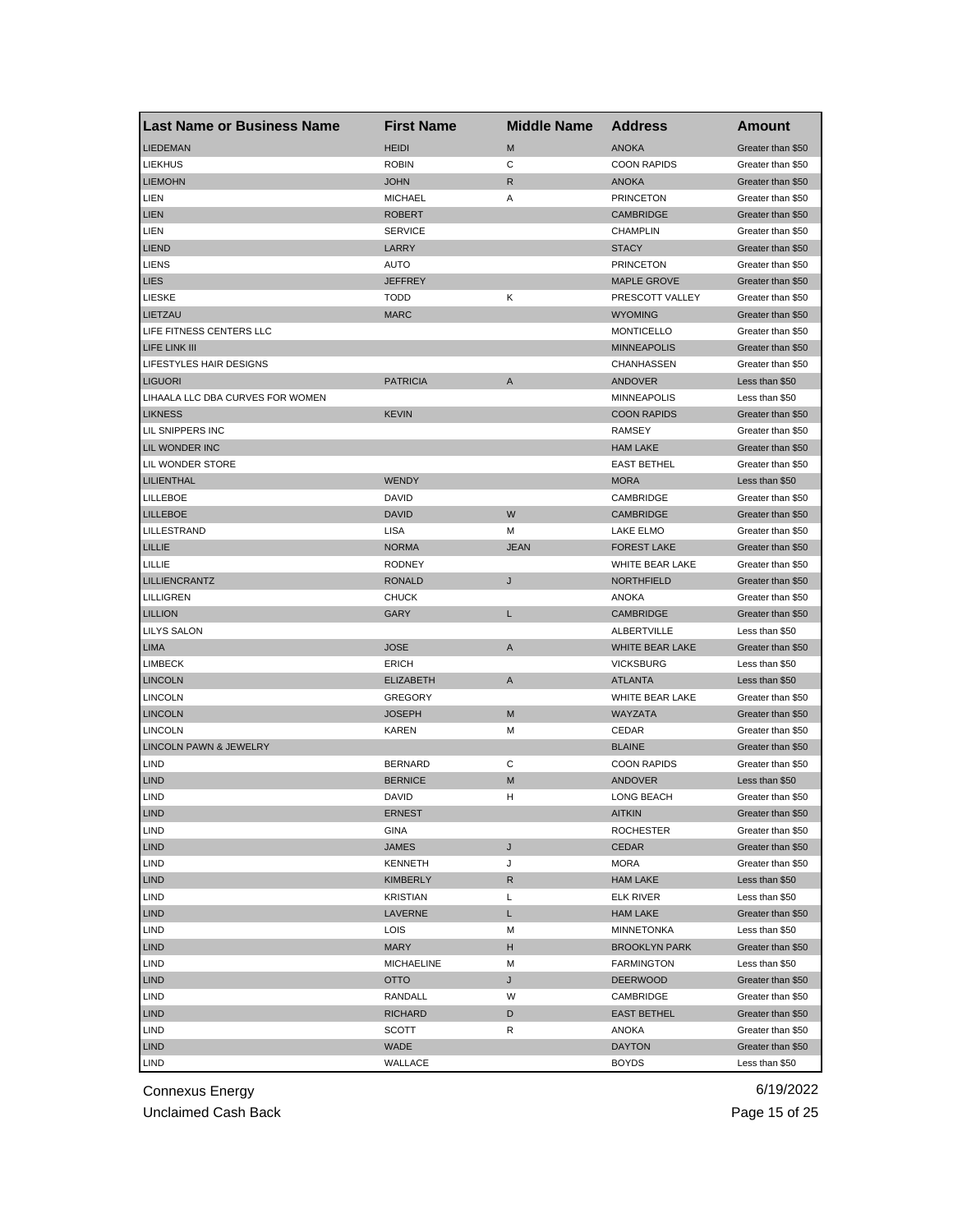| <b>Last Name or Business Name</b> | <b>First Name</b> | <b>Middle Name</b> | <b>Address</b>       | <b>Amount</b>     |
|-----------------------------------|-------------------|--------------------|----------------------|-------------------|
| <b>LIEDEMAN</b>                   | <b>HEIDI</b>      | M                  | <b>ANOKA</b>         | Greater than \$50 |
| <b>LIEKHUS</b>                    | <b>ROBIN</b>      | C                  | <b>COON RAPIDS</b>   | Greater than \$50 |
| <b>LIEMOHN</b>                    | <b>JOHN</b>       | R                  | <b>ANOKA</b>         | Greater than \$50 |
| LIEN                              | <b>MICHAEL</b>    | Α                  | <b>PRINCETON</b>     | Greater than \$50 |
| <b>LIEN</b>                       | <b>ROBERT</b>     |                    | <b>CAMBRIDGE</b>     | Greater than \$50 |
| LIEN                              | <b>SERVICE</b>    |                    | <b>CHAMPLIN</b>      | Greater than \$50 |
| <b>LIEND</b>                      | LARRY             |                    | <b>STACY</b>         | Greater than \$50 |
| <b>LIENS</b>                      | <b>AUTO</b>       |                    | <b>PRINCETON</b>     | Greater than \$50 |
| <b>LIES</b>                       | <b>JEFFREY</b>    |                    | <b>MAPLE GROVE</b>   | Greater than \$50 |
| <b>LIESKE</b>                     | <b>TODD</b>       | Κ                  | PRESCOTT VALLEY      | Greater than \$50 |
| LIETZAU                           | <b>MARC</b>       |                    | <b>WYOMING</b>       | Greater than \$50 |
| LIFE FITNESS CENTERS LLC          |                   |                    | <b>MONTICELLO</b>    | Greater than \$50 |
| LIFE LINK III                     |                   |                    | <b>MINNEAPOLIS</b>   | Greater than \$50 |
| LIFESTYLES HAIR DESIGNS           |                   |                    | CHANHASSEN           | Greater than \$50 |
| <b>LIGUORI</b>                    | <b>PATRICIA</b>   | A                  | ANDOVER              | Less than \$50    |
| LIHAALA LLC DBA CURVES FOR WOMEN  |                   |                    | <b>MINNEAPOLIS</b>   | Less than \$50    |
| <b>LIKNESS</b>                    | <b>KEVIN</b>      |                    | <b>COON RAPIDS</b>   | Greater than \$50 |
| LIL SNIPPERS INC                  |                   |                    | RAMSEY               | Greater than \$50 |
| LIL WONDER INC                    |                   |                    | <b>HAM LAKE</b>      | Greater than \$50 |
| LIL WONDER STORE                  |                   |                    | <b>EAST BETHEL</b>   | Greater than \$50 |
| <b>LILIENTHAL</b>                 | <b>WENDY</b>      |                    | <b>MORA</b>          | Less than \$50    |
| <b>LILLEBOE</b>                   | DAVID             |                    | CAMBRIDGE            | Greater than \$50 |
| <b>LILLEBOE</b>                   | <b>DAVID</b>      | W                  | <b>CAMBRIDGE</b>     | Greater than \$50 |
| LILLESTRAND                       | LISA              | М                  | <b>LAKE ELMO</b>     | Greater than \$50 |
| LILLIE                            | <b>NORMA</b>      | <b>JEAN</b>        | <b>FOREST LAKE</b>   | Greater than \$50 |
| LILLIE                            | <b>RODNEY</b>     |                    | WHITE BEAR LAKE      | Greater than \$50 |
| <b>LILLIENCRANTZ</b>              | <b>RONALD</b>     | J                  | <b>NORTHFIELD</b>    | Greater than \$50 |
| LILLIGREN                         | <b>CHUCK</b>      |                    | ANOKA                | Greater than \$50 |
| <b>LILLION</b>                    | GARY              | L                  | CAMBRIDGE            | Greater than \$50 |
| <b>LILYS SALON</b>                |                   |                    | ALBERTVILLE          | Less than \$50    |
| <b>LIMA</b>                       | <b>JOSE</b>       | A                  | WHITE BEAR LAKE      | Greater than \$50 |
| <b>LIMBECK</b>                    | <b>ERICH</b>      |                    | <b>VICKSBURG</b>     | Less than \$50    |
| <b>LINCOLN</b>                    | <b>ELIZABETH</b>  | A                  | <b>ATLANTA</b>       | Less than \$50    |
| <b>LINCOLN</b>                    | <b>GREGORY</b>    |                    | WHITE BEAR LAKE      | Greater than \$50 |
| <b>LINCOLN</b>                    | <b>JOSEPH</b>     | M                  | WAYZATA              | Greater than \$50 |
| <b>LINCOLN</b>                    | KAREN             | М                  | CEDAR                | Greater than \$50 |
| <b>LINCOLN PAWN &amp; JEWELRY</b> |                   |                    | <b>BLAINE</b>        | Greater than \$50 |
| <b>LIND</b>                       | <b>BERNARD</b>    | С                  | <b>COON RAPIDS</b>   | Greater than \$50 |
| <b>LIND</b>                       | <b>BERNICE</b>    | M                  | ANDOVER              | Less than \$50    |
| LIND                              | <b>DAVID</b>      | н                  | LONG BEACH           | Greater than \$50 |
| <b>LIND</b>                       | <b>ERNEST</b>     |                    | <b>AITKIN</b>        | Greater than \$50 |
| LIND                              | GINA              |                    | <b>ROCHESTER</b>     | Greater than \$50 |
| <b>LIND</b>                       | <b>JAMES</b>      | J                  | <b>CEDAR</b>         | Greater than \$50 |
| LIND                              | <b>KENNETH</b>    | J                  | <b>MORA</b>          | Greater than \$50 |
| <b>LIND</b>                       | KIMBERLY          | R                  | <b>HAM LAKE</b>      | Less than \$50    |
| LIND                              | <b>KRISTIAN</b>   | Г                  | <b>ELK RIVER</b>     | Less than \$50    |
| <b>LIND</b>                       | LAVERNE           | L                  | <b>HAM LAKE</b>      | Greater than \$50 |
| LIND                              | LOIS              | M                  | MINNETONKA           | Less than \$50    |
| <b>LIND</b>                       | <b>MARY</b>       | н                  | <b>BROOKLYN PARK</b> | Greater than \$50 |
| LIND                              | <b>MICHAELINE</b> | M                  | <b>FARMINGTON</b>    | Less than \$50    |
| <b>LIND</b>                       | OTTO              | J                  | <b>DEERWOOD</b>      | Greater than \$50 |
| LIND                              | <b>RANDALL</b>    | W                  | CAMBRIDGE            | Greater than \$50 |
| <b>LIND</b>                       | RICHARD           | D                  | <b>EAST BETHEL</b>   | Greater than \$50 |
| LIND                              | SCOTT             | R                  | ANOKA                | Greater than \$50 |
| <b>LIND</b>                       | <b>WADE</b>       |                    | <b>DAYTON</b>        | Greater than \$50 |
| LIND                              | WALLACE           |                    | <b>BOYDS</b>         | Less than \$50    |
|                                   |                   |                    |                      |                   |

Unclaimed Cash Back **Page 15 of 25**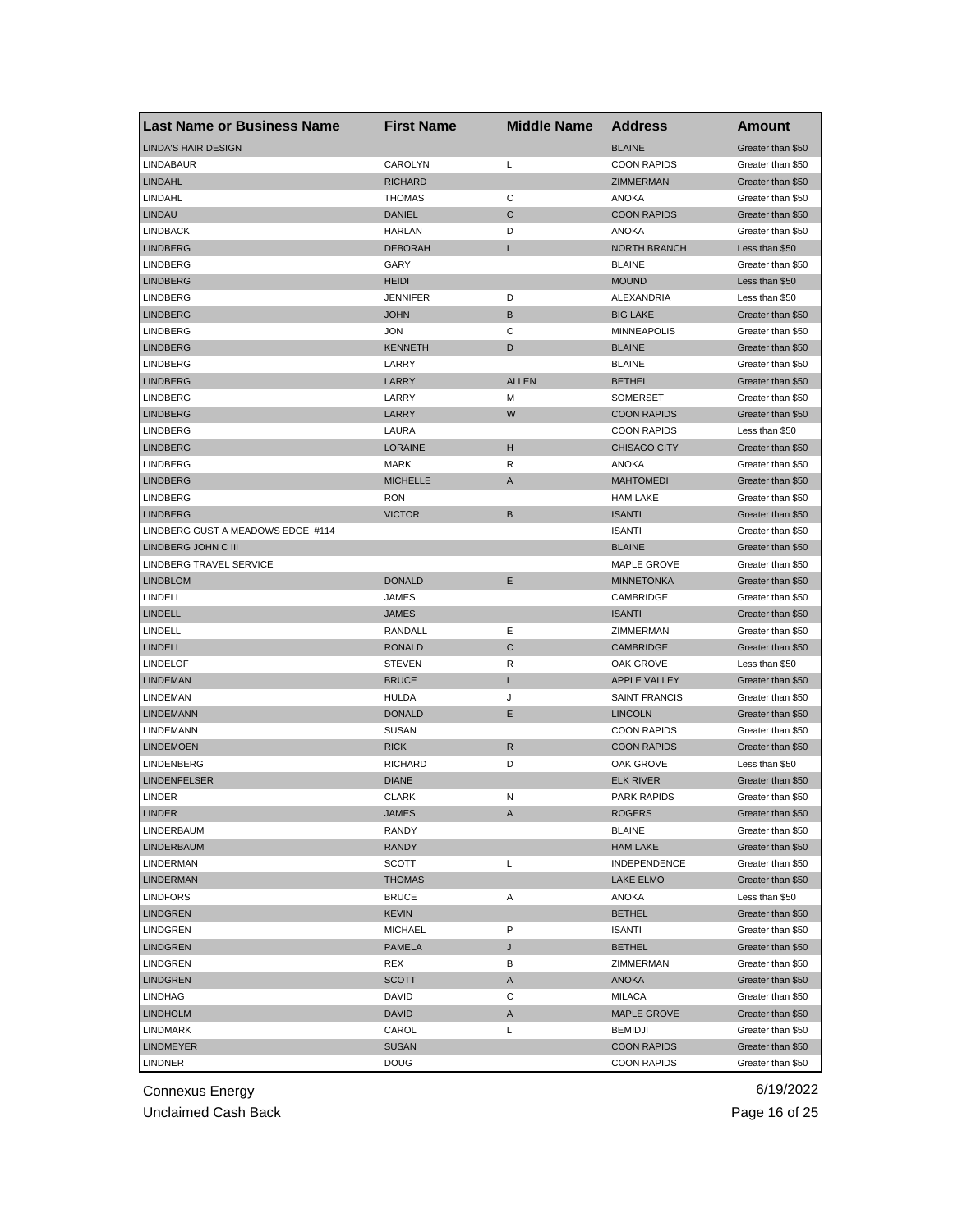| <b>LINDA'S HAIR DESIGN</b><br><b>BLAINE</b><br>Greater than \$50<br>CAROLYN<br>L<br><b>COON RAPIDS</b><br>LINDABAUR<br>Greater than \$50<br><b>LINDAHL</b><br><b>RICHARD</b><br>ZIMMERMAN<br>Greater than \$50<br>С<br>LINDAHL<br><b>THOMAS</b><br><b>ANOKA</b><br>Greater than \$50<br>$\mathsf{C}$<br><b>COON RAPIDS</b><br><b>LINDAU</b><br><b>DANIEL</b><br>Greater than \$50<br><b>LINDBACK</b><br><b>HARLAN</b><br>D<br>ANOKA<br>Greater than \$50<br><b>LINDBERG</b><br><b>DEBORAH</b><br>L<br><b>NORTH BRANCH</b><br>Less than \$50<br><b>LINDBERG</b><br>GARY<br><b>BLAINE</b><br>Greater than \$50<br><b>LINDBERG</b><br><b>HEIDI</b><br><b>MOUND</b><br>Less than \$50<br><b>LINDBERG</b><br><b>JENNIFER</b><br>D<br><b>ALEXANDRIA</b><br>Less than \$50<br><b>LINDBERG</b><br><b>JOHN</b><br>B<br><b>BIG LAKE</b><br>Greater than \$50<br><b>LINDBERG</b><br><b>JON</b><br>С<br><b>MINNEAPOLIS</b><br>Greater than \$50<br><b>LINDBERG</b><br><b>KENNETH</b><br>D<br><b>BLAINE</b><br>Greater than \$50<br>LARRY<br><b>BLAINE</b><br>LINDBERG<br>Greater than \$50<br><b>LINDBERG</b><br>LARRY<br><b>ALLEN</b><br><b>BETHEL</b><br>Greater than \$50<br><b>LINDBERG</b><br>LARRY<br>М<br><b>SOMERSET</b><br>Greater than \$50<br>LARRY<br>W<br><b>LINDBERG</b><br><b>COON RAPIDS</b><br>Greater than \$50<br>LAURA<br><b>COON RAPIDS</b><br>LINDBERG<br>Less than \$50<br><b>LINDBERG</b><br><b>LORAINE</b><br>н<br><b>CHISAGO CITY</b><br>Greater than \$50<br><b>LINDBERG</b><br><b>MARK</b><br>R<br><b>ANOKA</b><br>Greater than \$50<br><b>LINDBERG</b><br><b>MICHELLE</b><br>A<br><b>MAHTOMEDI</b><br>Greater than \$50<br><b>LINDBERG</b><br><b>HAM LAKE</b><br><b>RON</b><br>Greater than \$50<br>B<br><b>LINDBERG</b><br><b>VICTOR</b><br><b>ISANTI</b><br>Greater than \$50<br>LINDBERG GUST A MEADOWS EDGE #114<br><b>ISANTI</b><br>Greater than \$50<br>LINDBERG JOHN C III<br><b>BLAINE</b><br>Greater than \$50<br>LINDBERG TRAVEL SERVICE<br><b>MAPLE GROVE</b><br>Greater than \$50<br>Ε<br><b>LINDBLOM</b><br><b>DONALD</b><br><b>MINNETONKA</b><br>Greater than \$50<br>LINDELL<br>JAMES<br>CAMBRIDGE<br>Greater than \$50<br><b>LINDELL</b><br><b>JAMES</b><br><b>ISANTI</b><br>Greater than \$50<br>Ε<br>LINDELL<br>RANDALL<br>ZIMMERMAN<br>Greater than \$50<br>C<br><b>LINDELL</b><br><b>RONALD</b><br>CAMBRIDGE<br>Greater than \$50<br>R<br><b>LINDELOF</b><br><b>STEVEN</b><br>OAK GROVE<br>Less than \$50<br><b>LINDEMAN</b><br><b>BRUCE</b><br><b>APPLE VALLEY</b><br>L<br>Greater than \$50<br><b>LINDEMAN</b><br><b>HULDA</b><br>J<br><b>SAINT FRANCIS</b><br>Greater than \$50<br>Ε<br><b>LINDEMANN</b><br><b>DONALD</b><br><b>LINCOLN</b><br>Greater than \$50<br><b>LINDEMANN</b><br><b>SUSAN</b><br><b>COON RAPIDS</b><br>Greater than \$50<br>$\mathsf{R}$<br><b>LINDEMOEN</b><br><b>RICK</b><br><b>COON RAPIDS</b><br>Greater than \$50<br><b>LINDENBERG</b><br><b>RICHARD</b><br>D<br>OAK GROVE<br>Less than \$50<br><b>LINDENFELSER</b><br><b>DIANE</b><br><b>ELK RIVER</b><br>Greater than \$50<br><b>LINDER</b><br><b>CLARK</b><br><b>PARK RAPIDS</b><br>N<br>Greater than \$50<br><b>LINDER</b><br>JAMES<br>A<br><b>ROGERS</b><br>Greater than \$50<br>LINDERBAUM<br>RANDY<br><b>BLAINE</b><br>Greater than \$50<br><b>LINDERBAUM</b><br><b>RANDY</b><br><b>HAM LAKE</b><br>Greater than \$50<br>L<br>LINDERMAN<br>SCOTT<br>INDEPENDENCE<br>Greater than \$50<br><b>LINDERMAN</b><br><b>THOMAS</b><br>LAKE ELMO<br>Greater than \$50<br><b>LINDFORS</b><br><b>BRUCE</b><br>Α<br>ANOKA<br>Less than \$50<br><b>LINDGREN</b><br><b>KEVIN</b><br><b>BETHEL</b><br>Greater than \$50<br>P<br><b>LINDGREN</b><br><b>MICHAEL</b><br><b>ISANTI</b><br>Greater than \$50<br><b>BETHEL</b><br><b>LINDGREN</b><br>PAMELA<br>J<br>Greater than \$50<br>LINDGREN<br>REX<br>В<br>ZIMMERMAN<br>Greater than \$50<br><b>LINDGREN</b><br><b>SCOTT</b><br>A<br>ANOKA<br>Greater than \$50<br>С<br>LINDHAG<br>DAVID<br>MILACA<br>Greater than \$50<br><b>LINDHOLM</b><br><b>DAVID</b><br>Α<br><b>MAPLE GROVE</b><br>Greater than \$50<br>L<br>LINDMARK<br>CAROL<br><b>BEMIDJI</b><br>Greater than \$50<br><b>LINDMEYER</b><br><b>SUSAN</b><br><b>COON RAPIDS</b><br>Greater than \$50<br><b>LINDNER</b><br>DOUG<br><b>COON RAPIDS</b><br>Greater than \$50 | <b>Last Name or Business Name</b> | <b>First Name</b> | <b>Middle Name</b> | <b>Address</b> | Amount |
|---------------------------------------------------------------------------------------------------------------------------------------------------------------------------------------------------------------------------------------------------------------------------------------------------------------------------------------------------------------------------------------------------------------------------------------------------------------------------------------------------------------------------------------------------------------------------------------------------------------------------------------------------------------------------------------------------------------------------------------------------------------------------------------------------------------------------------------------------------------------------------------------------------------------------------------------------------------------------------------------------------------------------------------------------------------------------------------------------------------------------------------------------------------------------------------------------------------------------------------------------------------------------------------------------------------------------------------------------------------------------------------------------------------------------------------------------------------------------------------------------------------------------------------------------------------------------------------------------------------------------------------------------------------------------------------------------------------------------------------------------------------------------------------------------------------------------------------------------------------------------------------------------------------------------------------------------------------------------------------------------------------------------------------------------------------------------------------------------------------------------------------------------------------------------------------------------------------------------------------------------------------------------------------------------------------------------------------------------------------------------------------------------------------------------------------------------------------------------------------------------------------------------------------------------------------------------------------------------------------------------------------------------------------------------------------------------------------------------------------------------------------------------------------------------------------------------------------------------------------------------------------------------------------------------------------------------------------------------------------------------------------------------------------------------------------------------------------------------------------------------------------------------------------------------------------------------------------------------------------------------------------------------------------------------------------------------------------------------------------------------------------------------------------------------------------------------------------------------------------------------------------------------------------------------------------------------------------------------------------------------------------------------------------------------------------------------------------------------------------------------------------------------------------------------------------------------------------------------------------------------------------------------------------------------------------------------------------------------------------------------------------------------------------------------------------------------------------------------------------------------------------------------------------------------------------------------------------------------------------------------------------------------------------------|-----------------------------------|-------------------|--------------------|----------------|--------|
|                                                                                                                                                                                                                                                                                                                                                                                                                                                                                                                                                                                                                                                                                                                                                                                                                                                                                                                                                                                                                                                                                                                                                                                                                                                                                                                                                                                                                                                                                                                                                                                                                                                                                                                                                                                                                                                                                                                                                                                                                                                                                                                                                                                                                                                                                                                                                                                                                                                                                                                                                                                                                                                                                                                                                                                                                                                                                                                                                                                                                                                                                                                                                                                                                                                                                                                                                                                                                                                                                                                                                                                                                                                                                                                                                                                                                                                                                                                                                                                                                                                                                                                                                                                                                                                                                             |                                   |                   |                    |                |        |
|                                                                                                                                                                                                                                                                                                                                                                                                                                                                                                                                                                                                                                                                                                                                                                                                                                                                                                                                                                                                                                                                                                                                                                                                                                                                                                                                                                                                                                                                                                                                                                                                                                                                                                                                                                                                                                                                                                                                                                                                                                                                                                                                                                                                                                                                                                                                                                                                                                                                                                                                                                                                                                                                                                                                                                                                                                                                                                                                                                                                                                                                                                                                                                                                                                                                                                                                                                                                                                                                                                                                                                                                                                                                                                                                                                                                                                                                                                                                                                                                                                                                                                                                                                                                                                                                                             |                                   |                   |                    |                |        |
|                                                                                                                                                                                                                                                                                                                                                                                                                                                                                                                                                                                                                                                                                                                                                                                                                                                                                                                                                                                                                                                                                                                                                                                                                                                                                                                                                                                                                                                                                                                                                                                                                                                                                                                                                                                                                                                                                                                                                                                                                                                                                                                                                                                                                                                                                                                                                                                                                                                                                                                                                                                                                                                                                                                                                                                                                                                                                                                                                                                                                                                                                                                                                                                                                                                                                                                                                                                                                                                                                                                                                                                                                                                                                                                                                                                                                                                                                                                                                                                                                                                                                                                                                                                                                                                                                             |                                   |                   |                    |                |        |
|                                                                                                                                                                                                                                                                                                                                                                                                                                                                                                                                                                                                                                                                                                                                                                                                                                                                                                                                                                                                                                                                                                                                                                                                                                                                                                                                                                                                                                                                                                                                                                                                                                                                                                                                                                                                                                                                                                                                                                                                                                                                                                                                                                                                                                                                                                                                                                                                                                                                                                                                                                                                                                                                                                                                                                                                                                                                                                                                                                                                                                                                                                                                                                                                                                                                                                                                                                                                                                                                                                                                                                                                                                                                                                                                                                                                                                                                                                                                                                                                                                                                                                                                                                                                                                                                                             |                                   |                   |                    |                |        |
|                                                                                                                                                                                                                                                                                                                                                                                                                                                                                                                                                                                                                                                                                                                                                                                                                                                                                                                                                                                                                                                                                                                                                                                                                                                                                                                                                                                                                                                                                                                                                                                                                                                                                                                                                                                                                                                                                                                                                                                                                                                                                                                                                                                                                                                                                                                                                                                                                                                                                                                                                                                                                                                                                                                                                                                                                                                                                                                                                                                                                                                                                                                                                                                                                                                                                                                                                                                                                                                                                                                                                                                                                                                                                                                                                                                                                                                                                                                                                                                                                                                                                                                                                                                                                                                                                             |                                   |                   |                    |                |        |
|                                                                                                                                                                                                                                                                                                                                                                                                                                                                                                                                                                                                                                                                                                                                                                                                                                                                                                                                                                                                                                                                                                                                                                                                                                                                                                                                                                                                                                                                                                                                                                                                                                                                                                                                                                                                                                                                                                                                                                                                                                                                                                                                                                                                                                                                                                                                                                                                                                                                                                                                                                                                                                                                                                                                                                                                                                                                                                                                                                                                                                                                                                                                                                                                                                                                                                                                                                                                                                                                                                                                                                                                                                                                                                                                                                                                                                                                                                                                                                                                                                                                                                                                                                                                                                                                                             |                                   |                   |                    |                |        |
|                                                                                                                                                                                                                                                                                                                                                                                                                                                                                                                                                                                                                                                                                                                                                                                                                                                                                                                                                                                                                                                                                                                                                                                                                                                                                                                                                                                                                                                                                                                                                                                                                                                                                                                                                                                                                                                                                                                                                                                                                                                                                                                                                                                                                                                                                                                                                                                                                                                                                                                                                                                                                                                                                                                                                                                                                                                                                                                                                                                                                                                                                                                                                                                                                                                                                                                                                                                                                                                                                                                                                                                                                                                                                                                                                                                                                                                                                                                                                                                                                                                                                                                                                                                                                                                                                             |                                   |                   |                    |                |        |
|                                                                                                                                                                                                                                                                                                                                                                                                                                                                                                                                                                                                                                                                                                                                                                                                                                                                                                                                                                                                                                                                                                                                                                                                                                                                                                                                                                                                                                                                                                                                                                                                                                                                                                                                                                                                                                                                                                                                                                                                                                                                                                                                                                                                                                                                                                                                                                                                                                                                                                                                                                                                                                                                                                                                                                                                                                                                                                                                                                                                                                                                                                                                                                                                                                                                                                                                                                                                                                                                                                                                                                                                                                                                                                                                                                                                                                                                                                                                                                                                                                                                                                                                                                                                                                                                                             |                                   |                   |                    |                |        |
|                                                                                                                                                                                                                                                                                                                                                                                                                                                                                                                                                                                                                                                                                                                                                                                                                                                                                                                                                                                                                                                                                                                                                                                                                                                                                                                                                                                                                                                                                                                                                                                                                                                                                                                                                                                                                                                                                                                                                                                                                                                                                                                                                                                                                                                                                                                                                                                                                                                                                                                                                                                                                                                                                                                                                                                                                                                                                                                                                                                                                                                                                                                                                                                                                                                                                                                                                                                                                                                                                                                                                                                                                                                                                                                                                                                                                                                                                                                                                                                                                                                                                                                                                                                                                                                                                             |                                   |                   |                    |                |        |
|                                                                                                                                                                                                                                                                                                                                                                                                                                                                                                                                                                                                                                                                                                                                                                                                                                                                                                                                                                                                                                                                                                                                                                                                                                                                                                                                                                                                                                                                                                                                                                                                                                                                                                                                                                                                                                                                                                                                                                                                                                                                                                                                                                                                                                                                                                                                                                                                                                                                                                                                                                                                                                                                                                                                                                                                                                                                                                                                                                                                                                                                                                                                                                                                                                                                                                                                                                                                                                                                                                                                                                                                                                                                                                                                                                                                                                                                                                                                                                                                                                                                                                                                                                                                                                                                                             |                                   |                   |                    |                |        |
|                                                                                                                                                                                                                                                                                                                                                                                                                                                                                                                                                                                                                                                                                                                                                                                                                                                                                                                                                                                                                                                                                                                                                                                                                                                                                                                                                                                                                                                                                                                                                                                                                                                                                                                                                                                                                                                                                                                                                                                                                                                                                                                                                                                                                                                                                                                                                                                                                                                                                                                                                                                                                                                                                                                                                                                                                                                                                                                                                                                                                                                                                                                                                                                                                                                                                                                                                                                                                                                                                                                                                                                                                                                                                                                                                                                                                                                                                                                                                                                                                                                                                                                                                                                                                                                                                             |                                   |                   |                    |                |        |
|                                                                                                                                                                                                                                                                                                                                                                                                                                                                                                                                                                                                                                                                                                                                                                                                                                                                                                                                                                                                                                                                                                                                                                                                                                                                                                                                                                                                                                                                                                                                                                                                                                                                                                                                                                                                                                                                                                                                                                                                                                                                                                                                                                                                                                                                                                                                                                                                                                                                                                                                                                                                                                                                                                                                                                                                                                                                                                                                                                                                                                                                                                                                                                                                                                                                                                                                                                                                                                                                                                                                                                                                                                                                                                                                                                                                                                                                                                                                                                                                                                                                                                                                                                                                                                                                                             |                                   |                   |                    |                |        |
|                                                                                                                                                                                                                                                                                                                                                                                                                                                                                                                                                                                                                                                                                                                                                                                                                                                                                                                                                                                                                                                                                                                                                                                                                                                                                                                                                                                                                                                                                                                                                                                                                                                                                                                                                                                                                                                                                                                                                                                                                                                                                                                                                                                                                                                                                                                                                                                                                                                                                                                                                                                                                                                                                                                                                                                                                                                                                                                                                                                                                                                                                                                                                                                                                                                                                                                                                                                                                                                                                                                                                                                                                                                                                                                                                                                                                                                                                                                                                                                                                                                                                                                                                                                                                                                                                             |                                   |                   |                    |                |        |
|                                                                                                                                                                                                                                                                                                                                                                                                                                                                                                                                                                                                                                                                                                                                                                                                                                                                                                                                                                                                                                                                                                                                                                                                                                                                                                                                                                                                                                                                                                                                                                                                                                                                                                                                                                                                                                                                                                                                                                                                                                                                                                                                                                                                                                                                                                                                                                                                                                                                                                                                                                                                                                                                                                                                                                                                                                                                                                                                                                                                                                                                                                                                                                                                                                                                                                                                                                                                                                                                                                                                                                                                                                                                                                                                                                                                                                                                                                                                                                                                                                                                                                                                                                                                                                                                                             |                                   |                   |                    |                |        |
|                                                                                                                                                                                                                                                                                                                                                                                                                                                                                                                                                                                                                                                                                                                                                                                                                                                                                                                                                                                                                                                                                                                                                                                                                                                                                                                                                                                                                                                                                                                                                                                                                                                                                                                                                                                                                                                                                                                                                                                                                                                                                                                                                                                                                                                                                                                                                                                                                                                                                                                                                                                                                                                                                                                                                                                                                                                                                                                                                                                                                                                                                                                                                                                                                                                                                                                                                                                                                                                                                                                                                                                                                                                                                                                                                                                                                                                                                                                                                                                                                                                                                                                                                                                                                                                                                             |                                   |                   |                    |                |        |
|                                                                                                                                                                                                                                                                                                                                                                                                                                                                                                                                                                                                                                                                                                                                                                                                                                                                                                                                                                                                                                                                                                                                                                                                                                                                                                                                                                                                                                                                                                                                                                                                                                                                                                                                                                                                                                                                                                                                                                                                                                                                                                                                                                                                                                                                                                                                                                                                                                                                                                                                                                                                                                                                                                                                                                                                                                                                                                                                                                                                                                                                                                                                                                                                                                                                                                                                                                                                                                                                                                                                                                                                                                                                                                                                                                                                                                                                                                                                                                                                                                                                                                                                                                                                                                                                                             |                                   |                   |                    |                |        |
|                                                                                                                                                                                                                                                                                                                                                                                                                                                                                                                                                                                                                                                                                                                                                                                                                                                                                                                                                                                                                                                                                                                                                                                                                                                                                                                                                                                                                                                                                                                                                                                                                                                                                                                                                                                                                                                                                                                                                                                                                                                                                                                                                                                                                                                                                                                                                                                                                                                                                                                                                                                                                                                                                                                                                                                                                                                                                                                                                                                                                                                                                                                                                                                                                                                                                                                                                                                                                                                                                                                                                                                                                                                                                                                                                                                                                                                                                                                                                                                                                                                                                                                                                                                                                                                                                             |                                   |                   |                    |                |        |
|                                                                                                                                                                                                                                                                                                                                                                                                                                                                                                                                                                                                                                                                                                                                                                                                                                                                                                                                                                                                                                                                                                                                                                                                                                                                                                                                                                                                                                                                                                                                                                                                                                                                                                                                                                                                                                                                                                                                                                                                                                                                                                                                                                                                                                                                                                                                                                                                                                                                                                                                                                                                                                                                                                                                                                                                                                                                                                                                                                                                                                                                                                                                                                                                                                                                                                                                                                                                                                                                                                                                                                                                                                                                                                                                                                                                                                                                                                                                                                                                                                                                                                                                                                                                                                                                                             |                                   |                   |                    |                |        |
|                                                                                                                                                                                                                                                                                                                                                                                                                                                                                                                                                                                                                                                                                                                                                                                                                                                                                                                                                                                                                                                                                                                                                                                                                                                                                                                                                                                                                                                                                                                                                                                                                                                                                                                                                                                                                                                                                                                                                                                                                                                                                                                                                                                                                                                                                                                                                                                                                                                                                                                                                                                                                                                                                                                                                                                                                                                                                                                                                                                                                                                                                                                                                                                                                                                                                                                                                                                                                                                                                                                                                                                                                                                                                                                                                                                                                                                                                                                                                                                                                                                                                                                                                                                                                                                                                             |                                   |                   |                    |                |        |
|                                                                                                                                                                                                                                                                                                                                                                                                                                                                                                                                                                                                                                                                                                                                                                                                                                                                                                                                                                                                                                                                                                                                                                                                                                                                                                                                                                                                                                                                                                                                                                                                                                                                                                                                                                                                                                                                                                                                                                                                                                                                                                                                                                                                                                                                                                                                                                                                                                                                                                                                                                                                                                                                                                                                                                                                                                                                                                                                                                                                                                                                                                                                                                                                                                                                                                                                                                                                                                                                                                                                                                                                                                                                                                                                                                                                                                                                                                                                                                                                                                                                                                                                                                                                                                                                                             |                                   |                   |                    |                |        |
|                                                                                                                                                                                                                                                                                                                                                                                                                                                                                                                                                                                                                                                                                                                                                                                                                                                                                                                                                                                                                                                                                                                                                                                                                                                                                                                                                                                                                                                                                                                                                                                                                                                                                                                                                                                                                                                                                                                                                                                                                                                                                                                                                                                                                                                                                                                                                                                                                                                                                                                                                                                                                                                                                                                                                                                                                                                                                                                                                                                                                                                                                                                                                                                                                                                                                                                                                                                                                                                                                                                                                                                                                                                                                                                                                                                                                                                                                                                                                                                                                                                                                                                                                                                                                                                                                             |                                   |                   |                    |                |        |
|                                                                                                                                                                                                                                                                                                                                                                                                                                                                                                                                                                                                                                                                                                                                                                                                                                                                                                                                                                                                                                                                                                                                                                                                                                                                                                                                                                                                                                                                                                                                                                                                                                                                                                                                                                                                                                                                                                                                                                                                                                                                                                                                                                                                                                                                                                                                                                                                                                                                                                                                                                                                                                                                                                                                                                                                                                                                                                                                                                                                                                                                                                                                                                                                                                                                                                                                                                                                                                                                                                                                                                                                                                                                                                                                                                                                                                                                                                                                                                                                                                                                                                                                                                                                                                                                                             |                                   |                   |                    |                |        |
|                                                                                                                                                                                                                                                                                                                                                                                                                                                                                                                                                                                                                                                                                                                                                                                                                                                                                                                                                                                                                                                                                                                                                                                                                                                                                                                                                                                                                                                                                                                                                                                                                                                                                                                                                                                                                                                                                                                                                                                                                                                                                                                                                                                                                                                                                                                                                                                                                                                                                                                                                                                                                                                                                                                                                                                                                                                                                                                                                                                                                                                                                                                                                                                                                                                                                                                                                                                                                                                                                                                                                                                                                                                                                                                                                                                                                                                                                                                                                                                                                                                                                                                                                                                                                                                                                             |                                   |                   |                    |                |        |
|                                                                                                                                                                                                                                                                                                                                                                                                                                                                                                                                                                                                                                                                                                                                                                                                                                                                                                                                                                                                                                                                                                                                                                                                                                                                                                                                                                                                                                                                                                                                                                                                                                                                                                                                                                                                                                                                                                                                                                                                                                                                                                                                                                                                                                                                                                                                                                                                                                                                                                                                                                                                                                                                                                                                                                                                                                                                                                                                                                                                                                                                                                                                                                                                                                                                                                                                                                                                                                                                                                                                                                                                                                                                                                                                                                                                                                                                                                                                                                                                                                                                                                                                                                                                                                                                                             |                                   |                   |                    |                |        |
|                                                                                                                                                                                                                                                                                                                                                                                                                                                                                                                                                                                                                                                                                                                                                                                                                                                                                                                                                                                                                                                                                                                                                                                                                                                                                                                                                                                                                                                                                                                                                                                                                                                                                                                                                                                                                                                                                                                                                                                                                                                                                                                                                                                                                                                                                                                                                                                                                                                                                                                                                                                                                                                                                                                                                                                                                                                                                                                                                                                                                                                                                                                                                                                                                                                                                                                                                                                                                                                                                                                                                                                                                                                                                                                                                                                                                                                                                                                                                                                                                                                                                                                                                                                                                                                                                             |                                   |                   |                    |                |        |
|                                                                                                                                                                                                                                                                                                                                                                                                                                                                                                                                                                                                                                                                                                                                                                                                                                                                                                                                                                                                                                                                                                                                                                                                                                                                                                                                                                                                                                                                                                                                                                                                                                                                                                                                                                                                                                                                                                                                                                                                                                                                                                                                                                                                                                                                                                                                                                                                                                                                                                                                                                                                                                                                                                                                                                                                                                                                                                                                                                                                                                                                                                                                                                                                                                                                                                                                                                                                                                                                                                                                                                                                                                                                                                                                                                                                                                                                                                                                                                                                                                                                                                                                                                                                                                                                                             |                                   |                   |                    |                |        |
|                                                                                                                                                                                                                                                                                                                                                                                                                                                                                                                                                                                                                                                                                                                                                                                                                                                                                                                                                                                                                                                                                                                                                                                                                                                                                                                                                                                                                                                                                                                                                                                                                                                                                                                                                                                                                                                                                                                                                                                                                                                                                                                                                                                                                                                                                                                                                                                                                                                                                                                                                                                                                                                                                                                                                                                                                                                                                                                                                                                                                                                                                                                                                                                                                                                                                                                                                                                                                                                                                                                                                                                                                                                                                                                                                                                                                                                                                                                                                                                                                                                                                                                                                                                                                                                                                             |                                   |                   |                    |                |        |
|                                                                                                                                                                                                                                                                                                                                                                                                                                                                                                                                                                                                                                                                                                                                                                                                                                                                                                                                                                                                                                                                                                                                                                                                                                                                                                                                                                                                                                                                                                                                                                                                                                                                                                                                                                                                                                                                                                                                                                                                                                                                                                                                                                                                                                                                                                                                                                                                                                                                                                                                                                                                                                                                                                                                                                                                                                                                                                                                                                                                                                                                                                                                                                                                                                                                                                                                                                                                                                                                                                                                                                                                                                                                                                                                                                                                                                                                                                                                                                                                                                                                                                                                                                                                                                                                                             |                                   |                   |                    |                |        |
|                                                                                                                                                                                                                                                                                                                                                                                                                                                                                                                                                                                                                                                                                                                                                                                                                                                                                                                                                                                                                                                                                                                                                                                                                                                                                                                                                                                                                                                                                                                                                                                                                                                                                                                                                                                                                                                                                                                                                                                                                                                                                                                                                                                                                                                                                                                                                                                                                                                                                                                                                                                                                                                                                                                                                                                                                                                                                                                                                                                                                                                                                                                                                                                                                                                                                                                                                                                                                                                                                                                                                                                                                                                                                                                                                                                                                                                                                                                                                                                                                                                                                                                                                                                                                                                                                             |                                   |                   |                    |                |        |
|                                                                                                                                                                                                                                                                                                                                                                                                                                                                                                                                                                                                                                                                                                                                                                                                                                                                                                                                                                                                                                                                                                                                                                                                                                                                                                                                                                                                                                                                                                                                                                                                                                                                                                                                                                                                                                                                                                                                                                                                                                                                                                                                                                                                                                                                                                                                                                                                                                                                                                                                                                                                                                                                                                                                                                                                                                                                                                                                                                                                                                                                                                                                                                                                                                                                                                                                                                                                                                                                                                                                                                                                                                                                                                                                                                                                                                                                                                                                                                                                                                                                                                                                                                                                                                                                                             |                                   |                   |                    |                |        |
|                                                                                                                                                                                                                                                                                                                                                                                                                                                                                                                                                                                                                                                                                                                                                                                                                                                                                                                                                                                                                                                                                                                                                                                                                                                                                                                                                                                                                                                                                                                                                                                                                                                                                                                                                                                                                                                                                                                                                                                                                                                                                                                                                                                                                                                                                                                                                                                                                                                                                                                                                                                                                                                                                                                                                                                                                                                                                                                                                                                                                                                                                                                                                                                                                                                                                                                                                                                                                                                                                                                                                                                                                                                                                                                                                                                                                                                                                                                                                                                                                                                                                                                                                                                                                                                                                             |                                   |                   |                    |                |        |
|                                                                                                                                                                                                                                                                                                                                                                                                                                                                                                                                                                                                                                                                                                                                                                                                                                                                                                                                                                                                                                                                                                                                                                                                                                                                                                                                                                                                                                                                                                                                                                                                                                                                                                                                                                                                                                                                                                                                                                                                                                                                                                                                                                                                                                                                                                                                                                                                                                                                                                                                                                                                                                                                                                                                                                                                                                                                                                                                                                                                                                                                                                                                                                                                                                                                                                                                                                                                                                                                                                                                                                                                                                                                                                                                                                                                                                                                                                                                                                                                                                                                                                                                                                                                                                                                                             |                                   |                   |                    |                |        |
|                                                                                                                                                                                                                                                                                                                                                                                                                                                                                                                                                                                                                                                                                                                                                                                                                                                                                                                                                                                                                                                                                                                                                                                                                                                                                                                                                                                                                                                                                                                                                                                                                                                                                                                                                                                                                                                                                                                                                                                                                                                                                                                                                                                                                                                                                                                                                                                                                                                                                                                                                                                                                                                                                                                                                                                                                                                                                                                                                                                                                                                                                                                                                                                                                                                                                                                                                                                                                                                                                                                                                                                                                                                                                                                                                                                                                                                                                                                                                                                                                                                                                                                                                                                                                                                                                             |                                   |                   |                    |                |        |
|                                                                                                                                                                                                                                                                                                                                                                                                                                                                                                                                                                                                                                                                                                                                                                                                                                                                                                                                                                                                                                                                                                                                                                                                                                                                                                                                                                                                                                                                                                                                                                                                                                                                                                                                                                                                                                                                                                                                                                                                                                                                                                                                                                                                                                                                                                                                                                                                                                                                                                                                                                                                                                                                                                                                                                                                                                                                                                                                                                                                                                                                                                                                                                                                                                                                                                                                                                                                                                                                                                                                                                                                                                                                                                                                                                                                                                                                                                                                                                                                                                                                                                                                                                                                                                                                                             |                                   |                   |                    |                |        |
|                                                                                                                                                                                                                                                                                                                                                                                                                                                                                                                                                                                                                                                                                                                                                                                                                                                                                                                                                                                                                                                                                                                                                                                                                                                                                                                                                                                                                                                                                                                                                                                                                                                                                                                                                                                                                                                                                                                                                                                                                                                                                                                                                                                                                                                                                                                                                                                                                                                                                                                                                                                                                                                                                                                                                                                                                                                                                                                                                                                                                                                                                                                                                                                                                                                                                                                                                                                                                                                                                                                                                                                                                                                                                                                                                                                                                                                                                                                                                                                                                                                                                                                                                                                                                                                                                             |                                   |                   |                    |                |        |
|                                                                                                                                                                                                                                                                                                                                                                                                                                                                                                                                                                                                                                                                                                                                                                                                                                                                                                                                                                                                                                                                                                                                                                                                                                                                                                                                                                                                                                                                                                                                                                                                                                                                                                                                                                                                                                                                                                                                                                                                                                                                                                                                                                                                                                                                                                                                                                                                                                                                                                                                                                                                                                                                                                                                                                                                                                                                                                                                                                                                                                                                                                                                                                                                                                                                                                                                                                                                                                                                                                                                                                                                                                                                                                                                                                                                                                                                                                                                                                                                                                                                                                                                                                                                                                                                                             |                                   |                   |                    |                |        |
|                                                                                                                                                                                                                                                                                                                                                                                                                                                                                                                                                                                                                                                                                                                                                                                                                                                                                                                                                                                                                                                                                                                                                                                                                                                                                                                                                                                                                                                                                                                                                                                                                                                                                                                                                                                                                                                                                                                                                                                                                                                                                                                                                                                                                                                                                                                                                                                                                                                                                                                                                                                                                                                                                                                                                                                                                                                                                                                                                                                                                                                                                                                                                                                                                                                                                                                                                                                                                                                                                                                                                                                                                                                                                                                                                                                                                                                                                                                                                                                                                                                                                                                                                                                                                                                                                             |                                   |                   |                    |                |        |
|                                                                                                                                                                                                                                                                                                                                                                                                                                                                                                                                                                                                                                                                                                                                                                                                                                                                                                                                                                                                                                                                                                                                                                                                                                                                                                                                                                                                                                                                                                                                                                                                                                                                                                                                                                                                                                                                                                                                                                                                                                                                                                                                                                                                                                                                                                                                                                                                                                                                                                                                                                                                                                                                                                                                                                                                                                                                                                                                                                                                                                                                                                                                                                                                                                                                                                                                                                                                                                                                                                                                                                                                                                                                                                                                                                                                                                                                                                                                                                                                                                                                                                                                                                                                                                                                                             |                                   |                   |                    |                |        |
|                                                                                                                                                                                                                                                                                                                                                                                                                                                                                                                                                                                                                                                                                                                                                                                                                                                                                                                                                                                                                                                                                                                                                                                                                                                                                                                                                                                                                                                                                                                                                                                                                                                                                                                                                                                                                                                                                                                                                                                                                                                                                                                                                                                                                                                                                                                                                                                                                                                                                                                                                                                                                                                                                                                                                                                                                                                                                                                                                                                                                                                                                                                                                                                                                                                                                                                                                                                                                                                                                                                                                                                                                                                                                                                                                                                                                                                                                                                                                                                                                                                                                                                                                                                                                                                                                             |                                   |                   |                    |                |        |
|                                                                                                                                                                                                                                                                                                                                                                                                                                                                                                                                                                                                                                                                                                                                                                                                                                                                                                                                                                                                                                                                                                                                                                                                                                                                                                                                                                                                                                                                                                                                                                                                                                                                                                                                                                                                                                                                                                                                                                                                                                                                                                                                                                                                                                                                                                                                                                                                                                                                                                                                                                                                                                                                                                                                                                                                                                                                                                                                                                                                                                                                                                                                                                                                                                                                                                                                                                                                                                                                                                                                                                                                                                                                                                                                                                                                                                                                                                                                                                                                                                                                                                                                                                                                                                                                                             |                                   |                   |                    |                |        |
|                                                                                                                                                                                                                                                                                                                                                                                                                                                                                                                                                                                                                                                                                                                                                                                                                                                                                                                                                                                                                                                                                                                                                                                                                                                                                                                                                                                                                                                                                                                                                                                                                                                                                                                                                                                                                                                                                                                                                                                                                                                                                                                                                                                                                                                                                                                                                                                                                                                                                                                                                                                                                                                                                                                                                                                                                                                                                                                                                                                                                                                                                                                                                                                                                                                                                                                                                                                                                                                                                                                                                                                                                                                                                                                                                                                                                                                                                                                                                                                                                                                                                                                                                                                                                                                                                             |                                   |                   |                    |                |        |
|                                                                                                                                                                                                                                                                                                                                                                                                                                                                                                                                                                                                                                                                                                                                                                                                                                                                                                                                                                                                                                                                                                                                                                                                                                                                                                                                                                                                                                                                                                                                                                                                                                                                                                                                                                                                                                                                                                                                                                                                                                                                                                                                                                                                                                                                                                                                                                                                                                                                                                                                                                                                                                                                                                                                                                                                                                                                                                                                                                                                                                                                                                                                                                                                                                                                                                                                                                                                                                                                                                                                                                                                                                                                                                                                                                                                                                                                                                                                                                                                                                                                                                                                                                                                                                                                                             |                                   |                   |                    |                |        |
|                                                                                                                                                                                                                                                                                                                                                                                                                                                                                                                                                                                                                                                                                                                                                                                                                                                                                                                                                                                                                                                                                                                                                                                                                                                                                                                                                                                                                                                                                                                                                                                                                                                                                                                                                                                                                                                                                                                                                                                                                                                                                                                                                                                                                                                                                                                                                                                                                                                                                                                                                                                                                                                                                                                                                                                                                                                                                                                                                                                                                                                                                                                                                                                                                                                                                                                                                                                                                                                                                                                                                                                                                                                                                                                                                                                                                                                                                                                                                                                                                                                                                                                                                                                                                                                                                             |                                   |                   |                    |                |        |
|                                                                                                                                                                                                                                                                                                                                                                                                                                                                                                                                                                                                                                                                                                                                                                                                                                                                                                                                                                                                                                                                                                                                                                                                                                                                                                                                                                                                                                                                                                                                                                                                                                                                                                                                                                                                                                                                                                                                                                                                                                                                                                                                                                                                                                                                                                                                                                                                                                                                                                                                                                                                                                                                                                                                                                                                                                                                                                                                                                                                                                                                                                                                                                                                                                                                                                                                                                                                                                                                                                                                                                                                                                                                                                                                                                                                                                                                                                                                                                                                                                                                                                                                                                                                                                                                                             |                                   |                   |                    |                |        |
|                                                                                                                                                                                                                                                                                                                                                                                                                                                                                                                                                                                                                                                                                                                                                                                                                                                                                                                                                                                                                                                                                                                                                                                                                                                                                                                                                                                                                                                                                                                                                                                                                                                                                                                                                                                                                                                                                                                                                                                                                                                                                                                                                                                                                                                                                                                                                                                                                                                                                                                                                                                                                                                                                                                                                                                                                                                                                                                                                                                                                                                                                                                                                                                                                                                                                                                                                                                                                                                                                                                                                                                                                                                                                                                                                                                                                                                                                                                                                                                                                                                                                                                                                                                                                                                                                             |                                   |                   |                    |                |        |
|                                                                                                                                                                                                                                                                                                                                                                                                                                                                                                                                                                                                                                                                                                                                                                                                                                                                                                                                                                                                                                                                                                                                                                                                                                                                                                                                                                                                                                                                                                                                                                                                                                                                                                                                                                                                                                                                                                                                                                                                                                                                                                                                                                                                                                                                                                                                                                                                                                                                                                                                                                                                                                                                                                                                                                                                                                                                                                                                                                                                                                                                                                                                                                                                                                                                                                                                                                                                                                                                                                                                                                                                                                                                                                                                                                                                                                                                                                                                                                                                                                                                                                                                                                                                                                                                                             |                                   |                   |                    |                |        |
|                                                                                                                                                                                                                                                                                                                                                                                                                                                                                                                                                                                                                                                                                                                                                                                                                                                                                                                                                                                                                                                                                                                                                                                                                                                                                                                                                                                                                                                                                                                                                                                                                                                                                                                                                                                                                                                                                                                                                                                                                                                                                                                                                                                                                                                                                                                                                                                                                                                                                                                                                                                                                                                                                                                                                                                                                                                                                                                                                                                                                                                                                                                                                                                                                                                                                                                                                                                                                                                                                                                                                                                                                                                                                                                                                                                                                                                                                                                                                                                                                                                                                                                                                                                                                                                                                             |                                   |                   |                    |                |        |
|                                                                                                                                                                                                                                                                                                                                                                                                                                                                                                                                                                                                                                                                                                                                                                                                                                                                                                                                                                                                                                                                                                                                                                                                                                                                                                                                                                                                                                                                                                                                                                                                                                                                                                                                                                                                                                                                                                                                                                                                                                                                                                                                                                                                                                                                                                                                                                                                                                                                                                                                                                                                                                                                                                                                                                                                                                                                                                                                                                                                                                                                                                                                                                                                                                                                                                                                                                                                                                                                                                                                                                                                                                                                                                                                                                                                                                                                                                                                                                                                                                                                                                                                                                                                                                                                                             |                                   |                   |                    |                |        |
|                                                                                                                                                                                                                                                                                                                                                                                                                                                                                                                                                                                                                                                                                                                                                                                                                                                                                                                                                                                                                                                                                                                                                                                                                                                                                                                                                                                                                                                                                                                                                                                                                                                                                                                                                                                                                                                                                                                                                                                                                                                                                                                                                                                                                                                                                                                                                                                                                                                                                                                                                                                                                                                                                                                                                                                                                                                                                                                                                                                                                                                                                                                                                                                                                                                                                                                                                                                                                                                                                                                                                                                                                                                                                                                                                                                                                                                                                                                                                                                                                                                                                                                                                                                                                                                                                             |                                   |                   |                    |                |        |
|                                                                                                                                                                                                                                                                                                                                                                                                                                                                                                                                                                                                                                                                                                                                                                                                                                                                                                                                                                                                                                                                                                                                                                                                                                                                                                                                                                                                                                                                                                                                                                                                                                                                                                                                                                                                                                                                                                                                                                                                                                                                                                                                                                                                                                                                                                                                                                                                                                                                                                                                                                                                                                                                                                                                                                                                                                                                                                                                                                                                                                                                                                                                                                                                                                                                                                                                                                                                                                                                                                                                                                                                                                                                                                                                                                                                                                                                                                                                                                                                                                                                                                                                                                                                                                                                                             |                                   |                   |                    |                |        |
|                                                                                                                                                                                                                                                                                                                                                                                                                                                                                                                                                                                                                                                                                                                                                                                                                                                                                                                                                                                                                                                                                                                                                                                                                                                                                                                                                                                                                                                                                                                                                                                                                                                                                                                                                                                                                                                                                                                                                                                                                                                                                                                                                                                                                                                                                                                                                                                                                                                                                                                                                                                                                                                                                                                                                                                                                                                                                                                                                                                                                                                                                                                                                                                                                                                                                                                                                                                                                                                                                                                                                                                                                                                                                                                                                                                                                                                                                                                                                                                                                                                                                                                                                                                                                                                                                             |                                   |                   |                    |                |        |
|                                                                                                                                                                                                                                                                                                                                                                                                                                                                                                                                                                                                                                                                                                                                                                                                                                                                                                                                                                                                                                                                                                                                                                                                                                                                                                                                                                                                                                                                                                                                                                                                                                                                                                                                                                                                                                                                                                                                                                                                                                                                                                                                                                                                                                                                                                                                                                                                                                                                                                                                                                                                                                                                                                                                                                                                                                                                                                                                                                                                                                                                                                                                                                                                                                                                                                                                                                                                                                                                                                                                                                                                                                                                                                                                                                                                                                                                                                                                                                                                                                                                                                                                                                                                                                                                                             |                                   |                   |                    |                |        |
|                                                                                                                                                                                                                                                                                                                                                                                                                                                                                                                                                                                                                                                                                                                                                                                                                                                                                                                                                                                                                                                                                                                                                                                                                                                                                                                                                                                                                                                                                                                                                                                                                                                                                                                                                                                                                                                                                                                                                                                                                                                                                                                                                                                                                                                                                                                                                                                                                                                                                                                                                                                                                                                                                                                                                                                                                                                                                                                                                                                                                                                                                                                                                                                                                                                                                                                                                                                                                                                                                                                                                                                                                                                                                                                                                                                                                                                                                                                                                                                                                                                                                                                                                                                                                                                                                             |                                   |                   |                    |                |        |
|                                                                                                                                                                                                                                                                                                                                                                                                                                                                                                                                                                                                                                                                                                                                                                                                                                                                                                                                                                                                                                                                                                                                                                                                                                                                                                                                                                                                                                                                                                                                                                                                                                                                                                                                                                                                                                                                                                                                                                                                                                                                                                                                                                                                                                                                                                                                                                                                                                                                                                                                                                                                                                                                                                                                                                                                                                                                                                                                                                                                                                                                                                                                                                                                                                                                                                                                                                                                                                                                                                                                                                                                                                                                                                                                                                                                                                                                                                                                                                                                                                                                                                                                                                                                                                                                                             |                                   |                   |                    |                |        |
|                                                                                                                                                                                                                                                                                                                                                                                                                                                                                                                                                                                                                                                                                                                                                                                                                                                                                                                                                                                                                                                                                                                                                                                                                                                                                                                                                                                                                                                                                                                                                                                                                                                                                                                                                                                                                                                                                                                                                                                                                                                                                                                                                                                                                                                                                                                                                                                                                                                                                                                                                                                                                                                                                                                                                                                                                                                                                                                                                                                                                                                                                                                                                                                                                                                                                                                                                                                                                                                                                                                                                                                                                                                                                                                                                                                                                                                                                                                                                                                                                                                                                                                                                                                                                                                                                             |                                   |                   |                    |                |        |
|                                                                                                                                                                                                                                                                                                                                                                                                                                                                                                                                                                                                                                                                                                                                                                                                                                                                                                                                                                                                                                                                                                                                                                                                                                                                                                                                                                                                                                                                                                                                                                                                                                                                                                                                                                                                                                                                                                                                                                                                                                                                                                                                                                                                                                                                                                                                                                                                                                                                                                                                                                                                                                                                                                                                                                                                                                                                                                                                                                                                                                                                                                                                                                                                                                                                                                                                                                                                                                                                                                                                                                                                                                                                                                                                                                                                                                                                                                                                                                                                                                                                                                                                                                                                                                                                                             |                                   |                   |                    |                |        |
|                                                                                                                                                                                                                                                                                                                                                                                                                                                                                                                                                                                                                                                                                                                                                                                                                                                                                                                                                                                                                                                                                                                                                                                                                                                                                                                                                                                                                                                                                                                                                                                                                                                                                                                                                                                                                                                                                                                                                                                                                                                                                                                                                                                                                                                                                                                                                                                                                                                                                                                                                                                                                                                                                                                                                                                                                                                                                                                                                                                                                                                                                                                                                                                                                                                                                                                                                                                                                                                                                                                                                                                                                                                                                                                                                                                                                                                                                                                                                                                                                                                                                                                                                                                                                                                                                             |                                   |                   |                    |                |        |

Unclaimed Cash Back **Page 16 of 25**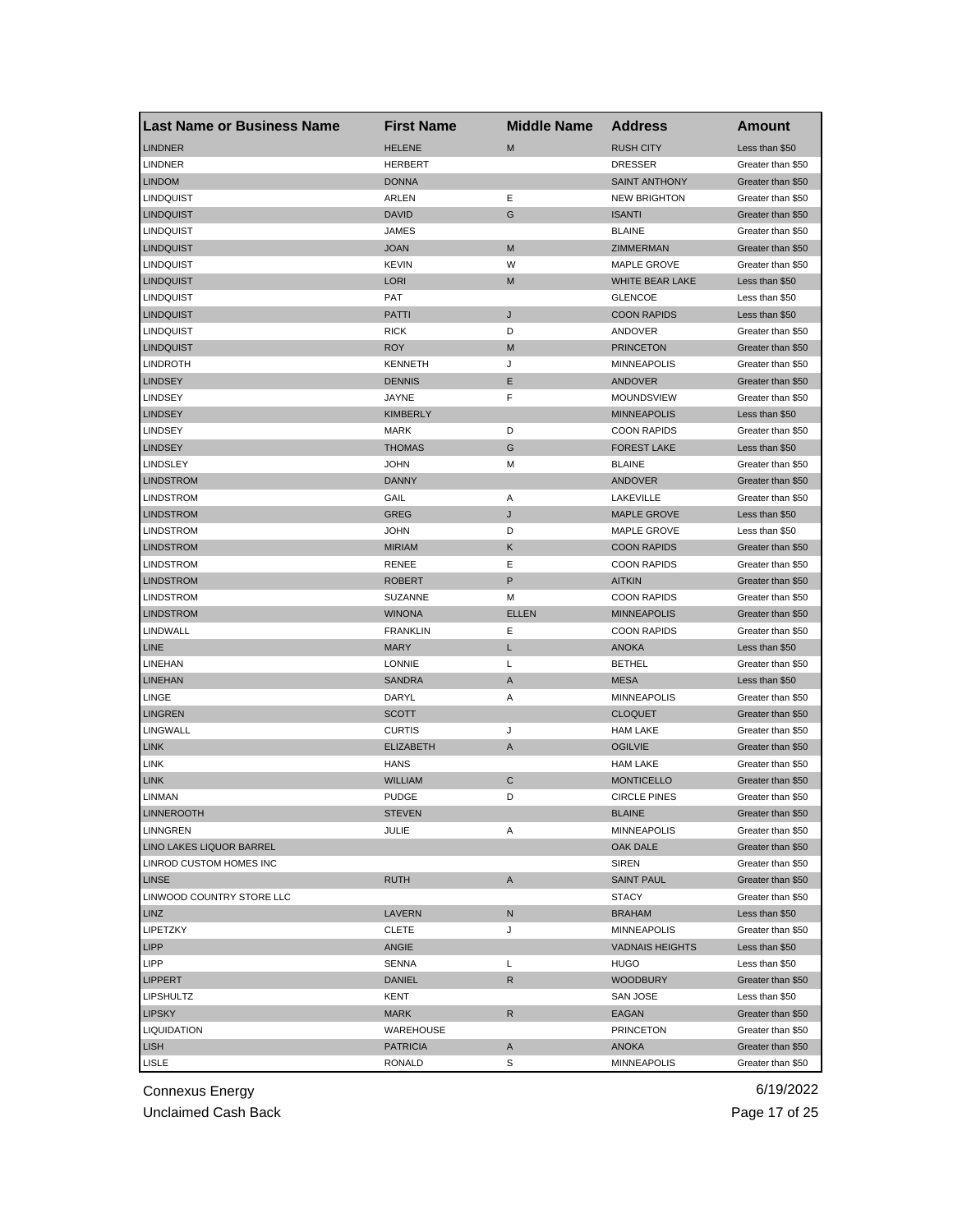| <b>Last Name or Business Name</b> | <b>First Name</b> | <b>Middle Name</b> | <b>Address</b>         | Amount            |
|-----------------------------------|-------------------|--------------------|------------------------|-------------------|
| <b>LINDNER</b>                    | <b>HELENE</b>     | M                  | <b>RUSH CITY</b>       | Less than \$50    |
| <b>LINDNER</b>                    | <b>HERBERT</b>    |                    | <b>DRESSER</b>         | Greater than \$50 |
| <b>LINDOM</b>                     | <b>DONNA</b>      |                    | <b>SAINT ANTHONY</b>   | Greater than \$50 |
| <b>LINDQUIST</b>                  | ARLEN             | Ε                  | <b>NEW BRIGHTON</b>    | Greater than \$50 |
| <b>LINDQUIST</b>                  | <b>DAVID</b>      | G                  | <b>ISANTI</b>          | Greater than \$50 |
| <b>LINDQUIST</b>                  | <b>JAMES</b>      |                    | <b>BLAINE</b>          | Greater than \$50 |
| <b>LINDQUIST</b>                  | <b>JOAN</b>       | M                  | ZIMMERMAN              | Greater than \$50 |
| <b>LINDQUIST</b>                  | <b>KEVIN</b>      | W                  | MAPLE GROVE            | Greater than \$50 |
| <b>LINDQUIST</b>                  | LORI              | M                  | <b>WHITE BEAR LAKE</b> | Less than \$50    |
| <b>LINDQUIST</b>                  | PAT               |                    | <b>GLENCOE</b>         | Less than \$50    |
| <b>LINDQUIST</b>                  | PATTI             | J                  | <b>COON RAPIDS</b>     | Less than \$50    |
| <b>LINDQUIST</b>                  | <b>RICK</b>       | D                  | ANDOVER                | Greater than \$50 |
| <b>LINDQUIST</b>                  | <b>ROY</b>        | M                  | <b>PRINCETON</b>       | Greater than \$50 |
| <b>LINDROTH</b>                   | <b>KENNETH</b>    | J                  | <b>MINNEAPOLIS</b>     | Greater than \$50 |
| <b>LINDSEY</b>                    | <b>DENNIS</b>     | Е                  | ANDOVER                | Greater than \$50 |
| <b>LINDSEY</b>                    | JAYNE             | F                  | <b>MOUNDSVIEW</b>      | Greater than \$50 |
| <b>LINDSEY</b>                    | <b>KIMBERLY</b>   |                    | <b>MINNEAPOLIS</b>     | Less than \$50    |
| <b>LINDSEY</b>                    | <b>MARK</b>       | D                  | <b>COON RAPIDS</b>     | Greater than \$50 |
| <b>LINDSEY</b>                    | <b>THOMAS</b>     | G                  | <b>FOREST LAKE</b>     | Less than \$50    |
| LINDSLEY                          | JOHN              | М                  | <b>BLAINE</b>          | Greater than \$50 |
| <b>LINDSTROM</b>                  | <b>DANNY</b>      |                    | <b>ANDOVER</b>         | Greater than \$50 |
| LINDSTROM                         | GAIL              | Α                  | LAKEVILLE              | Greater than \$50 |
| <b>LINDSTROM</b>                  | GREG              | J                  | <b>MAPLE GROVE</b>     | Less than \$50    |
| <b>LINDSTROM</b>                  | JOHN              | D                  | MAPLE GROVE            | Less than \$50    |
| <b>LINDSTROM</b>                  | <b>MIRIAM</b>     | Κ                  | <b>COON RAPIDS</b>     | Greater than \$50 |
| <b>LINDSTROM</b>                  | <b>RENEE</b>      | Ε                  | <b>COON RAPIDS</b>     | Greater than \$50 |
| <b>LINDSTROM</b>                  | <b>ROBERT</b>     | P                  | <b>AITKIN</b>          | Greater than \$50 |
| LINDSTROM                         | SUZANNE           | М                  | <b>COON RAPIDS</b>     | Greater than \$50 |
| <b>LINDSTROM</b>                  | <b>WINONA</b>     | <b>ELLEN</b>       | <b>MINNEAPOLIS</b>     | Greater than \$50 |
| LINDWALL                          | <b>FRANKLIN</b>   | Ε                  | <b>COON RAPIDS</b>     | Greater than \$50 |
| <b>LINE</b>                       | <b>MARY</b>       | L                  | <b>ANOKA</b>           | Less than \$50    |
| LINEHAN                           | <b>LONNIE</b>     | Г                  | <b>BETHEL</b>          | Greater than \$50 |
| <b>LINEHAN</b>                    | <b>SANDRA</b>     | A                  | <b>MESA</b>            | Less than \$50    |
| LINGE                             | DARYL             | Α                  | <b>MINNEAPOLIS</b>     | Greater than \$50 |
| <b>LINGREN</b>                    | SCOTT             |                    | <b>CLOQUET</b>         | Greater than \$50 |
| LINGWALL                          | <b>CURTIS</b>     | J                  | <b>HAM LAKE</b>        | Greater than \$50 |
| <b>LINK</b>                       | <b>ELIZABETH</b>  | A                  | <b>OGILVIE</b>         | Greater than \$50 |
| LINK                              | HANS              |                    | <b>HAM LAKE</b>        | Greater than \$50 |
| <b>LINK</b>                       | <b>WILLIAM</b>    | C                  | <b>MONTICELLO</b>      | Greater than \$50 |
| LINMAN                            | <b>PUDGE</b>      | D                  | <b>CIRCLE PINES</b>    | Greater than \$50 |
| <b>LINNEROOTH</b>                 | <b>STEVEN</b>     |                    | <b>BLAINE</b>          | Greater than \$50 |
| <b>LINNGREN</b>                   | JULIE             | Α                  | <b>MINNEAPOLIS</b>     | Greater than \$50 |
| <b>LINO LAKES LIQUOR BARREL</b>   |                   |                    | OAK DALE               | Greater than \$50 |
| LINROD CUSTOM HOMES INC           |                   |                    | <b>SIREN</b>           | Greater than \$50 |
| <b>LINSE</b>                      | <b>RUTH</b>       | A                  | <b>SAINT PAUL</b>      | Greater than \$50 |
| LINWOOD COUNTRY STORE LLC         |                   |                    | <b>STACY</b>           | Greater than \$50 |
| <b>LINZ</b>                       | LAVERN            | N                  | <b>BRAHAM</b>          | Less than \$50    |
| LIPETZKY                          | <b>CLETE</b>      | J                  | <b>MINNEAPOLIS</b>     | Greater than \$50 |
| <b>LIPP</b>                       | ANGIE             |                    | <b>VADNAIS HEIGHTS</b> | Less than \$50    |
| <b>LIPP</b>                       | SENNA             | L                  | <b>HUGO</b>            | Less than \$50    |
| <b>LIPPERT</b>                    | <b>DANIEL</b>     | R                  | <b>WOODBURY</b>        | Greater than \$50 |
| <b>LIPSHULTZ</b>                  | KENT              |                    | SAN JOSE               | Less than \$50    |
| <b>LIPSKY</b>                     | MARK              | R                  | EAGAN                  | Greater than \$50 |
| LIQUIDATION                       | WAREHOUSE         |                    | <b>PRINCETON</b>       | Greater than \$50 |
| <b>LISH</b>                       | <b>PATRICIA</b>   | A                  | <b>ANOKA</b>           | Greater than \$50 |
| LISLE                             | RONALD            | S                  | <b>MINNEAPOLIS</b>     | Greater than \$50 |

Unclaimed Cash Back **Page 17 of 25**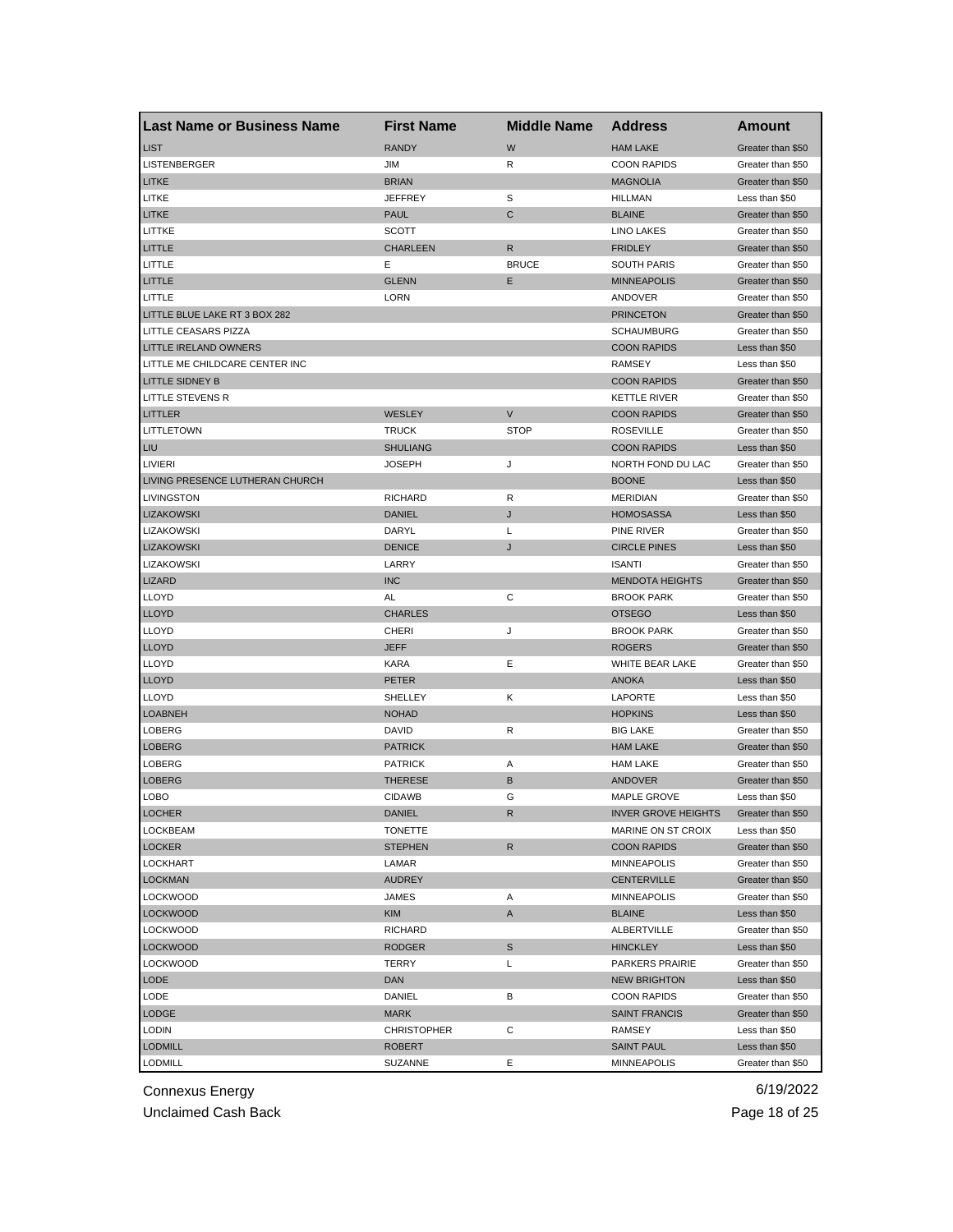| Last Name or Business Name      | <b>First Name</b>  | <b>Middle Name</b> | <b>Address</b>             | Amount            |
|---------------------------------|--------------------|--------------------|----------------------------|-------------------|
| <b>LIST</b>                     | <b>RANDY</b>       | W                  | <b>HAM LAKE</b>            | Greater than \$50 |
| LISTENBERGER                    | JIM                | R                  | <b>COON RAPIDS</b>         | Greater than \$50 |
| <b>LITKE</b>                    | <b>BRIAN</b>       |                    | <b>MAGNOLIA</b>            | Greater than \$50 |
| LITKE                           | <b>JEFFREY</b>     | S                  | <b>HILLMAN</b>             | Less than \$50    |
| <b>LITKE</b>                    | <b>PAUL</b>        | $\mathsf{C}$       | <b>BLAINE</b>              | Greater than \$50 |
| LITTKE                          | <b>SCOTT</b>       |                    | <b>LINO LAKES</b>          | Greater than \$50 |
| LITTLE                          | <b>CHARLEEN</b>    | R                  | <b>FRIDLEY</b>             | Greater than \$50 |
| LITTLE                          | Е                  | <b>BRUCE</b>       | <b>SOUTH PARIS</b>         | Greater than \$50 |
| LITTLE                          | <b>GLENN</b>       | Ε                  | <b>MINNEAPOLIS</b>         | Greater than \$50 |
| LITTLE                          | <b>LORN</b>        |                    | ANDOVER                    | Greater than \$50 |
| LITTLE BLUE LAKE RT 3 BOX 282   |                    |                    | <b>PRINCETON</b>           | Greater than \$50 |
| LITTLE CEASARS PIZZA            |                    |                    | <b>SCHAUMBURG</b>          | Greater than \$50 |
| <b>LITTLE IRELAND OWNERS</b>    |                    |                    | <b>COON RAPIDS</b>         | Less than \$50    |
| LITTLE ME CHILDCARE CENTER INC  |                    |                    | <b>RAMSEY</b>              | Less than \$50    |
| <b>LITTLE SIDNEY B</b>          |                    |                    | <b>COON RAPIDS</b>         | Greater than \$50 |
| LITTLE STEVENS R                |                    |                    | KETTLE RIVER               | Greater than \$50 |
| <b>LITTLER</b>                  | <b>WESLEY</b>      | $\mathsf{V}$       | <b>COON RAPIDS</b>         | Greater than \$50 |
| LITTLETOWN                      | <b>TRUCK</b>       | <b>STOP</b>        | <b>ROSEVILLE</b>           | Greater than \$50 |
| LIU                             | <b>SHULIANG</b>    |                    | <b>COON RAPIDS</b>         | Less than \$50    |
| LIVIERI                         | JOSEPH             | J                  | NORTH FOND DU LAC          | Greater than \$50 |
| LIVING PRESENCE LUTHERAN CHURCH |                    |                    | <b>BOONE</b>               | Less than \$50    |
| <b>LIVINGSTON</b>               | <b>RICHARD</b>     | R                  | <b>MERIDIAN</b>            | Greater than \$50 |
| <b>LIZAKOWSKI</b>               | <b>DANIEL</b>      | J                  | <b>HOMOSASSA</b>           | Less than \$50    |
| LIZAKOWSKI                      | DARYL              | L                  | PINE RIVER                 | Greater than \$50 |
| <b>LIZAKOWSKI</b>               | <b>DENICE</b>      | J                  | <b>CIRCLE PINES</b>        | Less than \$50    |
| LIZAKOWSKI                      | LARRY              |                    | <b>ISANTI</b>              | Greater than \$50 |
| <b>LIZARD</b>                   | <b>INC</b>         |                    | <b>MENDOTA HEIGHTS</b>     | Greater than \$50 |
| <b>LLOYD</b>                    | AL                 | С                  | <b>BROOK PARK</b>          | Greater than \$50 |
| <b>LLOYD</b>                    | <b>CHARLES</b>     |                    | <b>OTSEGO</b>              | Less than \$50    |
| <b>LLOYD</b>                    | <b>CHERI</b>       | J                  | <b>BROOK PARK</b>          | Greater than \$50 |
| <b>LLOYD</b>                    | <b>JEFF</b>        |                    | <b>ROGERS</b>              | Greater than \$50 |
| <b>LLOYD</b>                    | <b>KARA</b>        | Ε                  | WHITE BEAR LAKE            | Greater than \$50 |
| <b>LLOYD</b>                    | <b>PETER</b>       |                    | <b>ANOKA</b>               | Less than \$50    |
| <b>LLOYD</b>                    | SHELLEY            | Κ                  | LAPORTE                    | Less than \$50    |
| <b>LOABNEH</b>                  | <b>NOHAD</b>       |                    | <b>HOPKINS</b>             | Less than \$50    |
| LOBERG                          | DAVID              | R                  | <b>BIG LAKE</b>            | Greater than \$50 |
| <b>LOBERG</b>                   | <b>PATRICK</b>     |                    | <b>HAM LAKE</b>            | Greater than \$50 |
| <b>LOBERG</b>                   | <b>PATRICK</b>     | Α                  | <b>HAM LAKE</b>            | Greater than \$50 |
| <b>LOBERG</b>                   | <b>THERESE</b>     | B                  | <b>ANDOVER</b>             | Greater than \$50 |
| LOBO                            | <b>CIDAWB</b>      | G                  | MAPLE GROVE                | Less than \$50    |
| <b>LOCHER</b>                   | DANIEL             | R                  | <b>INVER GROVE HEIGHTS</b> | Greater than \$50 |
| <b>LOCKBEAM</b>                 | <b>TONETTE</b>     |                    | MARINE ON ST CROIX         | Less than \$50    |
| <b>LOCKER</b>                   | <b>STEPHEN</b>     | $\mathsf{R}$       | <b>COON RAPIDS</b>         | Greater than \$50 |
| LOCKHART                        | LAMAR              |                    | <b>MINNEAPOLIS</b>         | Greater than \$50 |
| <b>LOCKMAN</b>                  | <b>AUDREY</b>      |                    | CENTERVILLE                | Greater than \$50 |
| <b>LOCKWOOD</b>                 | JAMES              | Α                  | <b>MINNEAPOLIS</b>         | Greater than \$50 |
| <b>LOCKWOOD</b>                 | <b>KIM</b>         | A                  | <b>BLAINE</b>              | Less than \$50    |
| <b>LOCKWOOD</b>                 | <b>RICHARD</b>     |                    | ALBERTVILLE                | Greater than \$50 |
| <b>LOCKWOOD</b>                 | RODGER             | S                  | <b>HINCKLEY</b>            | Less than \$50    |
| <b>LOCKWOOD</b>                 | TERRY              | L                  | PARKERS PRAIRIE            | Greater than \$50 |
| LODE                            | <b>DAN</b>         |                    | <b>NEW BRIGHTON</b>        | Less than \$50    |
| LODE                            | DANIEL             | в                  | <b>COON RAPIDS</b>         | Greater than \$50 |
| LODGE                           | <b>MARK</b>        |                    | <b>SAINT FRANCIS</b>       | Greater than \$50 |
| <b>LODIN</b>                    | <b>CHRISTOPHER</b> | С                  | RAMSEY                     | Less than \$50    |
| <b>LODMILL</b>                  | <b>ROBERT</b>      |                    | <b>SAINT PAUL</b>          | Less than \$50    |
| LODMILL                         | SUZANNE            | Е                  | <b>MINNEAPOLIS</b>         | Greater than \$50 |
|                                 |                    |                    |                            |                   |

Unclaimed Cash Back **Page 18 of 25**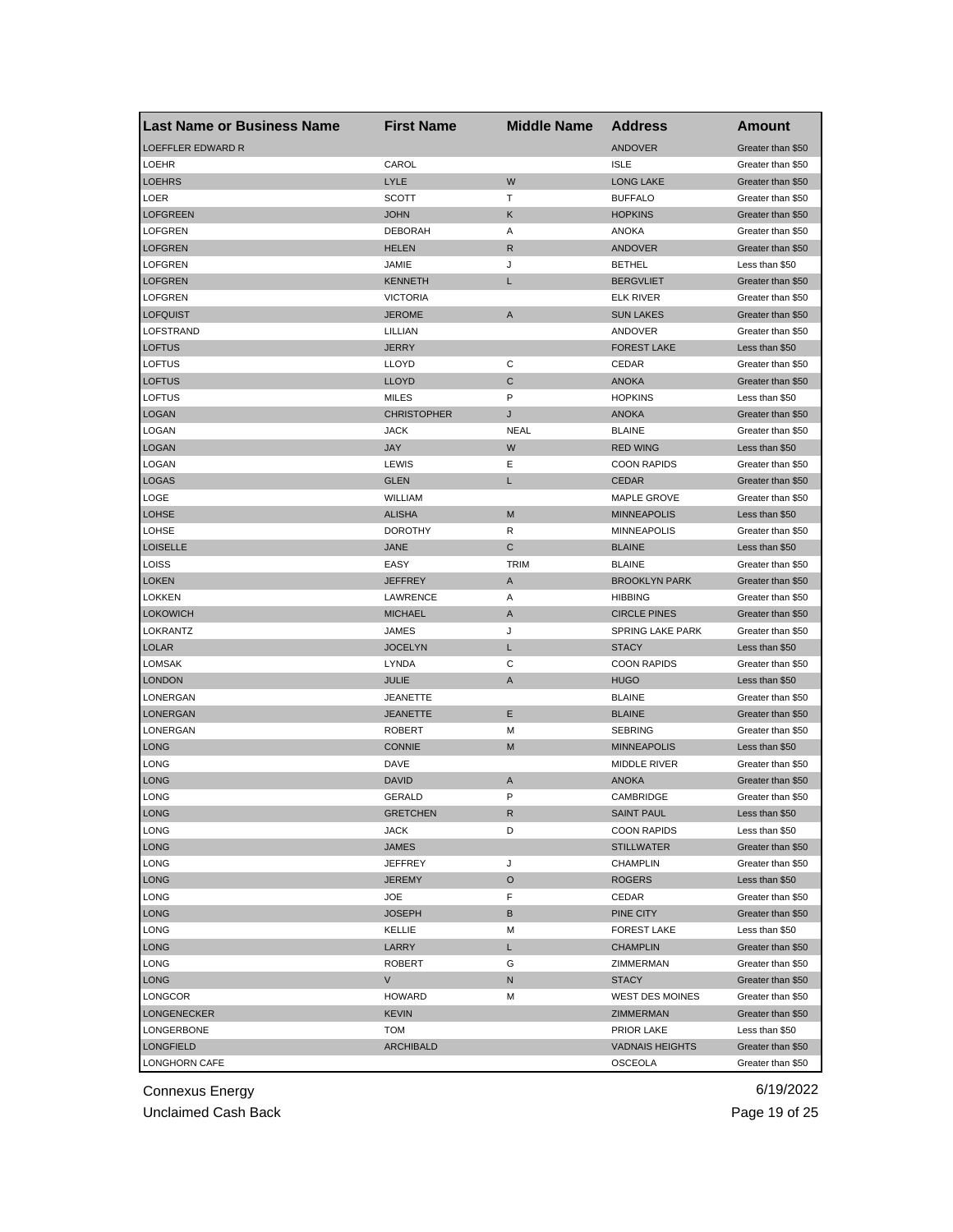| Last Name or Business Name | <b>First Name</b>  | <b>Middle Name</b> | <b>Address</b>          | Amount            |
|----------------------------|--------------------|--------------------|-------------------------|-------------------|
| <b>LOEFFLER EDWARD R</b>   |                    |                    | <b>ANDOVER</b>          | Greater than \$50 |
| <b>LOEHR</b>               | CAROL              |                    | <b>ISLE</b>             | Greater than \$50 |
| <b>LOEHRS</b>              | <b>LYLE</b>        | W                  | <b>LONG LAKE</b>        | Greater than \$50 |
| LOER                       | <b>SCOTT</b>       | т                  | <b>BUFFALO</b>          | Greater than \$50 |
| <b>LOFGREEN</b>            | <b>JOHN</b>        | Κ                  | <b>HOPKINS</b>          | Greater than \$50 |
| <b>LOFGREN</b>             | <b>DEBORAH</b>     | Α                  | <b>ANOKA</b>            | Greater than \$50 |
| <b>LOFGREN</b>             | <b>HELEN</b>       | R                  | <b>ANDOVER</b>          | Greater than \$50 |
| <b>LOFGREN</b>             | JAMIE              | J                  | <b>BETHEL</b>           | Less than \$50    |
| <b>LOFGREN</b>             | <b>KENNETH</b>     | L                  | <b>BERGVLIET</b>        | Greater than \$50 |
| <b>LOFGREN</b>             | <b>VICTORIA</b>    |                    | <b>ELK RIVER</b>        | Greater than \$50 |
| <b>LOFQUIST</b>            | <b>JEROME</b>      | Α                  | <b>SUN LAKES</b>        | Greater than \$50 |
| LOFSTRAND                  | LILLIAN            |                    | ANDOVER                 | Greater than \$50 |
| <b>LOFTUS</b>              | <b>JERRY</b>       |                    | <b>FOREST LAKE</b>      | Less than \$50    |
| <b>LOFTUS</b>              | LLOYD              | С                  | CEDAR                   | Greater than \$50 |
| <b>LOFTUS</b>              | <b>LLOYD</b>       | C                  | <b>ANOKA</b>            | Greater than \$50 |
| LOFTUS                     | <b>MILES</b>       | P                  | <b>HOPKINS</b>          | Less than \$50    |
| <b>LOGAN</b>               | <b>CHRISTOPHER</b> | J                  | <b>ANOKA</b>            | Greater than \$50 |
| LOGAN                      | <b>JACK</b>        | NEAL               | <b>BLAINE</b>           | Greater than \$50 |
| LOGAN                      | <b>JAY</b>         | W                  | <b>RED WING</b>         | Less than \$50    |
| <b>LOGAN</b>               | LEWIS              | Ε                  | <b>COON RAPIDS</b>      | Greater than \$50 |
| LOGAS                      | <b>GLEN</b>        | L                  | <b>CEDAR</b>            | Greater than \$50 |
| LOGE                       | WILLIAM            |                    | MAPLE GROVE             | Greater than \$50 |
| <b>LOHSE</b>               | <b>ALISHA</b>      | M                  | <b>MINNEAPOLIS</b>      | Less than \$50    |
| LOHSE                      | <b>DOROTHY</b>     | R                  | <b>MINNEAPOLIS</b>      | Greater than \$50 |
| <b>LOISELLE</b>            | <b>JANE</b>        | С                  | <b>BLAINE</b>           | Less than \$50    |
| LOISS                      | EASY               | <b>TRIM</b>        | <b>BLAINE</b>           | Greater than \$50 |
| <b>LOKEN</b>               | <b>JEFFREY</b>     | A                  | <b>BROOKLYN PARK</b>    | Greater than \$50 |
| <b>LOKKEN</b>              | LAWRENCE           | Α                  | <b>HIBBING</b>          | Greater than \$50 |
| <b>LOKOWICH</b>            | <b>MICHAEL</b>     | A                  | <b>CIRCLE PINES</b>     | Greater than \$50 |
| LOKRANTZ                   | JAMES              | J                  | <b>SPRING LAKE PARK</b> | Greater than \$50 |
| <b>LOLAR</b>               | <b>JOCELYN</b>     | L                  | <b>STACY</b>            | Less than \$50    |
| LOMSAK                     | LYNDA              | С                  | <b>COON RAPIDS</b>      | Greater than \$50 |
| <b>LONDON</b>              | <b>JULIE</b>       | A                  | <b>HUGO</b>             | Less than \$50    |
| LONERGAN                   | <b>JEANETTE</b>    |                    | <b>BLAINE</b>           | Greater than \$50 |
| <b>LONERGAN</b>            | <b>JEANETTE</b>    | Е                  | <b>BLAINE</b>           | Greater than \$50 |
| LONERGAN                   | <b>ROBERT</b>      | М                  | <b>SEBRING</b>          | Greater than \$50 |
| LONG                       | <b>CONNIE</b>      | M                  | <b>MINNEAPOLIS</b>      | Less than \$50    |
| LONG                       | DAVE               |                    | <b>MIDDLE RIVER</b>     | Greater than \$50 |
| <b>LONG</b>                | <b>DAVID</b>       | A                  | <b>ANOKA</b>            | Greater than \$50 |
| LONG                       | <b>GERALD</b>      | P                  | CAMBRIDGE               | Greater than \$50 |
| LONG                       | GRETCHEN           | R                  | <b>SAINT PAUL</b>       | Less than \$50    |
| LONG                       | <b>JACK</b>        | D                  | <b>COON RAPIDS</b>      | Less than \$50    |
| LONG                       | <b>JAMES</b>       |                    | <b>STILLWATER</b>       | Greater than \$50 |
| LONG                       | <b>JEFFREY</b>     | J                  | CHAMPLIN                | Greater than \$50 |
| <b>LONG</b>                | <b>JEREMY</b>      | O                  | <b>ROGERS</b>           | Less than \$50    |
| LONG                       | JOE                | F                  | CEDAR                   | Greater than \$50 |
| <b>LONG</b>                | <b>JOSEPH</b>      | B                  | PINE CITY               | Greater than \$50 |
| LONG                       | KELLIE             | М                  | <b>FOREST LAKE</b>      | Less than \$50    |
| LONG                       | LARRY              | L                  | <b>CHAMPLIN</b>         | Greater than \$50 |
| LONG                       | <b>ROBERT</b>      | G                  | ZIMMERMAN               | Greater than \$50 |
| <b>LONG</b>                | V                  | N                  | <b>STACY</b>            | Greater than \$50 |
| LONGCOR                    | <b>HOWARD</b>      | М                  | WEST DES MOINES         | Greater than \$50 |
| <b>LONGENECKER</b>         | <b>KEVIN</b>       |                    | ZIMMERMAN               | Greater than \$50 |
| LONGERBONE                 | <b>TOM</b>         |                    | PRIOR LAKE              | Less than \$50    |
| <b>LONGFIELD</b>           | <b>ARCHIBALD</b>   |                    | <b>VADNAIS HEIGHTS</b>  | Greater than \$50 |
| LONGHORN CAFE              |                    |                    | <b>OSCEOLA</b>          | Greater than \$50 |
|                            |                    |                    |                         |                   |

Unclaimed Cash Back **Page 19 of 25**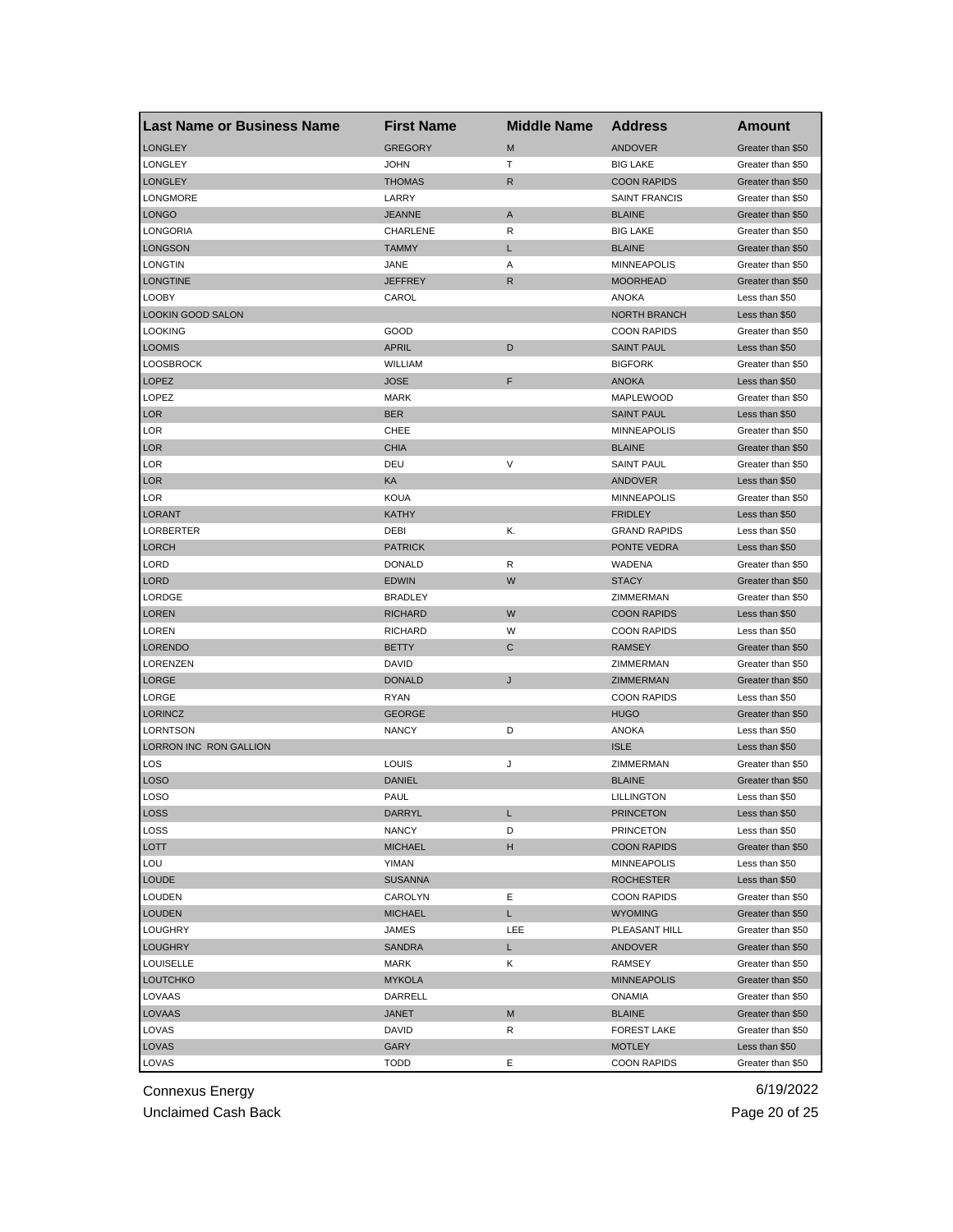| <b>Last Name or Business Name</b> | <b>First Name</b> | <b>Middle Name</b> | <b>Address</b>       | Amount            |
|-----------------------------------|-------------------|--------------------|----------------------|-------------------|
| <b>LONGLEY</b>                    | <b>GREGORY</b>    | M                  | <b>ANDOVER</b>       | Greater than \$50 |
| LONGLEY                           | JOHN              | т                  | <b>BIG LAKE</b>      | Greater than \$50 |
| <b>LONGLEY</b>                    | <b>THOMAS</b>     | R                  | <b>COON RAPIDS</b>   | Greater than \$50 |
| LONGMORE                          | LARRY             |                    | <b>SAINT FRANCIS</b> | Greater than \$50 |
| <b>LONGO</b>                      | <b>JEANNE</b>     | A                  | <b>BLAINE</b>        | Greater than \$50 |
| LONGORIA                          | CHARLENE          | R                  | <b>BIG LAKE</b>      | Greater than \$50 |
| <b>LONGSON</b>                    | <b>TAMMY</b>      | L                  | <b>BLAINE</b>        | Greater than \$50 |
| <b>LONGTIN</b>                    | JANE              | Α                  | <b>MINNEAPOLIS</b>   | Greater than \$50 |
| <b>LONGTINE</b>                   | JEFFREY           | R                  | <b>MOORHEAD</b>      | Greater than \$50 |
| <b>LOOBY</b>                      | CAROL             |                    | <b>ANOKA</b>         | Less than \$50    |
| <b>LOOKIN GOOD SALON</b>          |                   |                    | <b>NORTH BRANCH</b>  | Less than \$50    |
| <b>LOOKING</b>                    | GOOD              |                    | <b>COON RAPIDS</b>   | Greater than \$50 |
| <b>LOOMIS</b>                     | <b>APRIL</b>      | D                  | <b>SAINT PAUL</b>    | Less than \$50    |
| <b>LOOSBROCK</b>                  | WILLIAM           |                    | <b>BIGFORK</b>       | Greater than \$50 |
| <b>LOPEZ</b>                      | <b>JOSE</b>       | F                  | <b>ANOKA</b>         | Less than \$50    |
| LOPEZ                             | <b>MARK</b>       |                    | MAPLEWOOD            | Greater than \$50 |
| <b>LOR</b>                        | <b>BER</b>        |                    | <b>SAINT PAUL</b>    | Less than \$50    |
| LOR                               | CHEE              |                    | <b>MINNEAPOLIS</b>   | Greater than \$50 |
| LOR                               | <b>CHIA</b>       |                    | <b>BLAINE</b>        | Greater than \$50 |
| LOR                               | DEU               | V                  | <b>SAINT PAUL</b>    | Greater than \$50 |
| <b>LOR</b>                        | KA                |                    | ANDOVER              | Less than \$50    |
| LOR                               | KOUA              |                    | <b>MINNEAPOLIS</b>   | Greater than \$50 |
| <b>LORANT</b>                     | <b>KATHY</b>      |                    | <b>FRIDLEY</b>       | Less than \$50    |
| <b>LORBERTER</b>                  | DEBI              | Κ.                 | <b>GRAND RAPIDS</b>  | Less than \$50    |
| <b>LORCH</b>                      | <b>PATRICK</b>    |                    | PONTE VEDRA          | Less than \$50    |
| LORD                              | <b>DONALD</b>     | R                  | WADENA               | Greater than \$50 |
| <b>LORD</b>                       | <b>EDWIN</b>      | W                  | <b>STACY</b>         | Greater than \$50 |
| LORDGE                            | <b>BRADLEY</b>    |                    | ZIMMERMAN            | Greater than \$50 |
| <b>LOREN</b>                      | <b>RICHARD</b>    | W                  | <b>COON RAPIDS</b>   | Less than \$50    |
| LOREN                             | <b>RICHARD</b>    | W                  | <b>COON RAPIDS</b>   | Less than \$50    |
| <b>LORENDO</b>                    | <b>BETTY</b>      | С                  | <b>RAMSEY</b>        | Greater than \$50 |
| LORENZEN                          | DAVID             |                    | ZIMMERMAN            | Greater than \$50 |
| <b>LORGE</b>                      | <b>DONALD</b>     | J                  | ZIMMERMAN            | Greater than \$50 |
| LORGE                             | <b>RYAN</b>       |                    | <b>COON RAPIDS</b>   | Less than \$50    |
| <b>LORINCZ</b>                    | GEORGE            |                    | <b>HUGO</b>          | Greater than \$50 |
| LORNTSON                          | <b>NANCY</b>      | D                  | <b>ANOKA</b>         | Less than \$50    |
| <b>LORRON INC RON GALLION</b>     |                   |                    | <b>ISLE</b>          | Less than \$50    |
| LOS                               | LOUIS             | J                  | ZIMMERMAN            | Greater than \$50 |
| <b>LOSO</b>                       | <b>DANIEL</b>     |                    | <b>BLAINE</b>        | Greater than \$50 |
| <b>LOSO</b>                       | PAUL              |                    | <b>LILLINGTON</b>    | Less than \$50    |
| LOSS                              | DARRYL            |                    | <b>PRINCETON</b>     | Less than \$50    |
| LOSS                              | <b>NANCY</b>      | D                  | <b>PRINCETON</b>     | Less than \$50    |
| LOTT                              | <b>MICHAEL</b>    | н                  | <b>COON RAPIDS</b>   | Greater than \$50 |
| LOU                               | <b>YIMAN</b>      |                    | <b>MINNEAPOLIS</b>   | Less than \$50    |
| <b>LOUDE</b>                      | SUSANNA           |                    | <b>ROCHESTER</b>     | Less than \$50    |
| <b>LOUDEN</b>                     | CAROLYN           | Е                  | <b>COON RAPIDS</b>   | Greater than \$50 |
| <b>LOUDEN</b>                     | <b>MICHAEL</b>    | L.                 | <b>WYOMING</b>       | Greater than \$50 |
| <b>LOUGHRY</b>                    | <b>JAMES</b>      | LEE                | PLEASANT HILL        | Greater than \$50 |
| <b>LOUGHRY</b>                    | <b>SANDRA</b>     | L.                 | <b>ANDOVER</b>       | Greater than \$50 |
| <b>LOUISELLE</b>                  | MARK              | Κ                  | RAMSEY               | Greater than \$50 |
| <b>LOUTCHKO</b>                   | MYKOLA            |                    | <b>MINNEAPOLIS</b>   | Greater than \$50 |
| LOVAAS                            | DARRELL           |                    | <b>ONAMIA</b>        | Greater than \$50 |
| LOVAAS                            | JANET             | M                  | <b>BLAINE</b>        | Greater than \$50 |
| LOVAS                             | DAVID             | R                  | <b>FOREST LAKE</b>   | Greater than \$50 |
| LOVAS                             | GARY              |                    | <b>MOTLEY</b>        | Less than \$50    |
| LOVAS                             | <b>TODD</b>       | Е                  | <b>COON RAPIDS</b>   | Greater than \$50 |
|                                   |                   |                    |                      |                   |

Unclaimed Cash Back **Page 20 of 25**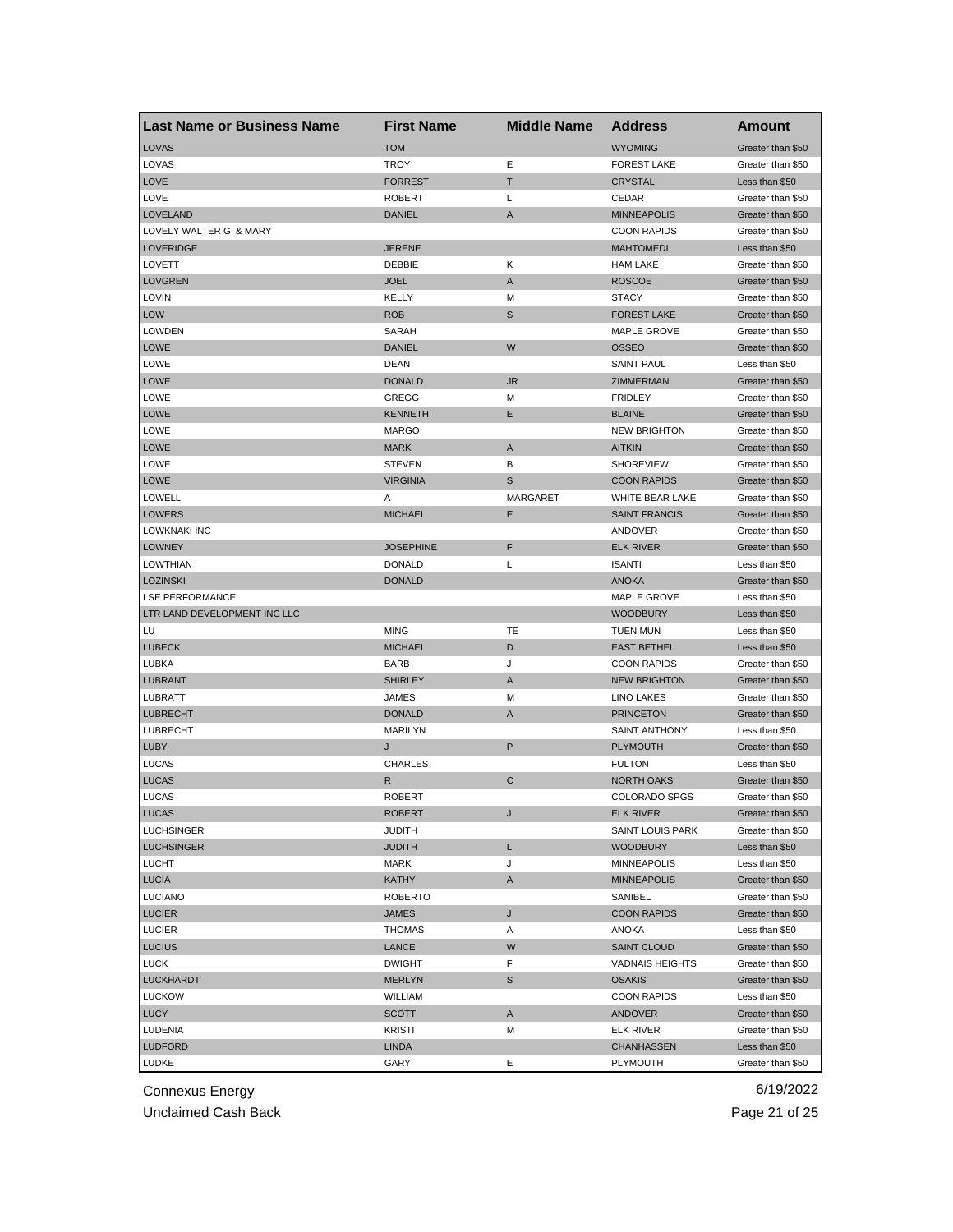| Last Name or Business Name   | <b>First Name</b> | <b>Middle Name</b> | <b>Address</b>         | Amount                              |
|------------------------------|-------------------|--------------------|------------------------|-------------------------------------|
| LOVAS                        | <b>TOM</b>        |                    | <b>WYOMING</b>         | Greater than \$50                   |
| LOVAS                        | TROY              | Ε                  | <b>FOREST LAKE</b>     | Greater than \$50                   |
| <b>LOVE</b>                  | <b>FORREST</b>    | т                  | <b>CRYSTAL</b>         | Less than \$50                      |
| LOVE                         | <b>ROBERT</b>     | L                  | CEDAR                  | Greater than \$50                   |
| <b>LOVELAND</b>              | <b>DANIEL</b>     | A                  | <b>MINNEAPOLIS</b>     | Greater than \$50                   |
| LOVELY WALTER G & MARY       |                   |                    | <b>COON RAPIDS</b>     | Greater than \$50                   |
| <b>LOVERIDGE</b>             | <b>JERENE</b>     |                    | <b>MAHTOMEDI</b>       | Less than \$50                      |
| LOVETT                       | DEBBIE            | Κ                  | <b>HAM LAKE</b>        | Greater than \$50                   |
| <b>LOVGREN</b>               | <b>JOEL</b>       | A                  | <b>ROSCOE</b>          | Greater than \$50                   |
| <b>LOVIN</b>                 | <b>KELLY</b>      | м                  | <b>STACY</b>           | Greater than \$50                   |
| <b>LOW</b>                   | <b>ROB</b>        | S                  | <b>FOREST LAKE</b>     | Greater than \$50                   |
| <b>LOWDEN</b>                | SARAH             |                    | <b>MAPLE GROVE</b>     | Greater than \$50                   |
| <b>LOWE</b>                  | <b>DANIEL</b>     | W                  | <b>OSSEO</b>           | Greater than \$50                   |
| <b>LOWE</b>                  | <b>DEAN</b>       |                    | <b>SAINT PAUL</b>      | Less than \$50                      |
| <b>LOWE</b>                  | <b>DONALD</b>     | <b>JR</b>          | ZIMMERMAN              | Greater than \$50                   |
| <b>LOWE</b>                  | GREGG             | М                  | <b>FRIDLEY</b>         | Greater than \$50                   |
| <b>LOWE</b>                  | <b>KENNETH</b>    | Ε                  | <b>BLAINE</b>          | Greater than \$50                   |
| <b>LOWE</b>                  | <b>MARGO</b>      |                    | <b>NEW BRIGHTON</b>    | Greater than \$50                   |
| <b>LOWE</b>                  | <b>MARK</b>       | A                  | <b>AITKIN</b>          | Greater than \$50                   |
| LOWE                         | <b>STEVEN</b>     | В                  | <b>SHOREVIEW</b>       | Greater than \$50                   |
| <b>LOWE</b>                  | <b>VIRGINIA</b>   | S                  | <b>COON RAPIDS</b>     | Greater than \$50                   |
| LOWELL                       | Α                 | MARGARET           | WHITE BEAR LAKE        | Greater than \$50                   |
| <b>LOWERS</b>                | <b>MICHAEL</b>    | Ε                  | <b>SAINT FRANCIS</b>   | Greater than \$50                   |
| LOWKNAKI INC                 |                   |                    | ANDOVER                | Greater than \$50                   |
| <b>LOWNEY</b>                | <b>JOSEPHINE</b>  | F                  | <b>ELK RIVER</b>       | Greater than \$50                   |
| <b>LOWTHIAN</b>              | <b>DONALD</b>     | Г                  | <b>ISANTI</b>          | Less than \$50                      |
| <b>LOZINSKI</b>              | <b>DONALD</b>     |                    | <b>ANOKA</b>           | Greater than \$50                   |
| <b>LSE PERFORMANCE</b>       |                   |                    | MAPLE GROVE            | Less than \$50                      |
| LTR LAND DEVELOPMENT INC LLC |                   |                    | <b>WOODBURY</b>        | Less than \$50                      |
| LU                           | <b>MING</b>       | TE                 | <b>TUEN MUN</b>        | Less than \$50                      |
| <b>LUBECK</b>                | <b>MICHAEL</b>    | D                  | <b>EAST BETHEL</b>     | Less than \$50                      |
| LUBKA                        | <b>BARB</b>       | J                  | <b>COON RAPIDS</b>     | Greater than \$50                   |
| <b>LUBRANT</b>               | <b>SHIRLEY</b>    | A                  | <b>NEW BRIGHTON</b>    | Greater than \$50                   |
| LUBRATT                      | JAMES             | М                  | LINO LAKES             | Greater than \$50                   |
| <b>LUBRECHT</b>              | <b>DONALD</b>     | A                  | <b>PRINCETON</b>       | Greater than \$50                   |
| <b>LUBRECHT</b>              | MARILYN           |                    | <b>SAINT ANTHONY</b>   | Less than \$50                      |
| <b>LUBY</b>                  | J                 | P                  | <b>PLYMOUTH</b>        | Greater than \$50                   |
| LUCAS                        | <b>CHARLES</b>    |                    | <b>FULTON</b>          | Less than \$50                      |
| <b>LUCAS</b>                 | R                 | C                  | <b>NORTH OAKS</b>      | Greater than \$50                   |
| <b>LUCAS</b>                 | <b>ROBERT</b>     |                    | <b>COLORADO SPGS</b>   | Greater than \$50                   |
| <b>LUCAS</b>                 | ROBERT            | J                  | ELK RIVER              | Greater than \$50                   |
| <b>LUCHSINGER</b>            | <b>JUDITH</b>     |                    | SAINT LOUIS PARK       | Greater than \$50                   |
| <b>LUCHSINGER</b>            | <b>JUDITH</b>     | L.                 | <b>WOODBURY</b>        | Less than \$50                      |
| <b>LUCHT</b>                 | MARK              | J                  | <b>MINNEAPOLIS</b>     | Less than \$50                      |
| <b>LUCIA</b>                 | <b>KATHY</b>      | A                  | <b>MINNEAPOLIS</b>     | Greater than \$50                   |
| <b>LUCIANO</b>               | <b>ROBERTO</b>    |                    | SANIBEL                | Greater than \$50                   |
| <b>LUCIER</b>                | <b>JAMES</b>      | J                  | <b>COON RAPIDS</b>     | Greater than \$50                   |
| <b>LUCIER</b>                | <b>THOMAS</b>     | Α                  | ANOKA                  | Less than \$50                      |
| <b>LUCIUS</b>                | LANCE             | W                  | <b>SAINT CLOUD</b>     | Greater than \$50                   |
| <b>LUCK</b>                  | <b>DWIGHT</b>     | F                  | <b>VADNAIS HEIGHTS</b> | Greater than \$50                   |
| <b>LUCKHARDT</b>             |                   | $\mathbb S$        |                        |                                     |
|                              | <b>MERLYN</b>     |                    | <b>OSAKIS</b>          | Greater than \$50<br>Less than \$50 |
| <b>LUCKOW</b>                | WILLIAM           |                    | <b>COON RAPIDS</b>     |                                     |
| LUCY                         | SCOTT             | Α                  | ANDOVER                | Greater than \$50                   |
| <b>LUDENIA</b>               | <b>KRISTI</b>     | М                  | <b>ELK RIVER</b>       | Greater than \$50                   |
| <b>LUDFORD</b>               | <b>LINDA</b>      |                    | CHANHASSEN             | Less than \$50                      |
| LUDKE                        | GARY              | Е                  | PLYMOUTH               | Greater than \$50                   |

Unclaimed Cash Back **Page 21 of 25**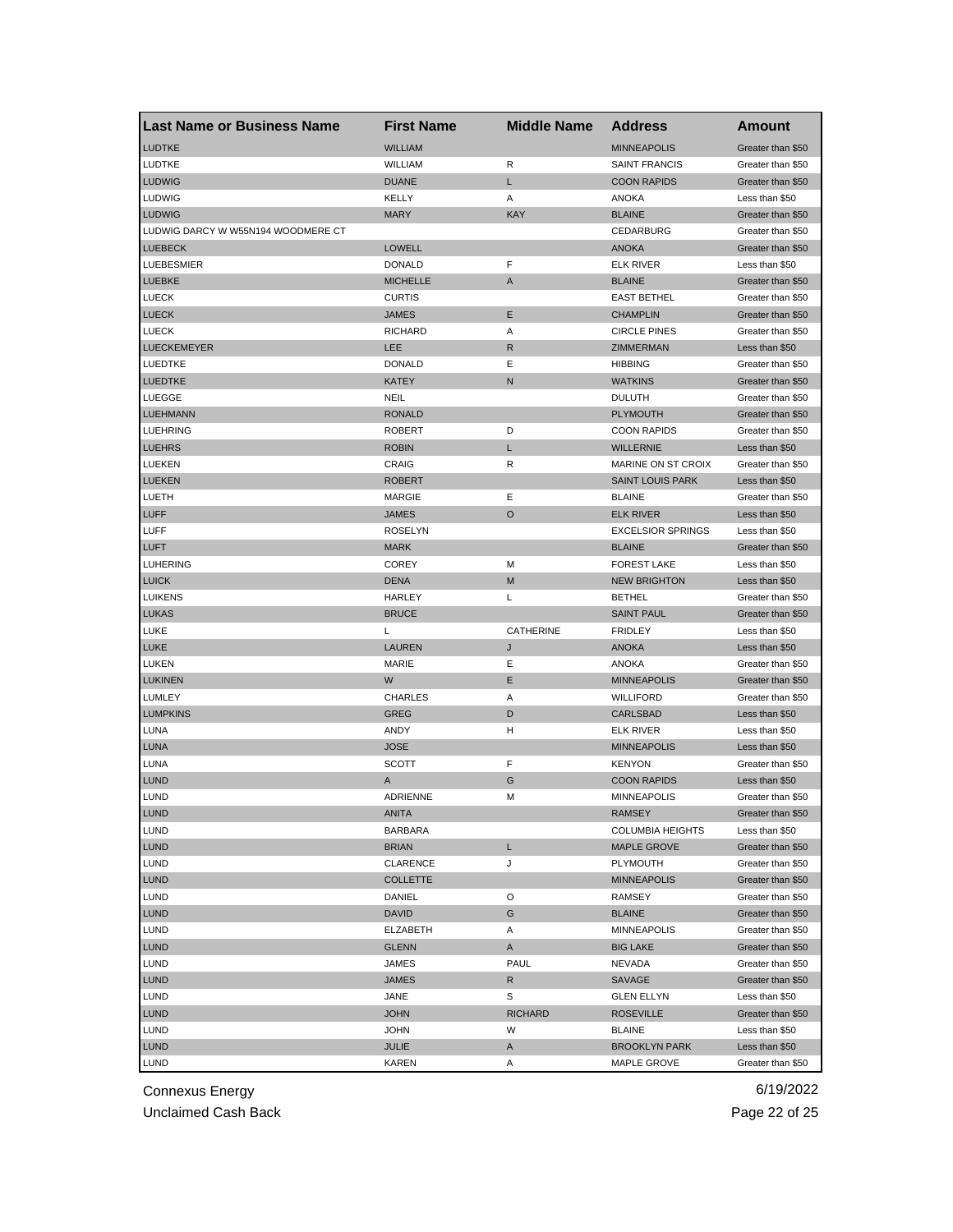| <b>Last Name or Business Name</b>  | <b>First Name</b> | <b>Middle Name</b> | <b>Address</b>            | Amount            |
|------------------------------------|-------------------|--------------------|---------------------------|-------------------|
| <b>LUDTKE</b>                      | <b>WILLIAM</b>    |                    | <b>MINNEAPOLIS</b>        | Greater than \$50 |
| LUDTKE                             | WILLIAM           | R                  | <b>SAINT FRANCIS</b>      | Greater than \$50 |
| <b>LUDWIG</b>                      | <b>DUANE</b>      | L                  | <b>COON RAPIDS</b>        | Greater than \$50 |
| LUDWIG                             | KELLY             | Α                  | ANOKA                     | Less than \$50    |
| <b>LUDWIG</b>                      | <b>MARY</b>       | <b>KAY</b>         | <b>BLAINE</b>             | Greater than \$50 |
| LUDWIG DARCY W W55N194 WOODMERE CT |                   |                    | CEDARBURG                 | Greater than \$50 |
| <b>LUEBECK</b>                     | LOWELL            |                    | <b>ANOKA</b>              | Greater than \$50 |
| <b>LUEBESMIER</b>                  | <b>DONALD</b>     | F                  | <b>ELK RIVER</b>          | Less than \$50    |
| <b>LUEBKE</b>                      | <b>MICHELLE</b>   | A                  | <b>BLAINE</b>             | Greater than \$50 |
| <b>LUECK</b>                       | <b>CURTIS</b>     |                    | <b>EAST BETHEL</b>        | Greater than \$50 |
| <b>LUECK</b>                       | JAMES             | Ε                  | <b>CHAMPLIN</b>           | Greater than \$50 |
| <b>LUECK</b>                       | <b>RICHARD</b>    | Α                  | <b>CIRCLE PINES</b>       | Greater than \$50 |
| <b>LUECKEMEYER</b>                 | <b>LEE</b>        | R                  | ZIMMERMAN                 | Less than \$50    |
| LUEDTKE                            | <b>DONALD</b>     | Ε                  | <b>HIBBING</b>            | Greater than \$50 |
| <b>LUEDTKE</b>                     | <b>KATEY</b>      | N                  | <b>WATKINS</b>            | Greater than \$50 |
| LUEGGE                             | <b>NEIL</b>       |                    | <b>DULUTH</b>             | Greater than \$50 |
| <b>LUEHMANN</b>                    | <b>RONALD</b>     |                    | <b>PLYMOUTH</b>           | Greater than \$50 |
| LUEHRING                           | <b>ROBERT</b>     | D                  | <b>COON RAPIDS</b>        | Greater than \$50 |
| <b>LUEHRS</b>                      | <b>ROBIN</b>      | L                  | <b>WILLERNIE</b>          | Less than \$50    |
| LUEKEN                             | CRAIG             | R                  | <b>MARINE ON ST CROIX</b> | Greater than \$50 |
| <b>LUEKEN</b>                      | ROBERT            |                    | <b>SAINT LOUIS PARK</b>   | Less than \$50    |
| LUETH                              | <b>MARGIE</b>     | Ε                  | <b>BLAINE</b>             | Greater than \$50 |
| <b>LUFF</b>                        | <b>JAMES</b>      | $\circ$            | <b>ELK RIVER</b>          | Less than \$50    |
| LUFF                               | <b>ROSELYN</b>    |                    | <b>EXCELSIOR SPRINGS</b>  | Less than \$50    |
| <b>LUFT</b>                        | <b>MARK</b>       |                    | <b>BLAINE</b>             | Greater than \$50 |
| LUHERING                           | <b>COREY</b>      | M                  | <b>FOREST LAKE</b>        | Less than \$50    |
| <b>LUICK</b>                       | <b>DENA</b>       | M                  | <b>NEW BRIGHTON</b>       | Less than \$50    |
| <b>LUIKENS</b>                     | HARLEY            | Г                  | <b>BETHEL</b>             | Greater than \$50 |
| <b>LUKAS</b>                       | <b>BRUCE</b>      |                    | <b>SAINT PAUL</b>         | Greater than \$50 |
| <b>LUKE</b>                        | L                 | CATHERINE          | <b>FRIDLEY</b>            | Less than \$50    |
| <b>LUKE</b>                        | LAUREN            | J                  | <b>ANOKA</b>              | Less than \$50    |
| LUKEN                              | <b>MARIE</b>      | Ε                  | <b>ANOKA</b>              | Greater than \$50 |
| <b>LUKINEN</b>                     | W                 | Е                  | <b>MINNEAPOLIS</b>        | Greater than \$50 |
| LUMLEY                             | <b>CHARLES</b>    | Α                  | <b>WILLIFORD</b>          | Greater than \$50 |
| <b>LUMPKINS</b>                    | GREG              | D                  | <b>CARLSBAD</b>           | Less than \$50    |
| LUNA                               | ANDY              | н                  | <b>ELK RIVER</b>          | Less than \$50    |
| <b>LUNA</b>                        | <b>JOSE</b>       |                    | <b>MINNEAPOLIS</b>        | Less than \$50    |
| LUNA                               | SCOTT             | F                  | <b>KENYON</b>             | Greater than \$50 |
| <b>LUND</b>                        | Α                 | G                  | <b>COON RAPIDS</b>        | Less than \$50    |
| <b>LUND</b>                        | ADRIENNE          | M                  | <b>MINNEAPOLIS</b>        | Greater than \$50 |
| LUND                               | ANITA             |                    | <b>RAMSEY</b>             | Greater than \$50 |
| <b>LUND</b>                        | <b>BARBARA</b>    |                    | <b>COLUMBIA HEIGHTS</b>   | Less than \$50    |
| <b>LUND</b>                        | <b>BRIAN</b>      | L                  | <b>MAPLE GROVE</b>        | Greater than \$50 |
| <b>LUND</b>                        | <b>CLARENCE</b>   | J                  | PLYMOUTH                  | Greater than \$50 |
| <b>LUND</b>                        | COLLETTE          |                    | <b>MINNEAPOLIS</b>        | Greater than \$50 |
| <b>LUND</b>                        | DANIEL            | O                  | RAMSEY                    | Greater than \$50 |
| <b>LUND</b>                        | <b>DAVID</b>      | G                  | <b>BLAINE</b>             | Greater than \$50 |
| LUND                               | ELZABETH          | Α                  | <b>MINNEAPOLIS</b>        | Greater than \$50 |
| <b>LUND</b>                        | <b>GLENN</b>      | A                  | <b>BIG LAKE</b>           | Greater than \$50 |
| LUND                               | JAMES             | PAUL               | NEVADA                    | Greater than \$50 |
| <b>LUND</b>                        | JAMES             | R                  | SAVAGE                    | Greater than \$50 |
| LUND                               | JANE              | S                  | <b>GLEN ELLYN</b>         | Less than \$50    |
| <b>LUND</b>                        | <b>JOHN</b>       | <b>RICHARD</b>     | <b>ROSEVILLE</b>          | Greater than \$50 |
| LUND                               | JOHN              | W                  | <b>BLAINE</b>             | Less than \$50    |
| <b>LUND</b>                        | <b>JULIE</b>      | A                  | <b>BROOKLYN PARK</b>      | Less than \$50    |
| <b>LUND</b>                        | KAREN             | Α                  | MAPLE GROVE               | Greater than \$50 |
|                                    |                   |                    |                           |                   |

Unclaimed Cash Back **Page 22 of 25**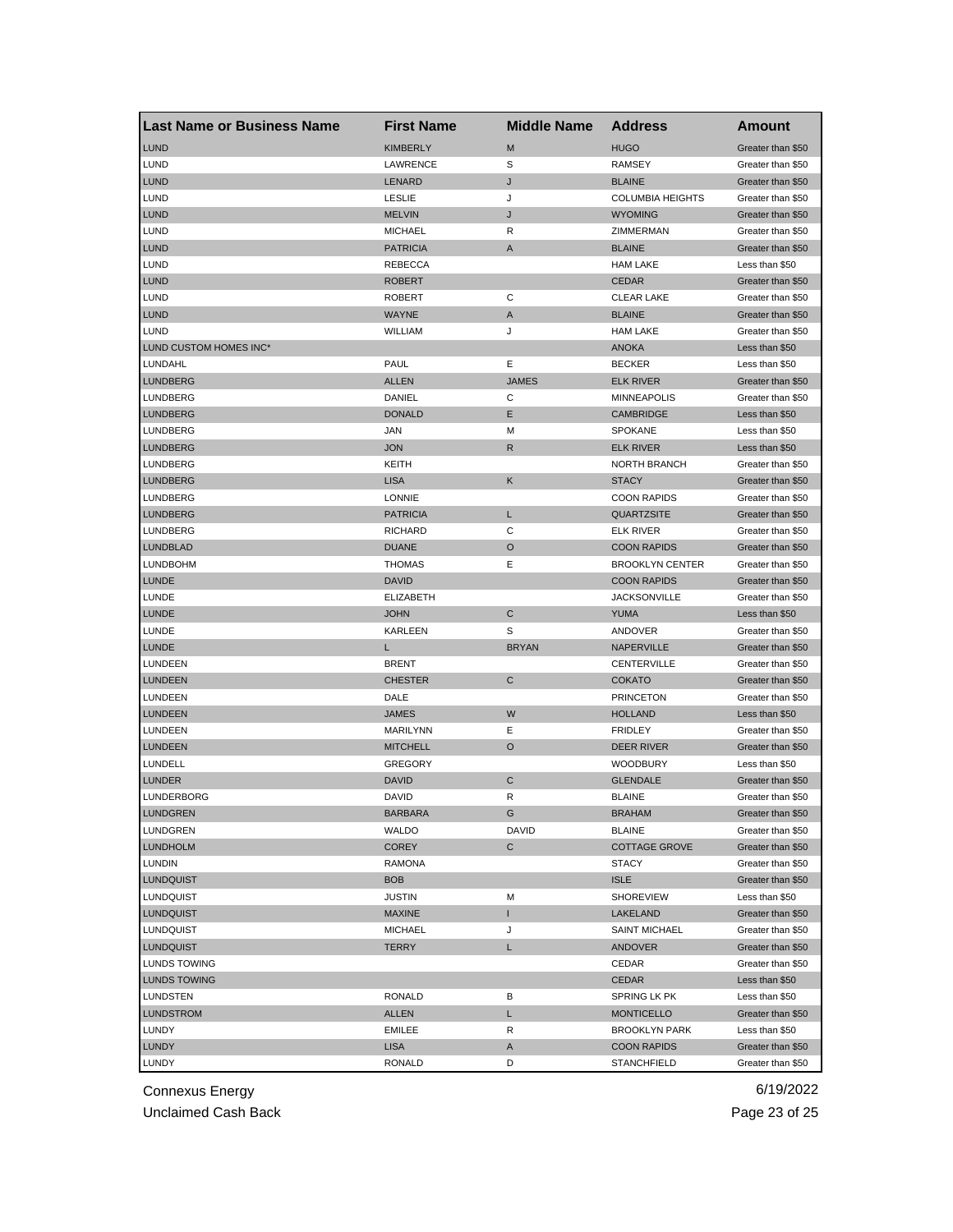| <b>Last Name or Business Name</b> | <b>First Name</b> | <b>Middle Name</b> | <b>Address</b>                             | Amount            |
|-----------------------------------|-------------------|--------------------|--------------------------------------------|-------------------|
| <b>LUND</b>                       | <b>KIMBERLY</b>   | M                  | <b>HUGO</b>                                | Greater than \$50 |
| <b>LUND</b>                       | LAWRENCE          | S                  | <b>RAMSEY</b>                              | Greater than \$50 |
| <b>LUND</b>                       | LENARD            | J                  | <b>BLAINE</b>                              | Greater than \$50 |
| <b>LUND</b>                       | <b>LESLIE</b>     | J                  | <b>COLUMBIA HEIGHTS</b>                    | Greater than \$50 |
| <b>LUND</b>                       | <b>MELVIN</b>     | J                  | <b>WYOMING</b>                             | Greater than \$50 |
| <b>LUND</b>                       | <b>MICHAEL</b>    | R                  | ZIMMERMAN                                  | Greater than \$50 |
| <b>LUND</b>                       | <b>PATRICIA</b>   | A                  | <b>BLAINE</b>                              | Greater than \$50 |
| LUND                              | <b>REBECCA</b>    |                    | <b>HAM LAKE</b>                            | Less than \$50    |
| <b>LUND</b>                       | ROBERT            |                    | <b>CEDAR</b>                               | Greater than \$50 |
| <b>LUND</b>                       | <b>ROBERT</b>     | С                  | <b>CLEAR LAKE</b>                          | Greater than \$50 |
| <b>LUND</b>                       | <b>WAYNE</b>      | A                  | <b>BLAINE</b>                              | Greater than \$50 |
| <b>LUND</b>                       | WILLIAM           | J                  | <b>HAM LAKE</b>                            | Greater than \$50 |
| LUND CUSTOM HOMES INC*            |                   |                    | <b>ANOKA</b>                               | Less than \$50    |
| LUNDAHL                           | PAUL              | Ε                  | <b>BECKER</b>                              | Less than \$50    |
| <b>LUNDBERG</b>                   | <b>ALLEN</b>      | <b>JAMES</b>       | <b>ELK RIVER</b>                           | Greater than \$50 |
| LUNDBERG                          | DANIEL            | С                  | <b>MINNEAPOLIS</b>                         | Greater than \$50 |
| <b>LUNDBERG</b>                   | <b>DONALD</b>     | E                  | <b>CAMBRIDGE</b>                           | Less than \$50    |
| <b>LUNDBERG</b>                   | JAN               | м                  | <b>SPOKANE</b>                             | Less than \$50    |
| <b>LUNDBERG</b>                   | <b>JON</b>        | R                  | <b>ELK RIVER</b>                           | Less than \$50    |
| LUNDBERG                          | KEITH             |                    | <b>NORTH BRANCH</b>                        | Greater than \$50 |
| <b>LUNDBERG</b>                   | <b>LISA</b>       | Κ                  | <b>STACY</b>                               | Greater than \$50 |
| LUNDBERG                          | <b>LONNIE</b>     |                    | <b>COON RAPIDS</b>                         | Greater than \$50 |
| <b>LUNDBERG</b>                   | <b>PATRICIA</b>   | L                  | <b>QUARTZSITE</b>                          | Greater than \$50 |
| LUNDBERG                          | RICHARD           | С                  | ELK RIVER                                  | Greater than \$50 |
| <b>LUNDBLAD</b>                   | <b>DUANE</b>      | O                  | <b>COON RAPIDS</b>                         | Greater than \$50 |
| <b>LUNDBOHM</b>                   | <b>THOMAS</b>     | Ε                  | <b>BROOKLYN CENTER</b>                     | Greater than \$50 |
| <b>LUNDE</b>                      | <b>DAVID</b>      |                    | <b>COON RAPIDS</b>                         | Greater than \$50 |
| LUNDE                             | <b>ELIZABETH</b>  |                    | <b>JACKSONVILLE</b>                        | Greater than \$50 |
| <b>LUNDE</b>                      | <b>JOHN</b>       | C                  | <b>YUMA</b>                                | Less than \$50    |
| LUNDE                             | KARLEEN           | S                  | ANDOVER                                    | Greater than \$50 |
| <b>LUNDE</b>                      | L                 | <b>BRYAN</b>       | NAPERVILLE                                 | Greater than \$50 |
| LUNDEEN                           | <b>BRENT</b>      |                    | CENTERVILLE                                | Greater than \$50 |
| <b>LUNDEEN</b>                    | <b>CHESTER</b>    | C                  | <b>COKATO</b>                              | Greater than \$50 |
| LUNDEEN                           | DALE              |                    | <b>PRINCETON</b>                           | Greater than \$50 |
| <b>LUNDEEN</b>                    | <b>JAMES</b>      | W                  | <b>HOLLAND</b>                             | Less than \$50    |
| LUNDEEN                           | MARILYNN          | Е                  | <b>FRIDLEY</b>                             | Greater than \$50 |
| <b>LUNDEEN</b>                    | <b>MITCHELL</b>   | O                  | DEER RIVER                                 | Greater than \$50 |
| LUNDELL                           | <b>GREGORY</b>    |                    | <b>WOODBURY</b>                            | Less than \$50    |
| <b>LUNDER</b>                     | <b>DAVID</b>      | C                  | <b>GLENDALE</b>                            | Greater than \$50 |
| LUNDERBORG                        | DAVID             | R                  | <b>BLAINE</b>                              | Greater than \$50 |
| LUNDGREN                          | <b>BARBARA</b>    |                    | <b>BRAHAM</b>                              | Greater than \$50 |
| LUNDGREN                          | WALDO             | DAVID              | <b>BLAINE</b>                              | Greater than \$50 |
| <b>LUNDHOLM</b>                   | <b>COREY</b>      | C                  | <b>COTTAGE GROVE</b>                       | Greater than \$50 |
| <b>LUNDIN</b>                     | <b>RAMONA</b>     |                    | <b>STACY</b>                               | Greater than \$50 |
| <b>LUNDQUIST</b>                  | <b>BOB</b>        |                    | <b>ISLE</b>                                | Greater than \$50 |
| LUNDQUIST                         | <b>JUSTIN</b>     | М                  | <b>SHOREVIEW</b>                           | Less than \$50    |
| <b>LUNDQUIST</b>                  | <b>MAXINE</b>     | T                  | LAKELAND                                   | Greater than \$50 |
| LUNDQUIST                         | <b>MICHAEL</b>    | J                  | <b>SAINT MICHAEL</b>                       | Greater than \$50 |
| <b>LUNDQUIST</b>                  | TERRY             | L                  | <b>ANDOVER</b>                             | Greater than \$50 |
| LUNDS TOWING                      |                   |                    | CEDAR                                      | Greater than \$50 |
| <b>LUNDS TOWING</b>               |                   |                    | CEDAR                                      | Less than \$50    |
| LUNDSTEN                          | <b>RONALD</b>     | В                  | SPRING LK PK                               | Less than \$50    |
| <b>LUNDSTROM</b>                  | ALLEN             | L                  | <b>MONTICELLO</b>                          | Greater than \$50 |
| LUNDY                             | EMILEE            | R                  |                                            | Less than \$50    |
| <b>LUNDY</b>                      | <b>LISA</b>       | A                  | <b>BROOKLYN PARK</b><br><b>COON RAPIDS</b> | Greater than \$50 |
|                                   |                   | D                  |                                            |                   |
| LUNDY                             | <b>RONALD</b>     |                    | <b>STANCHFIELD</b>                         | Greater than \$50 |

Unclaimed Cash Back **Page 23 of 25**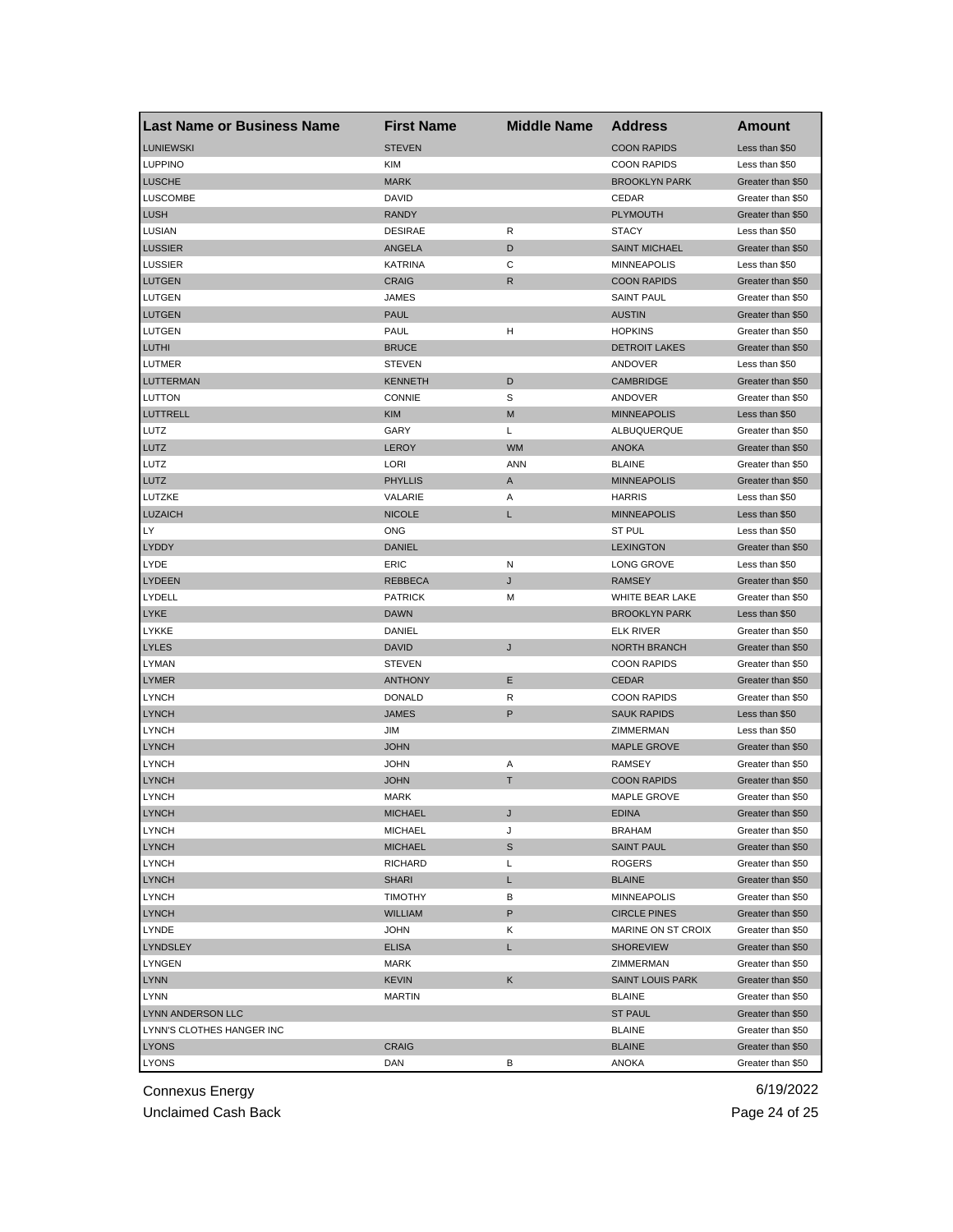| <b>Last Name or Business Name</b> | <b>First Name</b>              | <b>Middle Name</b> | <b>Address</b>                | Amount                                 |
|-----------------------------------|--------------------------------|--------------------|-------------------------------|----------------------------------------|
| <b>LUNIEWSKI</b>                  | <b>STEVEN</b>                  |                    | <b>COON RAPIDS</b>            | Less than \$50                         |
| <b>LUPPINO</b>                    | <b>KIM</b>                     |                    | <b>COON RAPIDS</b>            | Less than \$50                         |
| <b>LUSCHE</b>                     | <b>MARK</b>                    |                    | <b>BROOKLYN PARK</b>          | Greater than \$50                      |
| <b>LUSCOMBE</b>                   | DAVID                          |                    | CEDAR                         | Greater than \$50                      |
| <b>LUSH</b>                       | <b>RANDY</b>                   |                    | <b>PLYMOUTH</b>               | Greater than \$50                      |
| LUSIAN                            | <b>DESIRAE</b>                 | R                  | <b>STACY</b>                  | Less than \$50                         |
| <b>LUSSIER</b>                    | ANGELA                         | D                  | <b>SAINT MICHAEL</b>          | Greater than \$50                      |
| <b>LUSSIER</b>                    | <b>KATRINA</b>                 | С                  | <b>MINNEAPOLIS</b>            | Less than \$50                         |
| <b>LUTGEN</b>                     | <b>CRAIG</b>                   | R                  | <b>COON RAPIDS</b>            | Greater than \$50                      |
| LUTGEN                            | JAMES                          |                    | <b>SAINT PAUL</b>             | Greater than \$50                      |
| <b>LUTGEN</b>                     | <b>PAUL</b>                    |                    | <b>AUSTIN</b>                 | Greater than \$50                      |
| LUTGEN                            | PAUL                           | н                  | <b>HOPKINS</b>                | Greater than \$50                      |
| LUTHI                             | <b>BRUCE</b>                   |                    | <b>DETROIT LAKES</b>          | Greater than \$50                      |
| LUTMER                            | <b>STEVEN</b>                  |                    | ANDOVER                       | Less than \$50                         |
| <b>LUTTERMAN</b>                  | <b>KENNETH</b>                 | D                  | <b>CAMBRIDGE</b>              | Greater than \$50                      |
| LUTTON                            | <b>CONNIE</b>                  | S                  | ANDOVER                       | Greater than \$50                      |
| LUTTRELL                          | <b>KIM</b>                     | M                  | <b>MINNEAPOLIS</b>            | Less than \$50                         |
| LUTZ                              | GARY                           | L                  | ALBUQUERQUE                   | Greater than \$50                      |
| LUTZ                              | LEROY                          | <b>WM</b>          | <b>ANOKA</b>                  | Greater than \$50                      |
| LUTZ                              | LORI                           | ANN                | <b>BLAINE</b>                 | Greater than \$50                      |
| LUTZ                              | <b>PHYLLIS</b>                 | A                  | <b>MINNEAPOLIS</b>            | Greater than \$50                      |
| LUTZKE                            | VALARIE                        | Α                  | <b>HARRIS</b>                 | Less than \$50                         |
| <b>LUZAICH</b>                    | <b>NICOLE</b>                  | L                  | <b>MINNEAPOLIS</b>            | Less than \$50                         |
| LY                                | ONG                            |                    | ST PUL                        | Less than \$50                         |
| LYDDY                             | <b>DANIEL</b>                  |                    | <b>LEXINGTON</b>              | Greater than \$50                      |
| LYDE                              | ERIC                           | N                  | <b>LONG GROVE</b>             | Less than \$50                         |
| <b>LYDEEN</b>                     | <b>REBBECA</b>                 | J                  | <b>RAMSEY</b>                 | Greater than \$50                      |
| LYDELL                            | <b>PATRICK</b>                 | м                  | WHITE BEAR LAKE               | Greater than \$50                      |
| <b>LYKE</b>                       | <b>DAWN</b>                    |                    | <b>BROOKLYN PARK</b>          | Less than \$50                         |
| LYKKE                             | DANIEL                         |                    | <b>ELK RIVER</b>              | Greater than \$50                      |
| <b>LYLES</b>                      | <b>DAVID</b>                   | J                  | <b>NORTH BRANCH</b>           | Greater than \$50                      |
| LYMAN                             | <b>STEVEN</b>                  |                    | <b>COON RAPIDS</b>            | Greater than \$50                      |
| <b>LYMER</b>                      | <b>ANTHONY</b>                 | Е                  | <b>CEDAR</b>                  | Greater than \$50                      |
| <b>LYNCH</b>                      | <b>DONALD</b>                  | R                  | <b>COON RAPIDS</b>            | Greater than \$50                      |
| <b>LYNCH</b>                      | <b>JAMES</b>                   | P                  | <b>SAUK RAPIDS</b>            | Less than \$50                         |
| <b>LYNCH</b>                      | JIM                            |                    | ZIMMERMAN                     | Less than \$50                         |
| <b>LYNCH</b>                      | <b>JOHN</b>                    |                    | <b>MAPLE GROVE</b>            | Greater than \$50                      |
| <b>LYNCH</b>                      | JOHN                           | Α                  | <b>RAMSEY</b>                 |                                        |
| <b>LYNCH</b>                      | <b>JOHN</b>                    | T                  | <b>COON RAPIDS</b>            | Greater than \$50<br>Greater than \$50 |
| <b>LYNCH</b>                      | <b>MARK</b>                    |                    | MAPLE GROVE                   |                                        |
| <b>LYNCH</b>                      |                                |                    |                               | Greater than \$50<br>Greater than \$50 |
|                                   | MICHAEL                        | J                  | <b>EDINA</b><br><b>BRAHAM</b> |                                        |
| <b>LYNCH</b>                      | <b>MICHAEL</b>                 | J                  |                               | Greater than \$50                      |
| <b>LYNCH</b>                      | <b>MICHAEL</b>                 | S                  | <b>SAINT PAUL</b>             | Greater than \$50                      |
| <b>LYNCH</b>                      | RICHARD                        | Г                  | ROGERS                        | Greater than \$50                      |
| <b>LYNCH</b>                      | <b>SHARI</b><br><b>TIMOTHY</b> | L                  | <b>BLAINE</b>                 | Greater than \$50<br>Greater than \$50 |
| <b>LYNCH</b>                      |                                | В                  | <b>MINNEAPOLIS</b>            |                                        |
| <b>LYNCH</b>                      | <b>WILLIAM</b>                 | P                  | <b>CIRCLE PINES</b>           | Greater than \$50                      |
| LYNDE                             | JOHN                           | Κ                  | MARINE ON ST CROIX            | Greater than \$50                      |
| LYNDSLEY                          | <b>ELISA</b>                   | L                  | <b>SHOREVIEW</b>              | Greater than \$50                      |
| <b>LYNGEN</b>                     | MARK                           |                    | ZIMMERMAN                     | Greater than \$50                      |
| <b>LYNN</b>                       | KEVIN                          | Κ                  | <b>SAINT LOUIS PARK</b>       | Greater than \$50                      |
| <b>LYNN</b>                       | <b>MARTIN</b>                  |                    | <b>BLAINE</b>                 | Greater than \$50                      |
| LYNN ANDERSON LLC                 |                                |                    | <b>ST PAUL</b>                | Greater than \$50                      |
| LYNN'S CLOTHES HANGER INC         |                                |                    | <b>BLAINE</b>                 | Greater than \$50                      |
| <b>LYONS</b>                      | <b>CRAIG</b>                   |                    | <b>BLAINE</b>                 | Greater than \$50                      |
| <b>LYONS</b>                      | DAN                            | В                  | <b>ANOKA</b>                  | Greater than \$50                      |

Unclaimed Cash Back **Page 24 of 25**